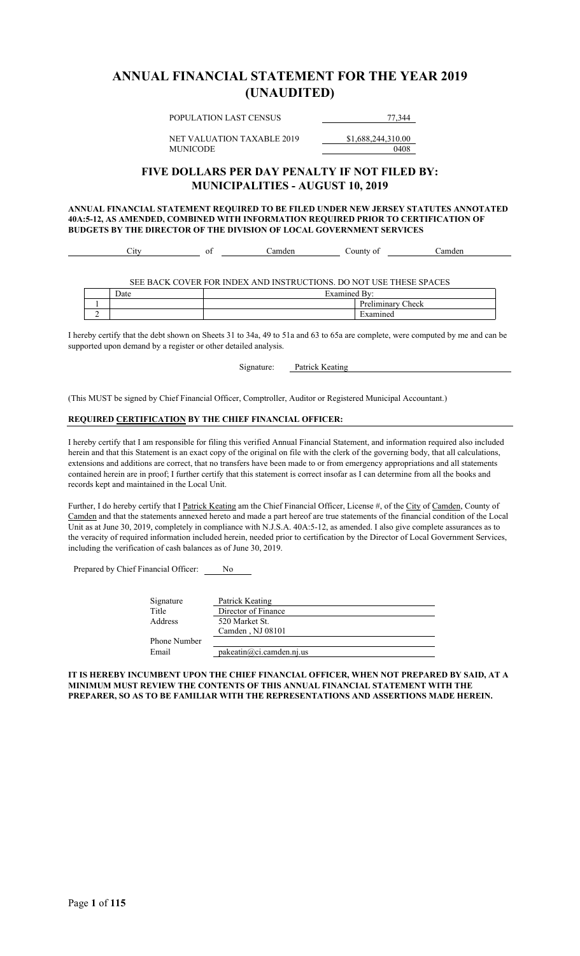### **ANNUAL FINANCIAL STATEMENT FOR THE YEAR 2019 (UNAUDITED)**

POPULATION LAST CENSUS 77,344

NET VALUATION TAXABLE 2019 \$1,688,244,310.00 MUNICODE 0408

#### **FIVE DOLLARS PER DAY PENALTY IF NOT FILED BY: MUNICIPALITIES - AUGUST 10, 2019**

#### **ANNUAL FINANCIAL STATEMENT REQUIRED TO BE FILED UNDER NEW JERSEY STATUTES ANNOTATED 40A:5-12, AS AMENDED, COMBINED WITH INFORMATION REQUIRED PRIOR TO CERTIFICATION OF BUDGETS BY THE DIRECTOR OF THE DIVISION OF LOCAL GOVERNMENT SERVICES**

City of Camden County of Camden

SEE BACK COVER FOR INDEX AND INSTRUCTIONS. DO NOT USE THESE SPACES

|   | Date | $\blacksquare$<br>Examined<br>Ы₹т∙ |                                            |
|---|------|------------------------------------|--------------------------------------------|
|   |      |                                    | Preliminary<br>Check                       |
| ∸ |      |                                    | $\mathbf{\mathbf{r}}$<br>on nno<br>.<br>יש |

I hereby certify that the debt shown on Sheets 31 to 34a, 49 to 51a and 63 to 65a are complete, were computed by me and can be supported upon demand by a register or other detailed analysis.

Signature: Patrick Keating

(This MUST be signed by Chief Financial Officer, Comptroller, Auditor or Registered Municipal Accountant.)

#### **REQUIRED CERTIFICATION BY THE CHIEF FINANCIAL OFFICER:**

I hereby certify that I am responsible for filing this verified Annual Financial Statement, and information required also included herein and that this Statement is an exact copy of the original on file with the clerk of the governing body, that all calculations, extensions and additions are correct, that no transfers have been made to or from emergency appropriations and all statements contained herein are in proof; I further certify that this statement is correct insofar as I can determine from all the books and records kept and maintained in the Local Unit.

Further, I do hereby certify that I Patrick Keating am the Chief Financial Officer, License #, of the City of Camden, County of Camden and that the statements annexed hereto and made a part hereof are true statements of the financial condition of the Local Unit as at June 30, 2019, completely in compliance with N.J.S.A. 40A:5-12, as amended. I also give complete assurances as to the veracity of required information included herein, needed prior to certification by the Director of Local Government Services, including the verification of cash balances as of June 30, 2019.

Prepared by Chief Financial Officer: No

| Signature    | Patrick Keating          |
|--------------|--------------------------|
| Title        | Director of Finance      |
| Address      | 520 Market St.           |
|              | Camden, NJ 08101         |
| Phone Number |                          |
| Email        | pakentin@ci.camden.nj.us |

**IT IS HEREBY INCUMBENT UPON THE CHIEF FINANCIAL OFFICER, WHEN NOT PREPARED BY SAID, AT A MINIMUM MUST REVIEW THE CONTENTS OF THIS ANNUAL FINANCIAL STATEMENT WITH THE PREPARER, SO AS TO BE FAMILIAR WITH THE REPRESENTATIONS AND ASSERTIONS MADE HEREIN.**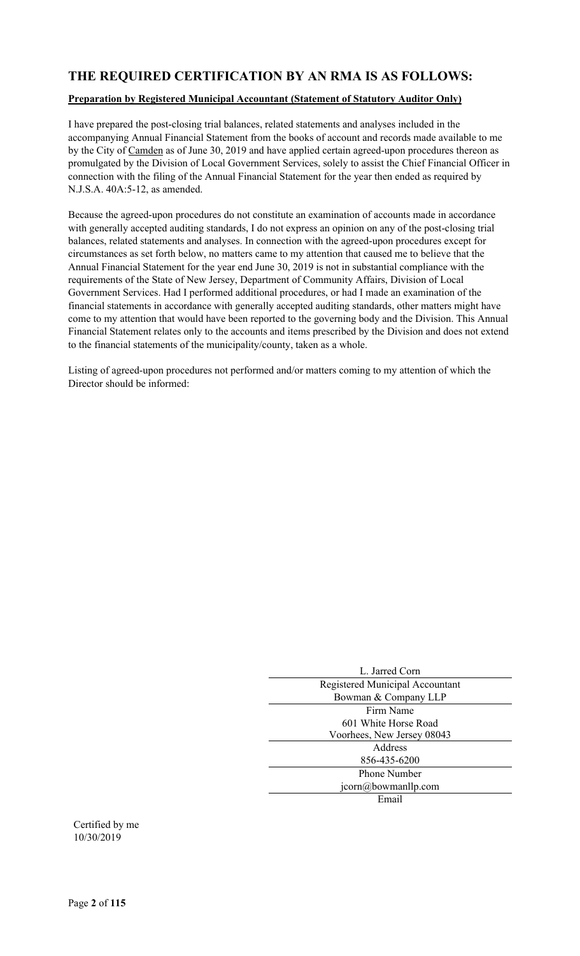### **THE REQUIRED CERTIFICATION BY AN RMA IS AS FOLLOWS:**

#### **Preparation by Registered Municipal Accountant (Statement of Statutory Auditor Only)**

I have prepared the post-closing trial balances, related statements and analyses included in the accompanying Annual Financial Statement from the books of account and records made available to me by the City of Camden as of June 30, 2019 and have applied certain agreed-upon procedures thereon as promulgated by the Division of Local Government Services, solely to assist the Chief Financial Officer in connection with the filing of the Annual Financial Statement for the year then ended as required by N.J.S.A. 40A:5-12, as amended.

Because the agreed-upon procedures do not constitute an examination of accounts made in accordance with generally accepted auditing standards, I do not express an opinion on any of the post-closing trial balances, related statements and analyses. In connection with the agreed-upon procedures except for circumstances as set forth below, no matters came to my attention that caused me to believe that the Annual Financial Statement for the year end June 30, 2019 is not in substantial compliance with the requirements of the State of New Jersey, Department of Community Affairs, Division of Local Government Services. Had I performed additional procedures, or had I made an examination of the financial statements in accordance with generally accepted auditing standards, other matters might have come to my attention that would have been reported to the governing body and the Division. This Annual Financial Statement relates only to the accounts and items prescribed by the Division and does not extend to the financial statements of the municipality/county, taken as a whole.

Listing of agreed-upon procedures not performed and/or matters coming to my attention of which the Director should be informed:

Certified by me 10/30/2019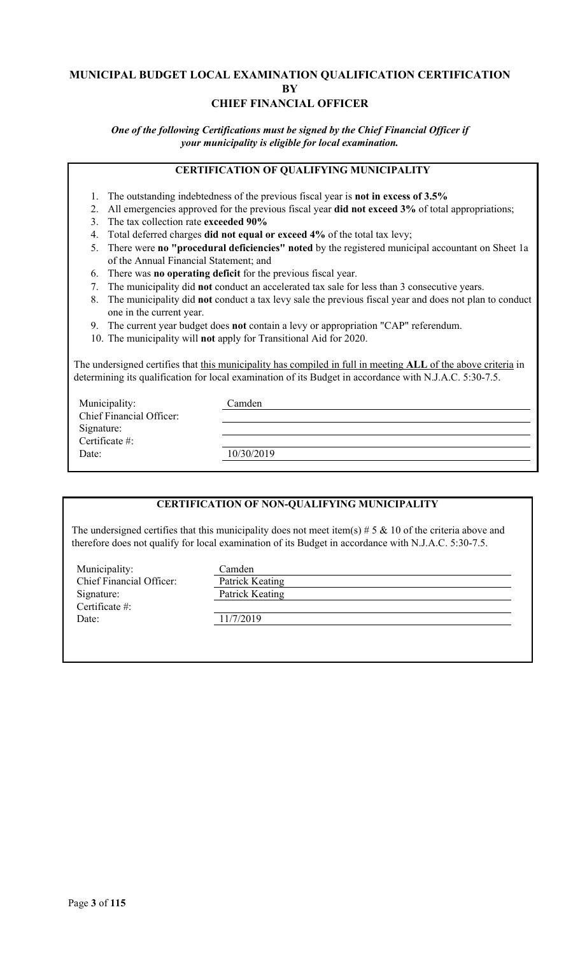#### **MUNICIPAL BUDGET LOCAL EXAMINATION QUALIFICATION CERTIFICATION BY CHIEF FINANCIAL OFFICER**

*One of the following Certifications must be signed by the Chief Financial Officer if your municipality is eligible for local examination.*

#### **CERTIFICATION OF QUALIFYING MUNICIPALITY**

- 1. The outstanding indebtedness of the previous fiscal year is **not in excess of 3.5%**
- 2. All emergencies approved for the previous fiscal year **did not exceed 3%** of total appropriations;
- 3. The tax collection rate **exceeded 90%**
- 4. Total deferred charges **did not equal or exceed 4%** of the total tax levy;
- 5. There were **no "procedural deficiencies" noted** by the registered municipal accountant on Sheet 1a of the Annual Financial Statement; and
- 6. There was **no operating deficit** for the previous fiscal year.
- 7. The municipality did **not** conduct an accelerated tax sale for less than 3 consecutive years.
- 8. The municipality did **not** conduct a tax levy sale the previous fiscal year and does not plan to conduct one in the current year.
- 9. The current year budget does **not** contain a levy or appropriation "CAP" referendum.
- 10. The municipality will **not** apply for Transitional Aid for 2020.

The undersigned certifies that this municipality has compiled in full in meeting **ALL** of the above criteria in determining its qualification for local examination of its Budget in accordance with N.J.A.C. 5:30-7.5.

| Municipality:            | Camden     |
|--------------------------|------------|
| Chief Financial Officer: |            |
| Signature:               |            |
| Certificate #:           |            |
| Date:                    | 10/30/2019 |
|                          |            |

#### **CERTIFICATION OF NON-QUALIFYING MUNICIPALITY**

The undersigned certifies that this municipality does not meet item(s) # 5  $\&$  10 of the criteria above and therefore does not qualify for local examination of its Budget in accordance with N.J.A.C. 5:30-7.5.

| Municipality:            | Camden          |
|--------------------------|-----------------|
| Chief Financial Officer: | Patrick Keating |
| Signature:               | Patrick Keating |
| Certificate #:           |                 |
| Date:                    | 11/7/2019       |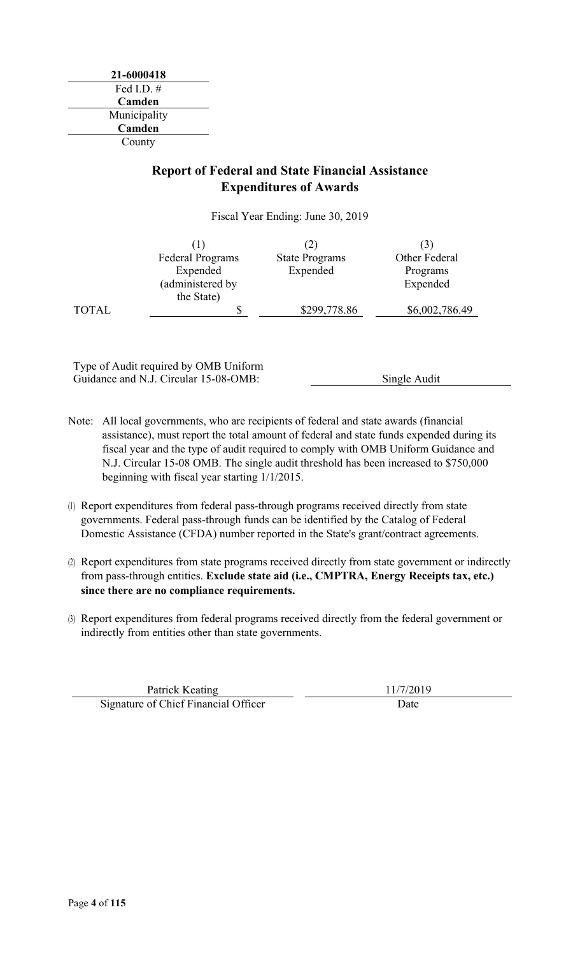**21-6000418** Fed I.D. # **Camden** Municipality **Camden** County

### **Report of Federal and State Financial Assistance Expenditures of Awards**

Fiscal Year Ending: June 30, 2019

|              |                         | (2)                   |                |
|--------------|-------------------------|-----------------------|----------------|
|              | <b>Federal Programs</b> | <b>State Programs</b> | Other Federal  |
|              | Expended                | Expended              | Programs       |
|              | (administered by        |                       | Expended       |
|              | the State)              |                       |                |
| <b>TOTAL</b> |                         | \$299,778.86          | \$6,002,786.49 |
|              |                         |                       |                |

Type of Audit required by OMB Uniform Guidance and N.J. Circular 15-08-OMB: Single Audit

- Note: All local governments, who are recipients of federal and state awards (financial assistance), must report the total amount of federal and state funds expended during its fiscal year and the type of audit required to comply with OMB Uniform Guidance and N.J. Circular 15-08 OMB. The single audit threshold has been increased to \$750,000 beginning with fiscal year starting 1/1/2015.
- (1) Report expenditures from federal pass-through programs received directly from state governments. Federal pass-through funds can be identified by the Catalog of Federal Domestic Assistance (CFDA) number reported in the State's grant/contract agreements.
- (2) Report expenditures from state programs received directly from state government or indirectly from pass-through entities. **Exclude state aid (i.e., CMPTRA, Energy Receipts tax, etc.) since there are no compliance requirements.**
- (3) Report expenditures from federal programs received directly from the federal government or indirectly from entities other than state governments.

Patrick Keating 11/7/2019 Signature of Chief Financial Officer Date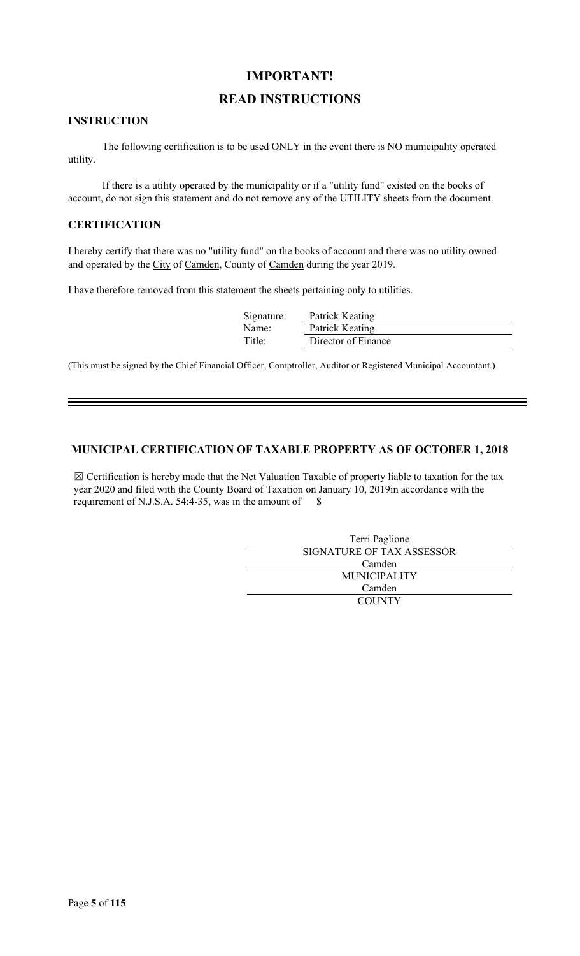### **IMPORTANT!**

### **READ INSTRUCTIONS**

#### **INSTRUCTION**

The following certification is to be used ONLY in the event there is NO municipality operated utility.

If there is a utility operated by the municipality or if a "utility fund" existed on the books of account, do not sign this statement and do not remove any of the UTILITY sheets from the document.

#### **CERTIFICATION**

I hereby certify that there was no "utility fund" on the books of account and there was no utility owned and operated by the City of Camden, County of Camden during the year 2019.

I have therefore removed from this statement the sheets pertaining only to utilities.

| Signature: | Patrick Keating     |
|------------|---------------------|
| Name:      | Patrick Keating     |
| Title:     | Director of Finance |

(This must be signed by the Chief Financial Officer, Comptroller, Auditor or Registered Municipal Accountant.)

#### **MUNICIPAL CERTIFICATION OF TAXABLE PROPERTY AS OF OCTOBER 1, 2018**

 $\boxtimes$  Certification is hereby made that the Net Valuation Taxable of property liable to taxation for the tax year 2020 and filed with the County Board of Taxation on January 10, 2019in accordance with the requirement of N.J.S.A. 54:4-35, was in the amount of  $\$$ requirement of N.J.S.A. 54:4-35, was in the amount of

| Terri Paglione            |  |
|---------------------------|--|
| SIGNATURE OF TAX ASSESSOR |  |
| Camden                    |  |
| <b>MUNICIPALITY</b>       |  |
| Camden                    |  |
| <b>COUNTY</b>             |  |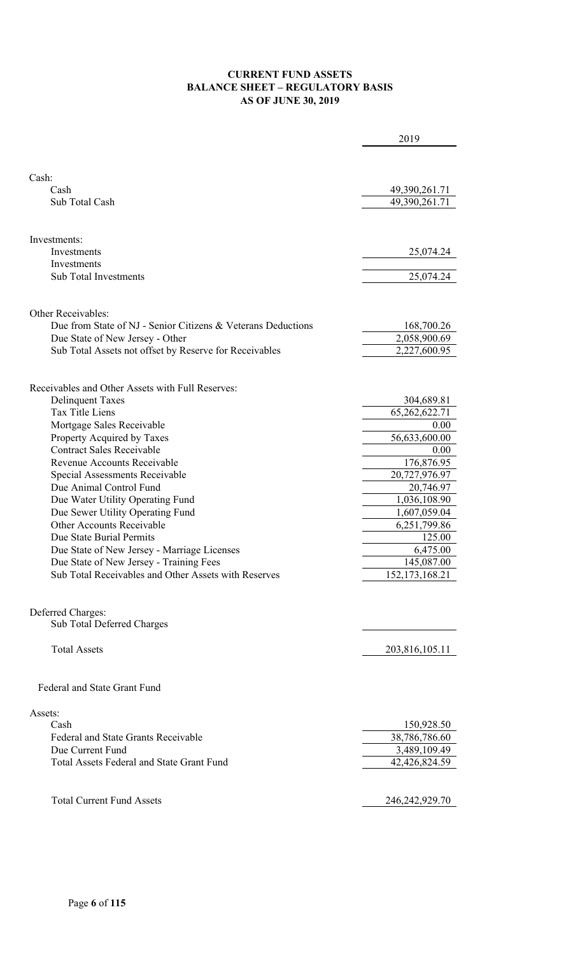#### **CURRENT FUND ASSETS BALANCE SHEET – REGULATORY BASIS AS OF JUNE 30, 2019**

|                                                              | 2019                  |
|--------------------------------------------------------------|-----------------------|
|                                                              |                       |
|                                                              |                       |
| Cash:<br>Cash                                                | 49,390,261.71         |
| Sub Total Cash                                               | 49,390,261.71         |
|                                                              |                       |
|                                                              |                       |
| Investments:<br>Investments                                  | 25,074.24             |
| Investments                                                  |                       |
| <b>Sub Total Investments</b>                                 | 25,074.24             |
|                                                              |                       |
| Other Receivables:                                           |                       |
| Due from State of NJ - Senior Citizens & Veterans Deductions | 168,700.26            |
| Due State of New Jersey - Other                              | 2,058,900.69          |
| Sub Total Assets not offset by Reserve for Receivables       | 2,227,600.95          |
|                                                              |                       |
| Receivables and Other Assets with Full Reserves:             |                       |
| <b>Delinquent Taxes</b>                                      | 304,689.81            |
| <b>Tax Title Liens</b>                                       | 65, 262, 622. 71      |
| Mortgage Sales Receivable<br>Property Acquired by Taxes      | 0.00<br>56,633,600.00 |
| <b>Contract Sales Receivable</b>                             | 0.00                  |
| Revenue Accounts Receivable                                  | 176,876.95            |
| Special Assessments Receivable                               | 20,727,976.97         |
| Due Animal Control Fund                                      | 20,746.97             |
| Due Water Utility Operating Fund                             | 1,036,108.90          |
| Due Sewer Utility Operating Fund                             | 1,607,059.04          |
| Other Accounts Receivable                                    | 6,251,799.86          |
| Due State Burial Permits                                     | 125.00                |
| Due State of New Jersey - Marriage Licenses                  | 6,475.00              |
| Due State of New Jersey - Training Fees                      | 145,087.00            |
| Sub Total Receivables and Other Assets with Reserves         | 152, 173, 168. 21     |
|                                                              |                       |
| Deferred Charges:<br>Sub Total Deferred Charges              |                       |
|                                                              |                       |
| <b>Total Assets</b>                                          | 203,816,105.11        |
|                                                              |                       |
| Federal and State Grant Fund                                 |                       |
| Assets:                                                      |                       |
| Cash                                                         | 150,928.50            |
| Federal and State Grants Receivable                          | 38,786,786.60         |
| Due Current Fund                                             | 3,489,109.49          |
| <b>Total Assets Federal and State Grant Fund</b>             | 42,426,824.59         |
|                                                              |                       |
| <b>Total Current Fund Assets</b>                             | 246, 242, 929. 70     |
|                                                              |                       |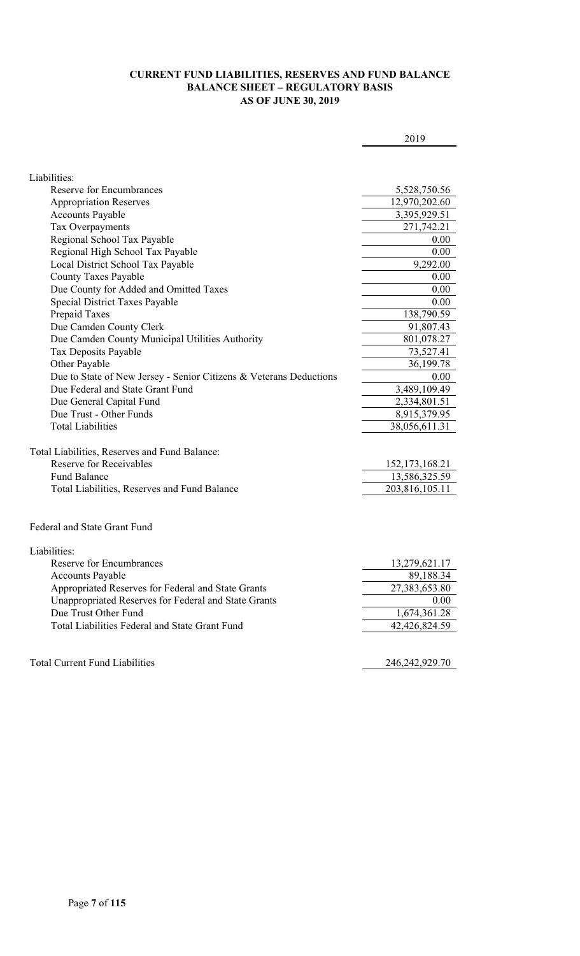#### **CURRENT FUND LIABILITIES, RESERVES AND FUND BALANCE BALANCE SHEET – REGULATORY BASIS AS OF JUNE 30, 2019**

2019

| Liabilities:                                                       |                   |
|--------------------------------------------------------------------|-------------------|
| <b>Reserve for Encumbrances</b>                                    | 5,528,750.56      |
| <b>Appropriation Reserves</b>                                      | 12,970,202.60     |
| <b>Accounts Payable</b>                                            | 3,395,929.51      |
| Tax Overpayments                                                   | 271,742.21        |
| Regional School Tax Payable                                        | 0.00              |
| Regional High School Tax Payable                                   | 0.00              |
| Local District School Tax Payable                                  | 9,292.00          |
| <b>County Taxes Payable</b>                                        | 0.00              |
| Due County for Added and Omitted Taxes                             | 0.00              |
| Special District Taxes Payable                                     | 0.00              |
| Prepaid Taxes                                                      | 138,790.59        |
| Due Camden County Clerk                                            | 91,807.43         |
| Due Camden County Municipal Utilities Authority                    | 801,078.27        |
| Tax Deposits Payable                                               | 73,527.41         |
| Other Payable                                                      | 36,199.78         |
| Due to State of New Jersey - Senior Citizens & Veterans Deductions | 0.00              |
| Due Federal and State Grant Fund                                   | 3,489,109.49      |
| Due General Capital Fund                                           | 2,334,801.51      |
| Due Trust - Other Funds                                            | 8,915,379.95      |
| <b>Total Liabilities</b>                                           | 38,056,611.31     |
|                                                                    |                   |
| Total Liabilities, Reserves and Fund Balance:                      |                   |
| Reserve for Receivables                                            | 152, 173, 168. 21 |
| <b>Fund Balance</b>                                                | 13,586,325.59     |
| Total Liabilities, Reserves and Fund Balance                       | 203,816,105.11    |
|                                                                    |                   |
|                                                                    |                   |
| Federal and State Grant Fund                                       |                   |
|                                                                    |                   |
| Liabilities:                                                       |                   |
| <b>Reserve for Encumbrances</b>                                    | 13,279,621.17     |
| <b>Accounts Payable</b>                                            | 89,188.34         |
| Appropriated Reserves for Federal and State Grants                 | 27,383,653.80     |
| Unappropriated Reserves for Federal and State Grants               | 0.00              |
| Due Trust Other Fund                                               | 1,674,361.28      |
| Total Liabilities Federal and State Grant Fund                     | 42,426,824.59     |
|                                                                    |                   |
|                                                                    |                   |
| <b>Total Current Fund Liabilities</b>                              | 246,242,929.70    |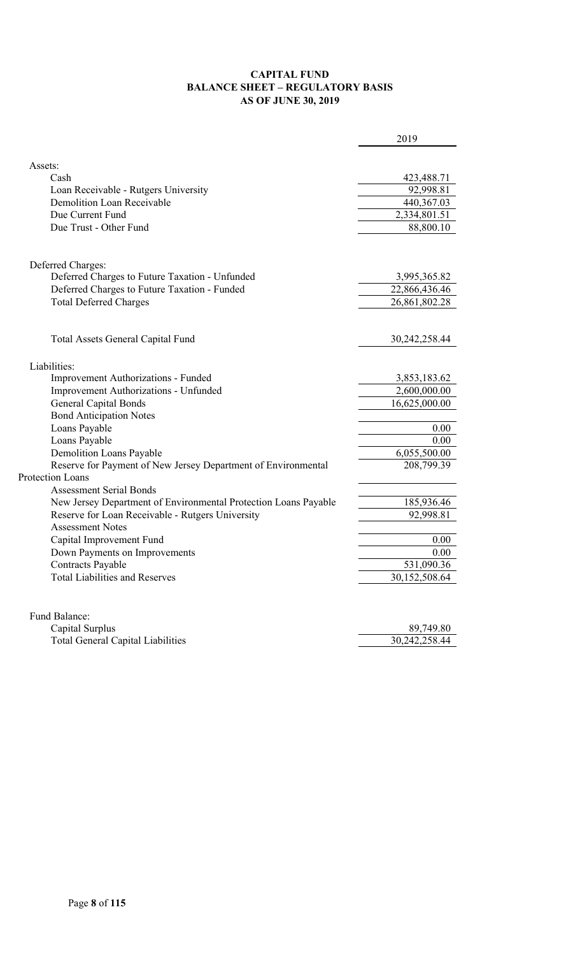#### **CAPITAL FUND BALANCE SHEET – REGULATORY BASIS AS OF JUNE 30, 2019**

|                                                                 | 2019          |
|-----------------------------------------------------------------|---------------|
|                                                                 |               |
| Assets:                                                         |               |
| Cash                                                            | 423,488.71    |
| Loan Receivable - Rutgers University                            | 92,998.81     |
| Demolition Loan Receivable                                      | 440,367.03    |
| Due Current Fund                                                | 2,334,801.51  |
| Due Trust - Other Fund                                          | 88,800.10     |
| Deferred Charges:                                               |               |
| Deferred Charges to Future Taxation - Unfunded                  | 3,995,365.82  |
| Deferred Charges to Future Taxation - Funded                    | 22,866,436.46 |
| <b>Total Deferred Charges</b>                                   | 26,861,802.28 |
|                                                                 |               |
| Total Assets General Capital Fund                               | 30,242,258.44 |
| Liabilities:                                                    |               |
| Improvement Authorizations - Funded                             | 3,853,183.62  |
| Improvement Authorizations - Unfunded                           | 2,600,000.00  |
| <b>General Capital Bonds</b>                                    | 16,625,000.00 |
| <b>Bond Anticipation Notes</b>                                  |               |
| Loans Payable                                                   | 0.00          |
| Loans Payable                                                   | 0.00          |
| <b>Demolition Loans Payable</b>                                 | 6,055,500.00  |
| Reserve for Payment of New Jersey Department of Environmental   | 208,799.39    |
| Protection Loans                                                |               |
| <b>Assessment Serial Bonds</b>                                  |               |
| New Jersey Department of Environmental Protection Loans Payable | 185,936.46    |
| Reserve for Loan Receivable - Rutgers University                | 92,998.81     |
| <b>Assessment Notes</b>                                         |               |
| Capital Improvement Fund                                        | 0.00          |
| Down Payments on Improvements                                   | 0.00          |
| <b>Contracts Payable</b>                                        | 531,090.36    |
| <b>Total Liabilities and Reserves</b>                           | 30,152,508.64 |
| Fund Balance:                                                   |               |
| Capital Surplus                                                 | 89,749.80     |
| <b>Total General Capital Liabilities</b>                        | 30,242,258.44 |
|                                                                 |               |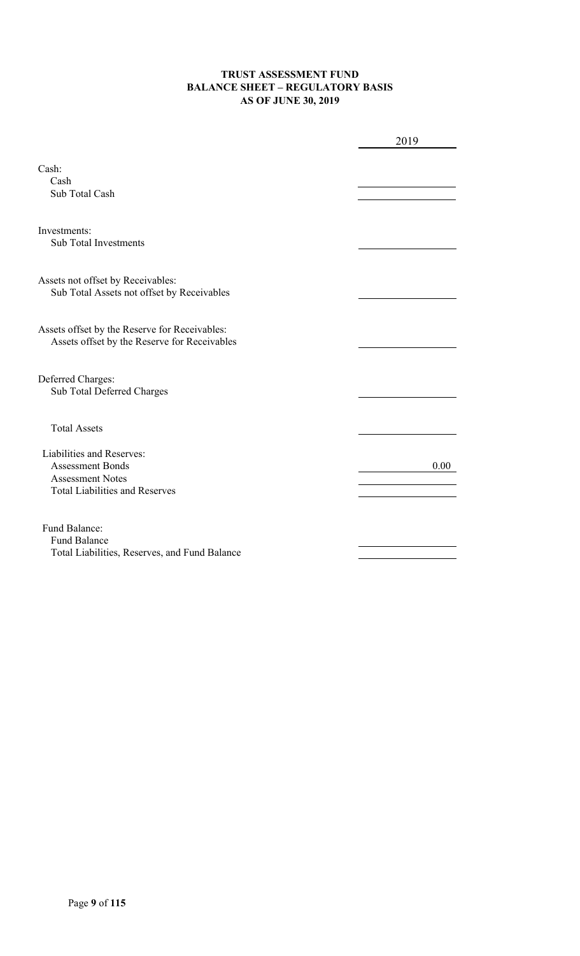#### **TRUST ASSESSMENT FUND BALANCE SHEET – REGULATORY BASIS AS OF JUNE 30, 2019**

|                                                                                                                          | 2019 |
|--------------------------------------------------------------------------------------------------------------------------|------|
| Cash:<br>Cash<br>Sub Total Cash                                                                                          |      |
| Investments:<br><b>Sub Total Investments</b>                                                                             |      |
| Assets not offset by Receivables:<br>Sub Total Assets not offset by Receivables                                          |      |
| Assets offset by the Reserve for Receivables:<br>Assets offset by the Reserve for Receivables                            |      |
| Deferred Charges:<br>Sub Total Deferred Charges                                                                          |      |
| <b>Total Assets</b>                                                                                                      |      |
| Liabilities and Reserves:<br><b>Assessment Bonds</b><br><b>Assessment Notes</b><br><b>Total Liabilities and Reserves</b> | 0.00 |
| Fund Balance:<br><b>Fund Balance</b><br>Total Liabilities, Reserves, and Fund Balance                                    |      |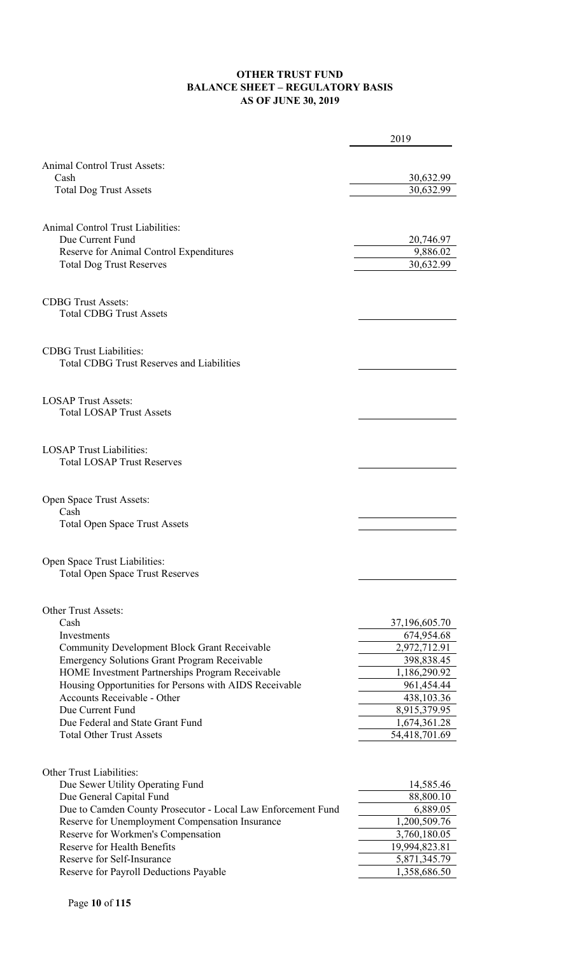#### **OTHER TRUST FUND BALANCE SHEET – REGULATORY BASIS AS OF JUNE 30, 2019**

|                                                                                                            | 2019                         |
|------------------------------------------------------------------------------------------------------------|------------------------------|
|                                                                                                            |                              |
| Animal Control Trust Assets:                                                                               |                              |
| Cash                                                                                                       | 30,632.99                    |
| <b>Total Dog Trust Assets</b>                                                                              | 30,632.99                    |
|                                                                                                            |                              |
| <b>Animal Control Trust Liabilities:</b>                                                                   |                              |
| Due Current Fund                                                                                           | 20,746.97                    |
| Reserve for Animal Control Expenditures                                                                    | 9,886.02                     |
| <b>Total Dog Trust Reserves</b>                                                                            | 30,632.99                    |
|                                                                                                            |                              |
| <b>CDBG</b> Trust Assets:                                                                                  |                              |
| <b>Total CDBG Trust Assets</b>                                                                             |                              |
|                                                                                                            |                              |
| <b>CDBG</b> Trust Liabilities:                                                                             |                              |
| <b>Total CDBG Trust Reserves and Liabilities</b>                                                           |                              |
|                                                                                                            |                              |
|                                                                                                            |                              |
| <b>LOSAP Trust Assets:</b>                                                                                 |                              |
| <b>Total LOSAP Trust Assets</b>                                                                            |                              |
|                                                                                                            |                              |
| <b>LOSAP Trust Liabilities:</b>                                                                            |                              |
| <b>Total LOSAP Trust Reserves</b>                                                                          |                              |
|                                                                                                            |                              |
|                                                                                                            |                              |
| Open Space Trust Assets:<br>Cash                                                                           |                              |
| <b>Total Open Space Trust Assets</b>                                                                       |                              |
|                                                                                                            |                              |
|                                                                                                            |                              |
| Open Space Trust Liabilities:                                                                              |                              |
| <b>Total Open Space Trust Reserves</b>                                                                     |                              |
|                                                                                                            |                              |
| Other Trust Assets:                                                                                        |                              |
| Cash                                                                                                       | 37,196,605.70                |
| Investments                                                                                                | 674,954.68                   |
| <b>Community Development Block Grant Receivable</b><br><b>Emergency Solutions Grant Program Receivable</b> | 2,972,712.91<br>398,838.45   |
| HOME Investment Partnerships Program Receivable                                                            | 1,186,290.92                 |
| Housing Opportunities for Persons with AIDS Receivable                                                     | 961,454.44                   |
| Accounts Receivable - Other                                                                                | 438,103.36                   |
| Due Current Fund                                                                                           | 8,915,379.95                 |
| Due Federal and State Grant Fund                                                                           | 1,674,361.28                 |
| <b>Total Other Trust Assets</b>                                                                            | 54,418,701.69                |
|                                                                                                            |                              |
| Other Trust Liabilities:                                                                                   |                              |
| Due Sewer Utility Operating Fund                                                                           | 14,585.46                    |
| Due General Capital Fund                                                                                   | 88,800.10                    |
| Due to Camden County Prosecutor - Local Law Enforcement Fund                                               | 6,889.05                     |
| Reserve for Unemployment Compensation Insurance<br>Reserve for Workmen's Compensation                      | 1,200,509.76<br>3,760,180.05 |
| <b>Reserve for Health Benefits</b>                                                                         | 19,994,823.81                |
| Reserve for Self-Insurance                                                                                 | 5,871,345.79                 |
| Reserve for Payroll Deductions Payable                                                                     | 1,358,686.50                 |
|                                                                                                            |                              |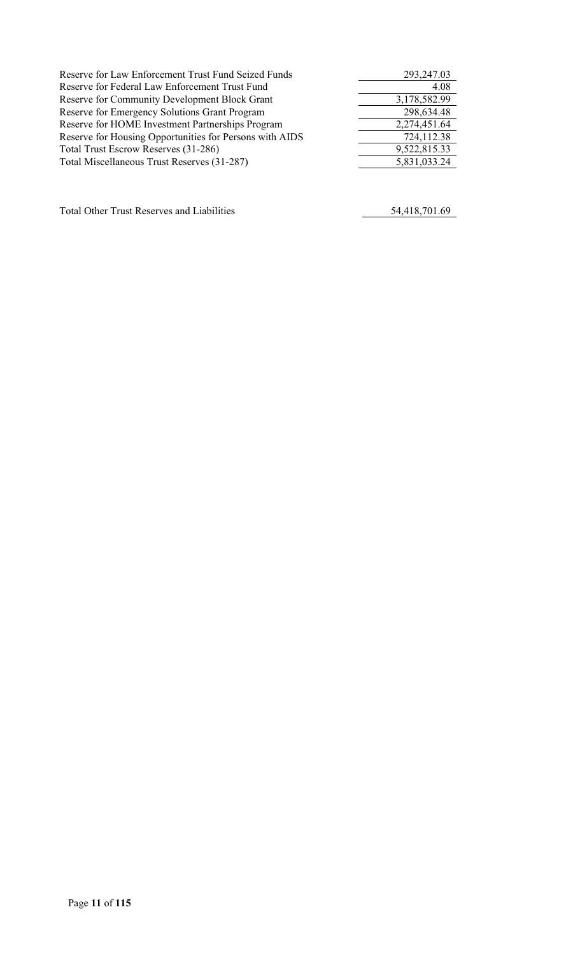| Reserve for Law Enforcement Trust Fund Seized Funds     | 293,247.03   |
|---------------------------------------------------------|--------------|
| Reserve for Federal Law Enforcement Trust Fund          | 4.08         |
| Reserve for Community Development Block Grant           | 3,178,582.99 |
| Reserve for Emergency Solutions Grant Program           | 298,634.48   |
| Reserve for HOME Investment Partnerships Program        | 2,274,451.64 |
| Reserve for Housing Opportunities for Persons with AIDS | 724,112.38   |
| Total Trust Escrow Reserves (31-286)                    | 9,522,815.33 |
| Total Miscellaneous Trust Reserves (31-287)             | 5,831,033.24 |
|                                                         |              |

Total Other Trust Reserves and Liabilities 54,418,701.69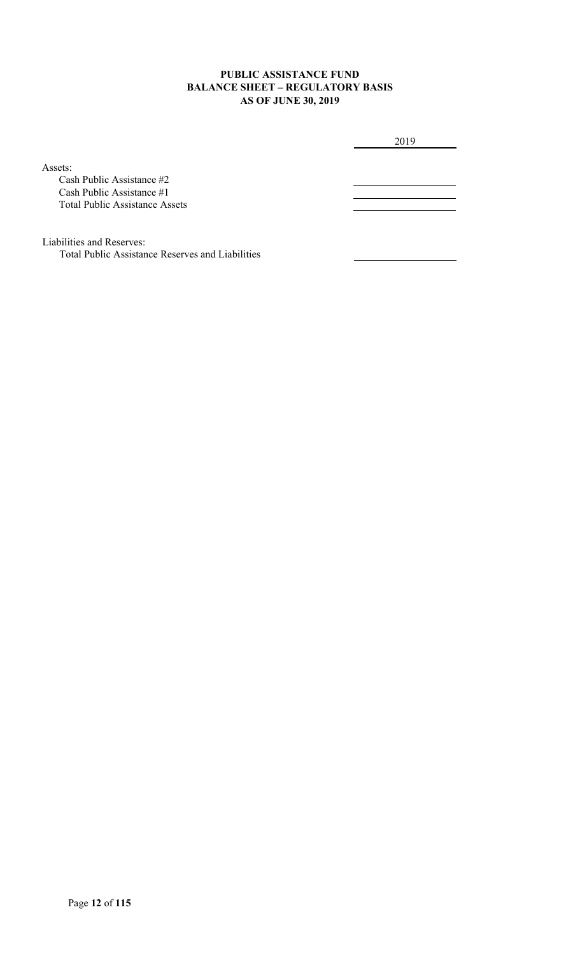#### **PUBLIC ASSISTANCE FUND BALANCE SHEET – REGULATORY BASIS AS OF JUNE 30, 2019**

2019

Assets:

Cash Public Assistance #2 Cash Public Assistance #1 Total Public Assistance Assets

Liabilities and Reserves: Total Public Assistance Reserves and Liabilities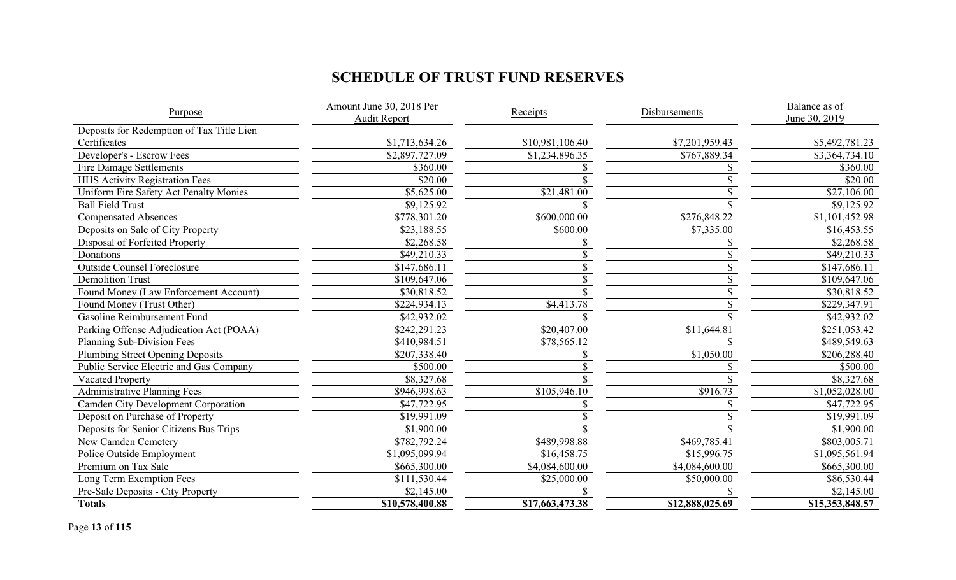## **SCHEDULE OF TRUST FUND RESERVES**

| Purpose                                   | Amount June 30, 2018 Per<br><b>Audit Report</b> | Receipts        | Disbursements   | Balance as of<br>June 30, 2019 |
|-------------------------------------------|-------------------------------------------------|-----------------|-----------------|--------------------------------|
| Deposits for Redemption of Tax Title Lien |                                                 |                 |                 |                                |
| Certificates                              | \$1,713,634.26                                  | \$10,981,106.40 | \$7,201,959.43  | \$5,492,781.23                 |
| Developer's - Escrow Fees                 | \$2,897,727.09                                  | \$1,234,896.35  | \$767,889.34    | \$3,364,734.10                 |
| <b>Fire Damage Settlements</b>            | \$360.00                                        |                 |                 | \$360.00                       |
| <b>HHS Activity Registration Fees</b>     | \$20.00                                         |                 |                 | \$20.00                        |
| Uniform Fire Safety Act Penalty Monies    | \$5,625.00                                      | \$21,481.00     |                 | \$27,106.00                    |
| <b>Ball Field Trust</b>                   | \$9,125.92                                      |                 |                 | \$9,125.92                     |
| <b>Compensated Absences</b>               | \$778,301.20                                    | \$600,000.00    | \$276,848.22    | \$1,101,452.98                 |
| Deposits on Sale of City Property         | \$23,188.55                                     | \$600.00        | \$7,335.00      | \$16,453.55                    |
| Disposal of Forfeited Property            | \$2,268.58                                      |                 |                 | \$2,268.58                     |
| Donations                                 | \$49,210.33                                     |                 |                 | \$49,210.33                    |
| <b>Outside Counsel Foreclosure</b>        | \$147,686.11                                    |                 |                 | \$147,686.11                   |
| <b>Demolition Trust</b>                   | \$109,647.06                                    |                 |                 | \$109,647.06                   |
| Found Money (Law Enforcement Account)     | \$30,818.52                                     |                 |                 | \$30,818.52                    |
| Found Money (Trust Other)                 | \$224,934.13                                    | \$4,413.78      |                 | \$229,347.91                   |
| Gasoline Reimbursement Fund               | \$42,932.02                                     |                 |                 | \$42,932.02                    |
| Parking Offense Adjudication Act (POAA)   | \$242,291.23                                    | \$20,407.00     | \$11,644.81     | \$251,053.42                   |
| Planning Sub-Division Fees                | \$410,984.51                                    | \$78,565.12     |                 | \$489,549.63                   |
| <b>Plumbing Street Opening Deposits</b>   | \$207,338.40                                    |                 | \$1,050.00      | \$206,288.40                   |
| Public Service Electric and Gas Company   | \$500.00                                        |                 |                 | \$500.00                       |
| <b>Vacated Property</b>                   | \$8,327.68                                      |                 |                 | \$8,327.68                     |
| <b>Administrative Planning Fees</b>       | \$946,998.63                                    | \$105,946.10    | \$916.73        | \$1,052,028.00                 |
| Camden City Development Corporation       | \$47,722.95                                     |                 |                 | \$47,722.95                    |
| Deposit on Purchase of Property           | \$19,991.09                                     |                 |                 | \$19,991.09                    |
| Deposits for Senior Citizens Bus Trips    | \$1,900.00                                      |                 |                 | \$1,900.00                     |
| New Camden Cemetery                       | \$782,792.24                                    | \$489,998.88    | \$469,785.41    | \$803,005.71                   |
| Police Outside Employment                 | \$1,095,099.94                                  | \$16,458.75     | \$15,996.75     | \$1,095,561.94                 |
| Premium on Tax Sale                       | \$665,300.00                                    | \$4,084,600.00  | \$4,084,600.00  | \$665,300.00                   |
| Long Term Exemption Fees                  | \$111,530.44                                    | \$25,000.00     | \$50,000.00     | \$86,530.44                    |
| Pre-Sale Deposits - City Property         | \$2,145.00                                      |                 |                 | \$2,145.00                     |
| <b>Totals</b>                             | \$10,578,400.88                                 | \$17,663,473.38 | \$12,888,025.69 | \$15,353,848.57                |

Page **13** of **115**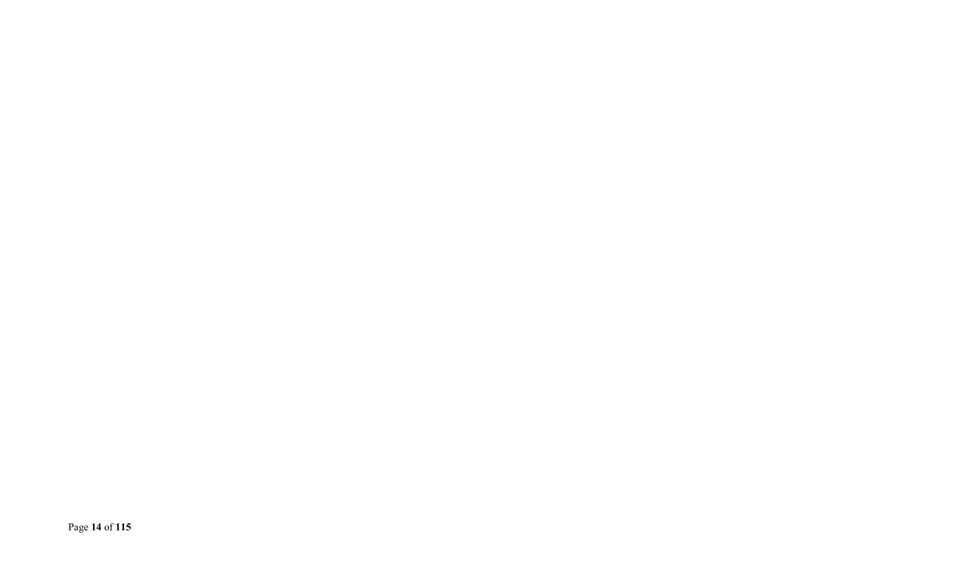Page **14** of **115**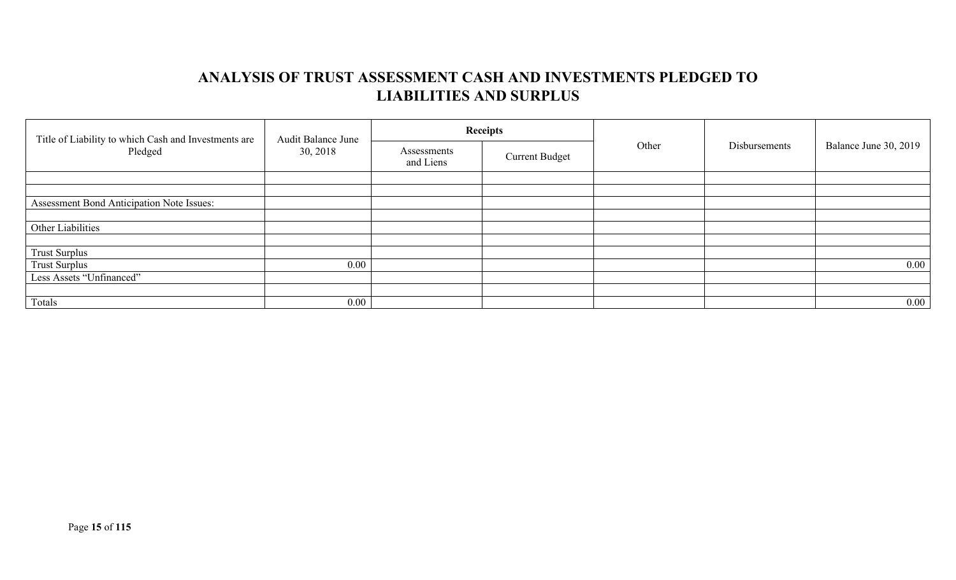## **ANALYSIS OF TRUST ASSESSMENT CASH AND INVESTMENTS PLEDGED TO LIABILITIES AND SURPLUS**

| Title of Liability to which Cash and Investments are<br>Pledged | <b>Audit Balance June</b><br>30, 2018 |                          | <b>Receipts</b>       | Other | Disbursements | Balance June 30, 2019 |
|-----------------------------------------------------------------|---------------------------------------|--------------------------|-----------------------|-------|---------------|-----------------------|
|                                                                 |                                       | Assessments<br>and Liens | <b>Current Budget</b> |       |               |                       |
|                                                                 |                                       |                          |                       |       |               |                       |
|                                                                 |                                       |                          |                       |       |               |                       |
| Assessment Bond Anticipation Note Issues:                       |                                       |                          |                       |       |               |                       |
|                                                                 |                                       |                          |                       |       |               |                       |
| Other Liabilities                                               |                                       |                          |                       |       |               |                       |
|                                                                 |                                       |                          |                       |       |               |                       |
| <b>Trust Surplus</b>                                            |                                       |                          |                       |       |               |                       |
| <b>Trust Surplus</b>                                            | $0.00\,$                              |                          |                       |       |               | $0.00\,$              |
| Less Assets "Unfinanced"                                        |                                       |                          |                       |       |               |                       |
|                                                                 |                                       |                          |                       |       |               |                       |
| Totals                                                          | $0.00\,$                              |                          |                       |       |               | $0.00\,$              |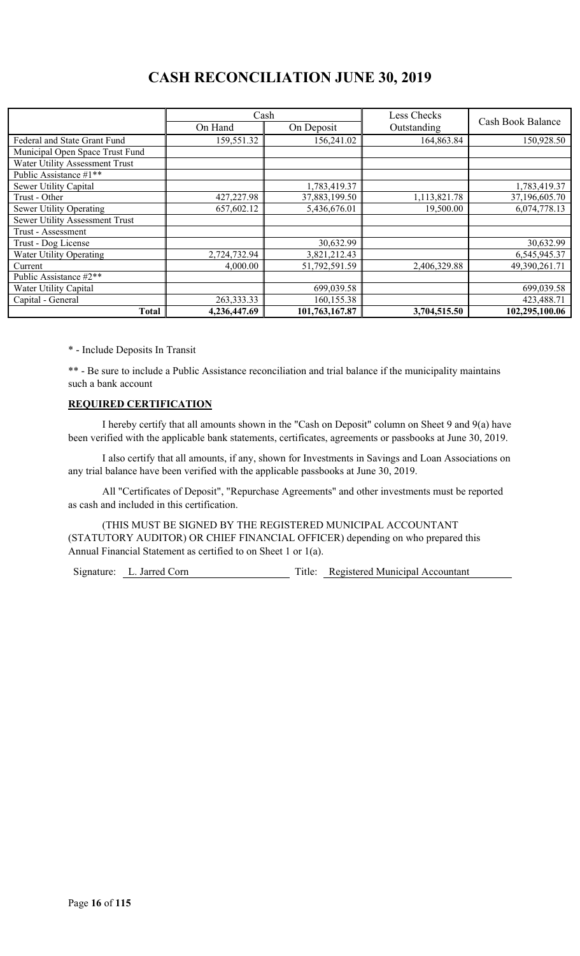## **CASH RECONCILIATION JUNE 30, 2019**

|                                 | Cash<br>On Hand | On Deposit     | Less Checks<br>Outstanding | Cash Book Balance |
|---------------------------------|-----------------|----------------|----------------------------|-------------------|
| Federal and State Grant Fund    | 159,551.32      | 156,241.02     | 164,863.84                 | 150,928.50        |
| Municipal Open Space Trust Fund |                 |                |                            |                   |
| Water Utility Assessment Trust  |                 |                |                            |                   |
| Public Assistance #1**          |                 |                |                            |                   |
| Sewer Utility Capital           |                 | 1,783,419.37   |                            | 1,783,419.37      |
| Trust - Other                   | 427,227.98      | 37,883,199.50  | 1,113,821.78               | 37,196,605.70     |
| <b>Sewer Utility Operating</b>  | 657,602.12      | 5,436,676.01   | 19,500.00                  | 6,074,778.13      |
| Sewer Utility Assessment Trust  |                 |                |                            |                   |
| Trust - Assessment              |                 |                |                            |                   |
| Trust - Dog License             |                 | 30,632.99      |                            | 30,632.99         |
| <b>Water Utility Operating</b>  | 2,724,732.94    | 3,821,212.43   |                            | 6,545,945.37      |
| Current                         | 4,000.00        | 51,792,591.59  | 2,406,329.88               | 49,390,261.71     |
| Public Assistance #2**          |                 |                |                            |                   |
| Water Utility Capital           |                 | 699,039.58     |                            | 699,039.58        |
| Capital - General               | 263, 333. 33    | 160,155.38     |                            | 423,488.71        |
| Total                           | 4,236,447.69    | 101,763,167.87 | 3,704,515.50               | 102,295,100.06    |

\* - Include Deposits In Transit

\*\* - Be sure to include a Public Assistance reconciliation and trial balance if the municipality maintains such a bank account

#### **REQUIRED CERTIFICATION**

I hereby certify that all amounts shown in the "Cash on Deposit" column on Sheet 9 and 9(a) have been verified with the applicable bank statements, certificates, agreements or passbooks at June 30, 2019.

I also certify that all amounts, if any, shown for Investments in Savings and Loan Associations on any trial balance have been verified with the applicable passbooks at June 30, 2019.

All "Certificates of Deposit", "Repurchase Agreements" and other investments must be reported as cash and included in this certification.

(THIS MUST BE SIGNED BY THE REGISTERED MUNICIPAL ACCOUNTANT (STATUTORY AUDITOR) OR CHIEF FINANCIAL OFFICER) depending on who prepared this Annual Financial Statement as certified to on Sheet 1 or 1(a).

Signature: L. Jarred Corn Title: Registered Municipal Accountant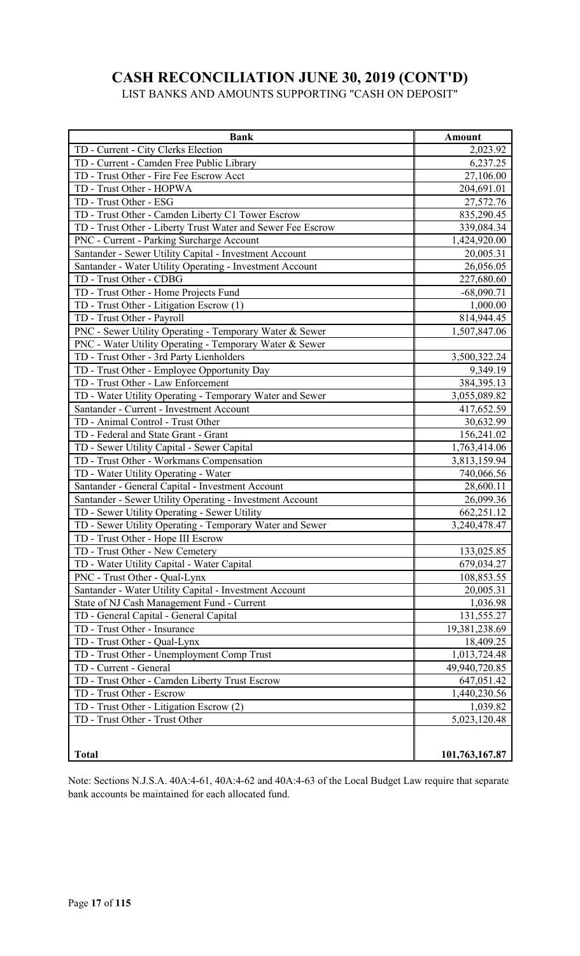# **CASH RECONCILIATION JUNE 30, 2019 (CONT'D)**

LIST BANKS AND AMOUNTS SUPPORTING "CASH ON DEPOSIT"

| <b>Bank</b>                                                 | <b>Amount</b>  |
|-------------------------------------------------------------|----------------|
| TD - Current - City Clerks Election                         | 2,023.92       |
| TD - Current - Camden Free Public Library                   | 6,237.25       |
| TD - Trust Other - Fire Fee Escrow Acct                     | 27,106.00      |
| TD - Trust Other - HOPWA                                    | 204,691.01     |
| TD - Trust Other - ESG                                      | 27,572.76      |
| TD - Trust Other - Camden Liberty C1 Tower Escrow           | 835,290.45     |
| TD - Trust Other - Liberty Trust Water and Sewer Fee Escrow | 339,084.34     |
| PNC - Current - Parking Surcharge Account                   | 1,424,920.00   |
| Santander - Sewer Utility Capital - Investment Account      | 20,005.31      |
| Santander - Water Utility Operating - Investment Account    | 26,056.05      |
| TD - Trust Other - CDBG                                     | 227,680.60     |
| TD - Trust Other - Home Projects Fund                       | $-68,090.71$   |
| TD - Trust Other - Litigation Escrow (1)                    | 1,000.00       |
| TD - Trust Other - Payroll                                  | 814,944.45     |
| PNC - Sewer Utility Operating - Temporary Water & Sewer     | 1,507,847.06   |
| PNC - Water Utility Operating - Temporary Water & Sewer     |                |
| TD - Trust Other - 3rd Party Lienholders                    | 3,500,322.24   |
| TD - Trust Other - Employee Opportunity Day                 | 9,349.19       |
| TD - Trust Other - Law Enforcement                          | 384,395.13     |
| TD - Water Utility Operating - Temporary Water and Sewer    | 3,055,089.82   |
| Santander - Current - Investment Account                    | 417,652.59     |
| TD - Animal Control - Trust Other                           | 30,632.99      |
| TD - Federal and State Grant - Grant                        | 156,241.02     |
| TD - Sewer Utility Capital - Sewer Capital                  | 1,763,414.06   |
| TD - Trust Other - Workmans Compensation                    | 3,813,159.94   |
| TD - Water Utility Operating - Water                        | 740,066.56     |
| Santander - General Capital - Investment Account            | 28,600.11      |
| Santander - Sewer Utility Operating - Investment Account    | 26,099.36      |
| TD - Sewer Utility Operating - Sewer Utility                | 662,251.12     |
| TD - Sewer Utility Operating - Temporary Water and Sewer    | 3,240,478.47   |
| TD - Trust Other - Hope III Escrow                          |                |
| TD - Trust Other - New Cemetery                             | 133,025.85     |
| TD - Water Utility Capital - Water Capital                  | 679,034.27     |
| PNC - Trust Other - Qual-Lynx                               | 108,853.55     |
| Santander - Water Utility Capital - Investment Account      | 20,005.31      |
| State of NJ Cash Management Fund - Current                  | 1,036.98       |
| TD - General Capital - General Capital                      | 131,555.27     |
| TD - Trust Other - Insurance                                | 19,381,238.69  |
| TD - Trust Other - Qual-Lynx                                | 18,409.25      |
| TD - Trust Other - Unemployment Comp Trust                  | 1,013,724.48   |
| TD - Current - General                                      | 49,940,720.85  |
| TD - Trust Other - Camden Liberty Trust Escrow              | 647,051.42     |
| TD - Trust Other - Escrow                                   | 1,440,230.56   |
| TD - Trust Other - Litigation Escrow (2)                    | 1,039.82       |
| TD - Trust Other - Trust Other                              | 5,023,120.48   |
|                                                             |                |
| <b>Total</b>                                                | 101,763,167.87 |

Note: Sections N.J.S.A. 40A:4-61, 40A:4-62 and 40A:4-63 of the Local Budget Law require that separate bank accounts be maintained for each allocated fund.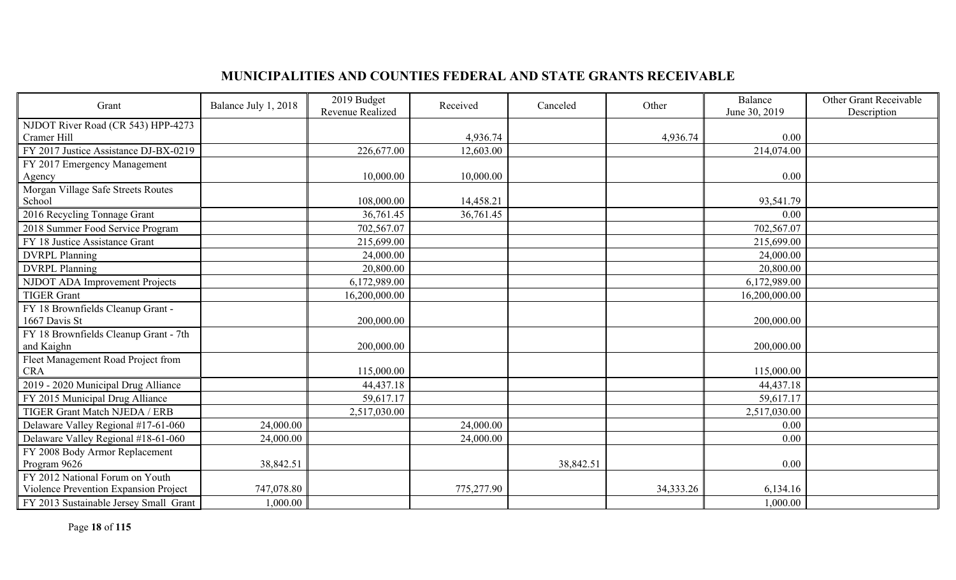## **MUNICIPALITIES AND COUNTIES FEDERAL AND STATE GRANTS RECEIVABLE**

| Grant                                  | Balance July 1, 2018 | 2019 Budget<br>Revenue Realized | Received   | Canceled  | Other       | Balance<br>June 30, 2019 | Other Grant Receivable<br>Description |
|----------------------------------------|----------------------|---------------------------------|------------|-----------|-------------|--------------------------|---------------------------------------|
| NJDOT River Road (CR 543) HPP-4273     |                      |                                 |            |           |             |                          |                                       |
| Cramer Hill                            |                      |                                 | 4,936.74   |           | 4,936.74    | 0.00                     |                                       |
| FY 2017 Justice Assistance DJ-BX-0219  |                      | 226,677.00                      | 12,603.00  |           |             | 214,074.00               |                                       |
| FY 2017 Emergency Management           |                      |                                 |            |           |             |                          |                                       |
| Agency                                 |                      | 10,000.00                       | 10,000.00  |           |             | 0.00                     |                                       |
| Morgan Village Safe Streets Routes     |                      |                                 |            |           |             |                          |                                       |
| School                                 |                      | 108,000.00                      | 14,458.21  |           |             | 93,541.79                |                                       |
| 2016 Recycling Tonnage Grant           |                      | 36,761.45                       | 36,761.45  |           |             | 0.00                     |                                       |
| 2018 Summer Food Service Program       |                      | 702,567.07                      |            |           |             | 702,567.07               |                                       |
| FY 18 Justice Assistance Grant         |                      | 215,699.00                      |            |           |             | 215,699.00               |                                       |
| <b>DVRPL Planning</b>                  |                      | 24,000.00                       |            |           |             | 24,000.00                |                                       |
| <b>DVRPL Planning</b>                  |                      | 20,800.00                       |            |           |             | 20,800.00                |                                       |
| NJDOT ADA Improvement Projects         |                      | 6,172,989.00                    |            |           |             | 6,172,989.00             |                                       |
| <b>TIGER Grant</b>                     |                      | 16,200,000.00                   |            |           |             | 16,200,000.00            |                                       |
| FY 18 Brownfields Cleanup Grant -      |                      |                                 |            |           |             |                          |                                       |
| 1667 Davis St                          |                      | 200,000.00                      |            |           |             | 200,000.00               |                                       |
| FY 18 Brownfields Cleanup Grant - 7th  |                      |                                 |            |           |             |                          |                                       |
| and Kaighn                             |                      | 200,000.00                      |            |           |             | 200,000.00               |                                       |
| Fleet Management Road Project from     |                      |                                 |            |           |             |                          |                                       |
| <b>CRA</b>                             |                      | 115,000.00                      |            |           |             | 115,000.00               |                                       |
| 2019 - 2020 Municipal Drug Alliance    |                      | 44,437.18                       |            |           |             | 44,437.18                |                                       |
| FY 2015 Municipal Drug Alliance        |                      | 59,617.17                       |            |           |             | 59,617.17                |                                       |
| TIGER Grant Match NJEDA / ERB          |                      | 2,517,030.00                    |            |           |             | 2,517,030.00             |                                       |
| Delaware Valley Regional #17-61-060    | 24,000.00            |                                 | 24,000.00  |           |             | 0.00                     |                                       |
| Delaware Valley Regional #18-61-060    | 24,000.00            |                                 | 24,000.00  |           |             | 0.00                     |                                       |
| FY 2008 Body Armor Replacement         |                      |                                 |            |           |             |                          |                                       |
| Program 9626                           | 38,842.51            |                                 |            | 38,842.51 |             | 0.00                     |                                       |
| FY 2012 National Forum on Youth        |                      |                                 |            |           |             |                          |                                       |
| Violence Prevention Expansion Project  | 747,078.80           |                                 | 775,277.90 |           | 34, 333. 26 | 6,134.16                 |                                       |
| FY 2013 Sustainable Jersey Small Grant | 1,000.00             |                                 |            |           |             | 1,000.00                 |                                       |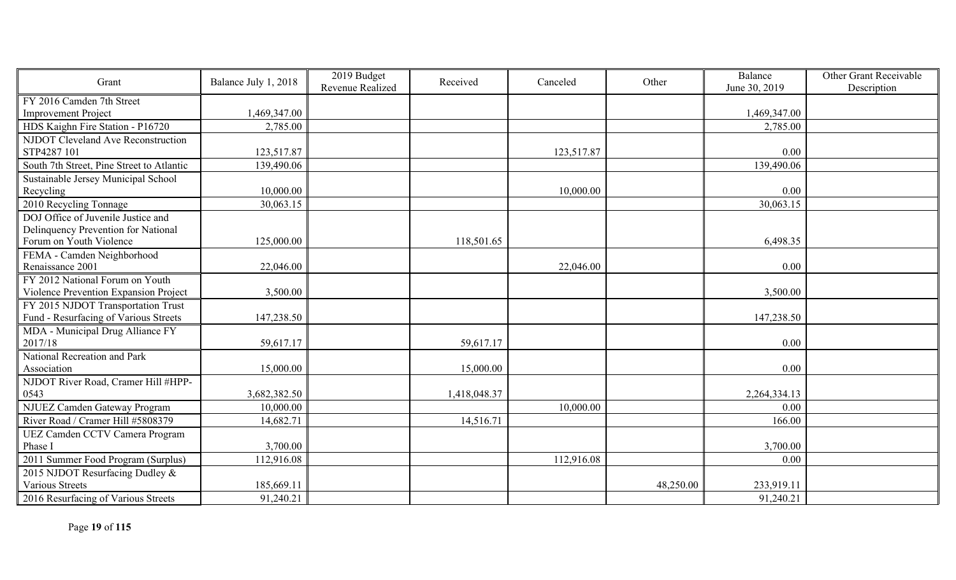| Grant                                     | Balance July 1, 2018 | 2019 Budget<br>Revenue Realized | Received     | Canceled   | Other     | Balance<br>June 30, 2019 | Other Grant Receivable<br>Description |
|-------------------------------------------|----------------------|---------------------------------|--------------|------------|-----------|--------------------------|---------------------------------------|
| FY 2016 Camden 7th Street                 |                      |                                 |              |            |           |                          |                                       |
| <b>Improvement Project</b>                | 1,469,347.00         |                                 |              |            |           | 1,469,347.00             |                                       |
| HDS Kaighn Fire Station - P16720          | 2,785.00             |                                 |              |            |           | 2,785.00                 |                                       |
| NJDOT Cleveland Ave Reconstruction        |                      |                                 |              |            |           |                          |                                       |
| STP4287 101                               | 123,517.87           |                                 |              | 123,517.87 |           | 0.00                     |                                       |
| South 7th Street, Pine Street to Atlantic | 139,490.06           |                                 |              |            |           | 139,490.06               |                                       |
| Sustainable Jersey Municipal School       |                      |                                 |              |            |           |                          |                                       |
| Recycling                                 | 10,000.00            |                                 |              | 10,000.00  |           | 0.00                     |                                       |
| 2010 Recycling Tonnage                    | 30,063.15            |                                 |              |            |           | 30,063.15                |                                       |
| DOJ Office of Juvenile Justice and        |                      |                                 |              |            |           |                          |                                       |
| Delinquency Prevention for National       |                      |                                 |              |            |           |                          |                                       |
| Forum on Youth Violence                   | 125,000.00           |                                 | 118,501.65   |            |           | 6,498.35                 |                                       |
| FEMA - Camden Neighborhood                |                      |                                 |              |            |           |                          |                                       |
| Renaissance 2001                          | 22,046.00            |                                 |              | 22,046.00  |           | 0.00                     |                                       |
| FY 2012 National Forum on Youth           |                      |                                 |              |            |           |                          |                                       |
| Violence Prevention Expansion Project     | 3,500.00             |                                 |              |            |           | 3,500.00                 |                                       |
| FY 2015 NJDOT Transportation Trust        |                      |                                 |              |            |           |                          |                                       |
| Fund - Resurfacing of Various Streets     | 147,238.50           |                                 |              |            |           | 147,238.50               |                                       |
| MDA - Municipal Drug Alliance FY          |                      |                                 |              |            |           |                          |                                       |
| 2017/18                                   | 59,617.17            |                                 | 59,617.17    |            |           | 0.00                     |                                       |
| National Recreation and Park              |                      |                                 |              |            |           |                          |                                       |
| Association                               | 15,000.00            |                                 | 15,000.00    |            |           | 0.00                     |                                       |
| NJDOT River Road, Cramer Hill #HPP-       |                      |                                 |              |            |           |                          |                                       |
| 0543                                      | 3,682,382.50         |                                 | 1,418,048.37 |            |           | 2,264,334.13             |                                       |
| NJUEZ Camden Gateway Program              | 10,000.00            |                                 |              | 10,000.00  |           | 0.00                     |                                       |
| River Road / Cramer Hill #5808379         | 14,682.71            |                                 | 14,516.71    |            |           | 166.00                   |                                       |
| UEZ Camden CCTV Camera Program            |                      |                                 |              |            |           |                          |                                       |
| Phase I                                   | 3,700.00             |                                 |              |            |           | 3,700.00                 |                                       |
| 2011 Summer Food Program (Surplus)        | 112,916.08           |                                 |              | 112,916.08 |           | 0.00                     |                                       |
| 2015 NJDOT Resurfacing Dudley &           |                      |                                 |              |            |           |                          |                                       |
| Various Streets                           | 185,669.11           |                                 |              |            | 48,250.00 | 233,919.11               |                                       |
| 2016 Resurfacing of Various Streets       | 91,240.21            |                                 |              |            |           | 91,240.21                |                                       |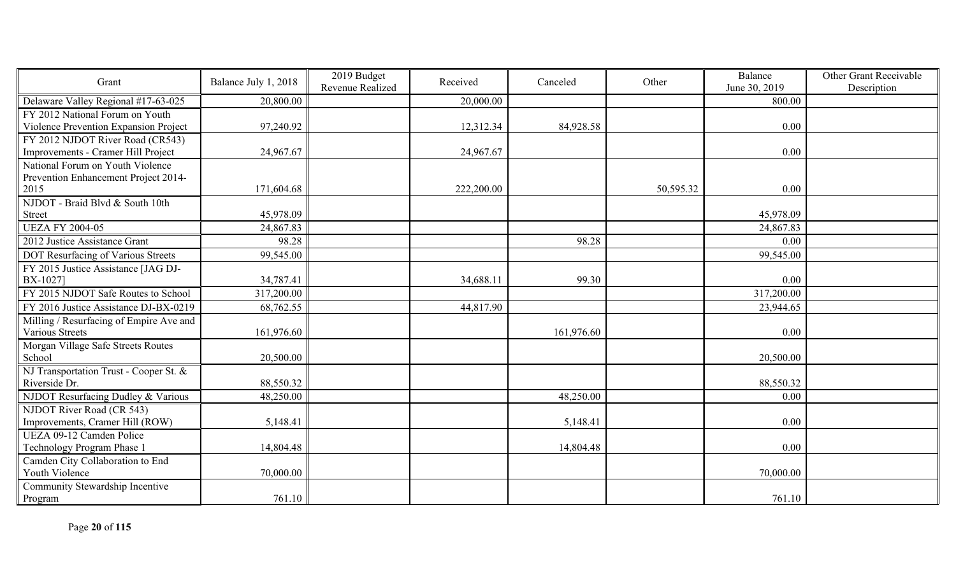| Grant                                   | Balance July 1, 2018 | 2019 Budget<br>Revenue Realized | Received   | Canceled   | Other     | Balance<br>June 30, 2019 | Other Grant Receivable<br>Description |
|-----------------------------------------|----------------------|---------------------------------|------------|------------|-----------|--------------------------|---------------------------------------|
| Delaware Valley Regional #17-63-025     | 20,800.00            |                                 | 20,000.00  |            |           | 800.00                   |                                       |
| FY 2012 National Forum on Youth         |                      |                                 |            |            |           |                          |                                       |
| Violence Prevention Expansion Project   | 97,240.92            |                                 | 12,312.34  | 84,928.58  |           | 0.00                     |                                       |
| FY 2012 NJDOT River Road (CR543)        |                      |                                 |            |            |           |                          |                                       |
| Improvements - Cramer Hill Project      | 24,967.67            |                                 | 24,967.67  |            |           | 0.00                     |                                       |
| National Forum on Youth Violence        |                      |                                 |            |            |           |                          |                                       |
| Prevention Enhancement Project 2014-    |                      |                                 |            |            |           |                          |                                       |
| 2015                                    | 171,604.68           |                                 | 222,200.00 |            | 50,595.32 | 0.00                     |                                       |
| NJDOT - Braid Blvd & South 10th         |                      |                                 |            |            |           |                          |                                       |
| <b>Street</b>                           | 45,978.09            |                                 |            |            |           | 45,978.09                |                                       |
| <b>UEZA FY 2004-05</b>                  | 24,867.83            |                                 |            |            |           | 24,867.83                |                                       |
| 2012 Justice Assistance Grant           | 98.28                |                                 |            | 98.28      |           | 0.00                     |                                       |
| DOT Resurfacing of Various Streets      | 99,545.00            |                                 |            |            |           | 99,545.00                |                                       |
| FY 2015 Justice Assistance [JAG DJ-     |                      |                                 |            |            |           |                          |                                       |
| BX-1027]                                | 34,787.41            |                                 | 34,688.11  | 99.30      |           | 0.00                     |                                       |
| FY 2015 NJDOT Safe Routes to School     | 317,200.00           |                                 |            |            |           | 317,200.00               |                                       |
| FY 2016 Justice Assistance DJ-BX-0219   | 68,762.55            |                                 | 44,817.90  |            |           | 23,944.65                |                                       |
| Milling / Resurfacing of Empire Ave and |                      |                                 |            |            |           |                          |                                       |
| Various Streets                         | 161,976.60           |                                 |            | 161,976.60 |           | 0.00                     |                                       |
| Morgan Village Safe Streets Routes      |                      |                                 |            |            |           |                          |                                       |
| School                                  | 20,500.00            |                                 |            |            |           | 20,500.00                |                                       |
| NJ Transportation Trust - Cooper St. &  |                      |                                 |            |            |           |                          |                                       |
| Riverside Dr.                           | 88,550.32            |                                 |            |            |           | 88,550.32                |                                       |
| NJDOT Resurfacing Dudley & Various      | 48,250.00            |                                 |            | 48,250.00  |           | 0.00                     |                                       |
| NJDOT River Road (CR 543)               |                      |                                 |            |            |           |                          |                                       |
| Improvements, Cramer Hill (ROW)         | 5,148.41             |                                 |            | 5,148.41   |           | 0.00                     |                                       |
| UEZA 09-12 Camden Police                |                      |                                 |            |            |           |                          |                                       |
| Technology Program Phase 1              | 14,804.48            |                                 |            | 14,804.48  |           | 0.00                     |                                       |
| Camden City Collaboration to End        |                      |                                 |            |            |           |                          |                                       |
| Youth Violence                          | 70,000.00            |                                 |            |            |           | 70,000.00                |                                       |
| Community Stewardship Incentive         |                      |                                 |            |            |           |                          |                                       |
| Program                                 | 761.10               |                                 |            |            |           | 761.10                   |                                       |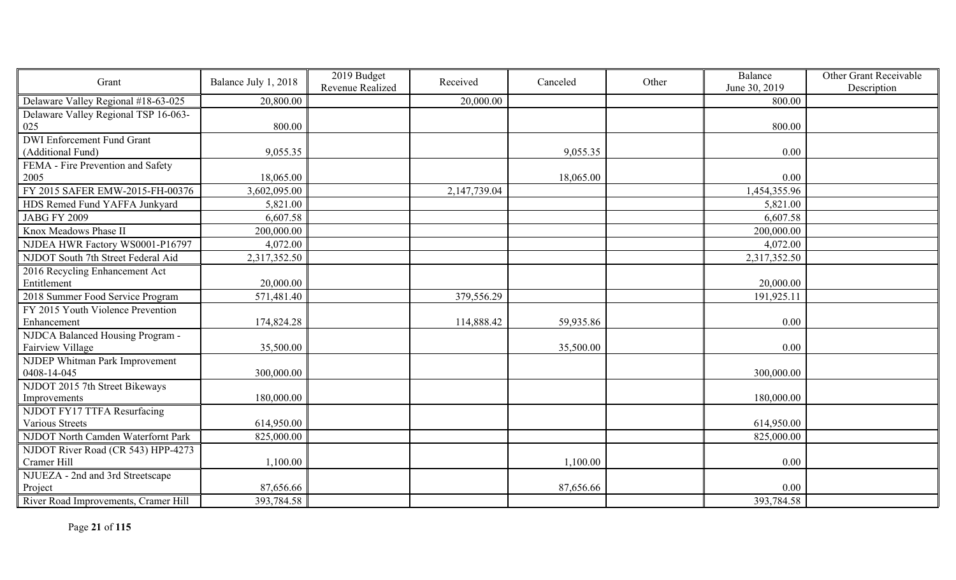| Grant                                             | Balance July 1, 2018 | 2019 Budget<br>Revenue Realized | Received     | Canceled  | Other | Balance<br>June 30, 2019 | Other Grant Receivable<br>Description |
|---------------------------------------------------|----------------------|---------------------------------|--------------|-----------|-------|--------------------------|---------------------------------------|
| Delaware Valley Regional #18-63-025               | 20,800.00            |                                 | 20,000.00    |           |       | 800.00                   |                                       |
| Delaware Valley Regional TSP 16-063-              |                      |                                 |              |           |       |                          |                                       |
| 025                                               | 800.00               |                                 |              |           |       | 800.00                   |                                       |
| <b>DWI Enforcement Fund Grant</b>                 |                      |                                 |              |           |       |                          |                                       |
| (Additional Fund)                                 | 9,055.35             |                                 |              | 9,055.35  |       | 0.00                     |                                       |
| FEMA - Fire Prevention and Safety                 |                      |                                 |              |           |       |                          |                                       |
| 2005                                              | 18,065.00            |                                 |              | 18,065.00 |       | 0.00                     |                                       |
| FY 2015 SAFER EMW-2015-FH-00376                   | 3,602,095.00         |                                 | 2,147,739.04 |           |       | 1,454,355.96             |                                       |
| HDS Remed Fund YAFFA Junkyard                     | 5,821.00             |                                 |              |           |       | 5,821.00                 |                                       |
| <b>JABG FY 2009</b>                               | 6,607.58             |                                 |              |           |       | 6,607.58                 |                                       |
| Knox Meadows Phase II                             | 200,000.00           |                                 |              |           |       | 200,000.00               |                                       |
| NJDEA HWR Factory WS0001-P16797                   | 4,072.00             |                                 |              |           |       | 4,072.00                 |                                       |
| NJDOT South 7th Street Federal Aid                | 2,317,352.50         |                                 |              |           |       | 2,317,352.50             |                                       |
| 2016 Recycling Enhancement Act                    |                      |                                 |              |           |       |                          |                                       |
| Entitlement                                       | 20,000.00            |                                 |              |           |       | 20,000.00                |                                       |
| 2018 Summer Food Service Program                  | 571,481.40           |                                 | 379,556.29   |           |       | 191,925.11               |                                       |
| FY 2015 Youth Violence Prevention                 |                      |                                 |              |           |       |                          |                                       |
| Enhancement                                       | 174,824.28           |                                 | 114,888.42   | 59,935.86 |       | 0.00                     |                                       |
| NJDCA Balanced Housing Program -                  |                      |                                 |              |           |       |                          |                                       |
| Fairview Village                                  | 35,500.00            |                                 |              | 35,500.00 |       | 0.00                     |                                       |
| NJDEP Whitman Park Improvement                    |                      |                                 |              |           |       |                          |                                       |
| 0408-14-045                                       | 300,000.00           |                                 |              |           |       | 300,000.00               |                                       |
| NJDOT 2015 7th Street Bikeways                    |                      |                                 |              |           |       |                          |                                       |
| Improvements                                      | 180,000.00           |                                 |              |           |       | 180,000.00               |                                       |
| NJDOT FY17 TTFA Resurfacing<br>Various Streets    | 614,950.00           |                                 |              |           |       | 614,950.00               |                                       |
| NJDOT North Camden Waterfornt Park                | 825,000.00           |                                 |              |           |       | 825,000.00               |                                       |
|                                                   |                      |                                 |              |           |       |                          |                                       |
| NJDOT River Road (CR 543) HPP-4273<br>Cramer Hill | 1,100.00             |                                 |              | 1,100.00  |       | 0.00                     |                                       |
| NJUEZA - 2nd and 3rd Streetscape                  |                      |                                 |              |           |       |                          |                                       |
| Project                                           | 87,656.66            |                                 |              | 87,656.66 |       | 0.00                     |                                       |
| River Road Improvements, Cramer Hill              | 393,784.58           |                                 |              |           |       | 393,784.58               |                                       |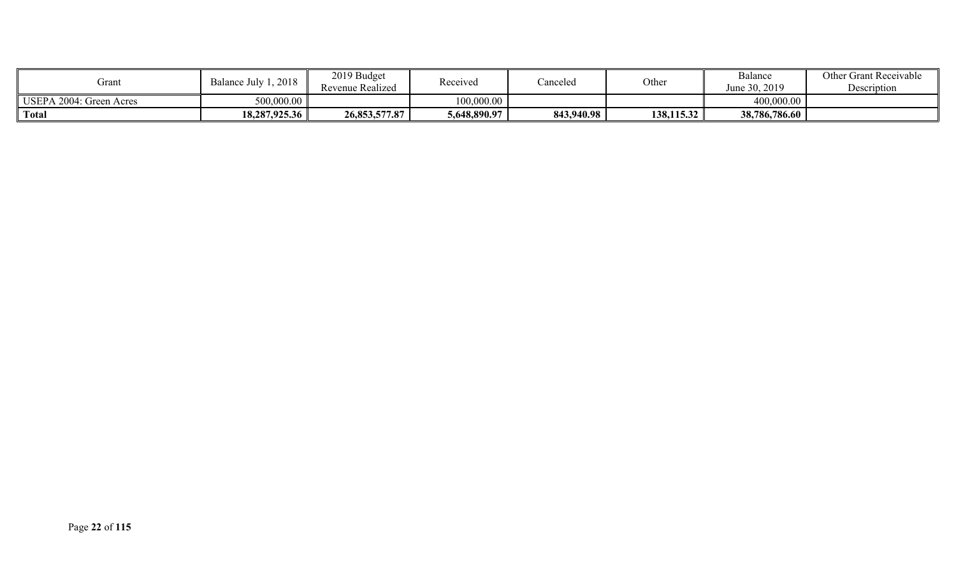| Grant                   | Balance July 1, 2018 | 2019 Budget<br>Revenue Realized | Received     | ∠anceled   | Other      | Balance<br>June 30, 2019 | Other Grant Receivable<br>Description |
|-------------------------|----------------------|---------------------------------|--------------|------------|------------|--------------------------|---------------------------------------|
| USEPA 2004: Green Acres | 500,000.00           |                                 | 100,000.00   |            |            | 400,000.00               |                                       |
| <b>Total</b>            | 18,287,925.36        | 26,853,577.87                   | 5,648,890.97 | 843,940.98 | 138,115.32 | 38,786,786.60            |                                       |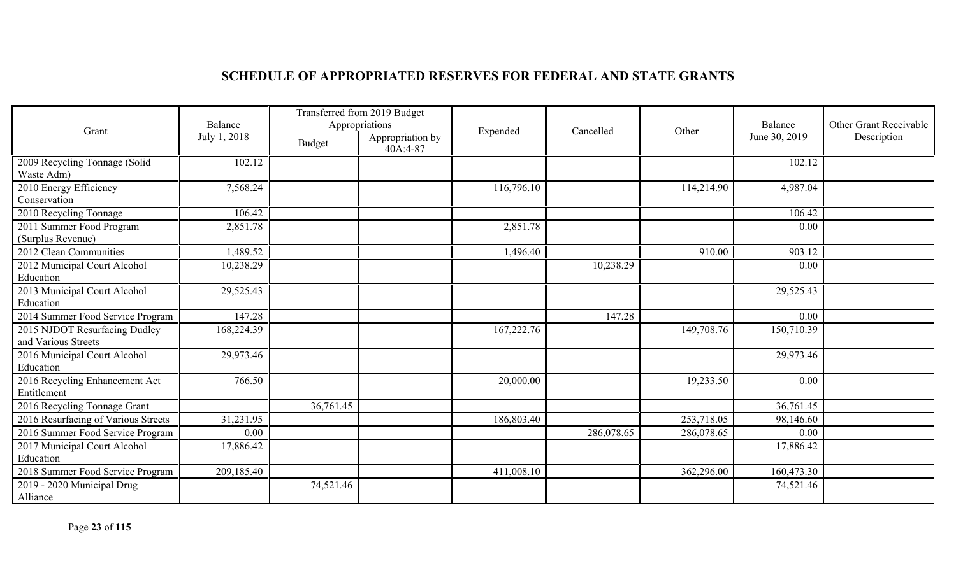## **SCHEDULE OF APPROPRIATED RESERVES FOR FEDERAL AND STATE GRANTS**

|                                                      | Transferred from 2019 Budget<br>Balance<br>Appropriations |               |                              | Cancelled<br>Expended | Other      | Balance    | Other Grant Receivable |             |
|------------------------------------------------------|-----------------------------------------------------------|---------------|------------------------------|-----------------------|------------|------------|------------------------|-------------|
| Grant                                                | July 1, 2018                                              | <b>Budget</b> | Appropriation by<br>40A:4-87 |                       |            |            | June 30, 2019          | Description |
| 2009 Recycling Tonnage (Solid<br>Waste Adm)          | 102.12                                                    |               |                              |                       |            |            | 102.12                 |             |
| 2010 Energy Efficiency<br>Conservation               | 7,568.24                                                  |               |                              | 116,796.10            |            | 114,214.90 | 4,987.04               |             |
| 2010 Recycling Tonnage                               | 106.42                                                    |               |                              |                       |            |            | 106.42                 |             |
| 2011 Summer Food Program<br>(Surplus Revenue)        | 2,851.78                                                  |               |                              | 2,851.78              |            |            | 0.00                   |             |
| 2012 Clean Communities                               | 1,489.52                                                  |               |                              | 1,496.40              |            | 910.00     | 903.12                 |             |
| 2012 Municipal Court Alcohol<br>Education            | 10,238.29                                                 |               |                              |                       | 10,238.29  |            | 0.00                   |             |
| 2013 Municipal Court Alcohol<br>Education            | 29,525.43                                                 |               |                              |                       |            |            | 29,525.43              |             |
| 2014 Summer Food Service Program                     | 147.28                                                    |               |                              |                       | 147.28     |            | 0.00                   |             |
| 2015 NJDOT Resurfacing Dudley<br>and Various Streets | 168,224.39                                                |               |                              | 167,222.76            |            | 149,708.76 | 150,710.39             |             |
| 2016 Municipal Court Alcohol<br>Education            | 29,973.46                                                 |               |                              |                       |            |            | 29,973.46              |             |
| 2016 Recycling Enhancement Act<br>Entitlement        | 766.50                                                    |               |                              | 20,000.00             |            | 19,233.50  | 0.00                   |             |
| 2016 Recycling Tonnage Grant                         |                                                           | 36,761.45     |                              |                       |            |            | 36,761.45              |             |
| 2016 Resurfacing of Various Streets                  | 31,231.95                                                 |               |                              | 186,803.40            |            | 253,718.05 | 98,146.60              |             |
| 2016 Summer Food Service Program                     | 0.00                                                      |               |                              |                       | 286,078.65 | 286,078.65 | 0.00                   |             |
| 2017 Municipal Court Alcohol<br>Education            | 17,886.42                                                 |               |                              |                       |            |            | 17,886.42              |             |
| 2018 Summer Food Service Program                     | 209,185.40                                                |               |                              | 411,008.10            |            | 362,296.00 | 160,473.30             |             |
| 2019 - 2020 Municipal Drug<br>Alliance               |                                                           | 74,521.46     |                              |                       |            |            | 74,521.46              |             |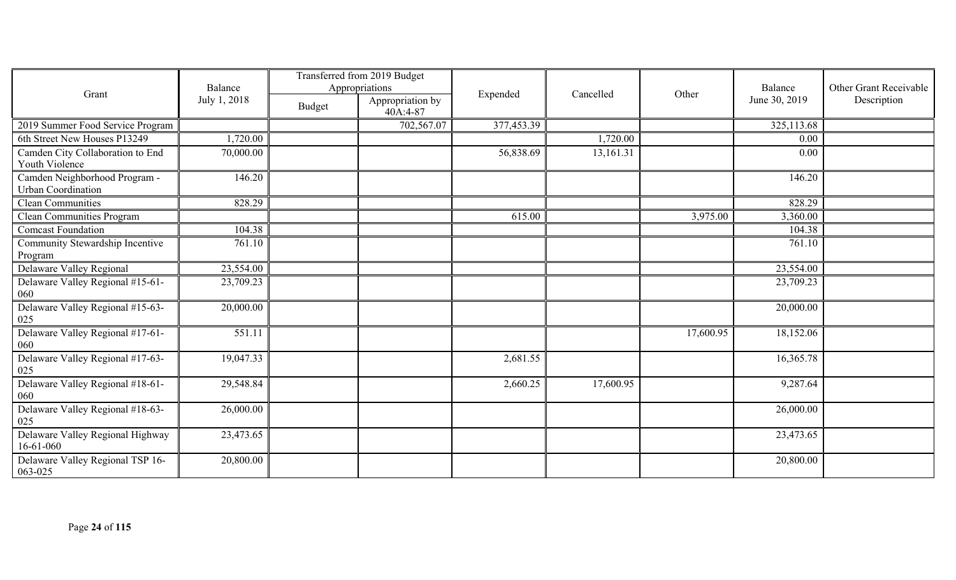| Grant                                               | Balance      | Transferred from 2019 Budget<br>Appropriations |                              | Expended   |           |           | Balance       | <b>Other Grant Receivable</b> |
|-----------------------------------------------------|--------------|------------------------------------------------|------------------------------|------------|-----------|-----------|---------------|-------------------------------|
|                                                     | July 1, 2018 | <b>Budget</b>                                  | Appropriation by<br>40A:4-87 |            | Cancelled | Other     | June 30, 2019 | Description                   |
| 2019 Summer Food Service Program                    |              |                                                | 702,567.07                   | 377,453.39 |           |           | 325,113.68    |                               |
| 6th Street New Houses P13249                        | 1,720.00     |                                                |                              |            | 1,720.00  |           | 0.00          |                               |
| Camden City Collaboration to End<br>Youth Violence  | 70,000.00    |                                                |                              | 56,838.69  | 13,161.31 |           | 0.00          |                               |
| Camden Neighborhood Program -<br>Urban Coordination | 146.20       |                                                |                              |            |           |           | 146.20        |                               |
| Clean Communities                                   | 828.29       |                                                |                              |            |           |           | 828.29        |                               |
| Clean Communities Program                           |              |                                                |                              | 615.00     |           | 3,975.00  | 3,360.00      |                               |
| <b>Comcast Foundation</b>                           | 104.38       |                                                |                              |            |           |           | 104.38        |                               |
| Community Stewardship Incentive<br>Program          | 761.10       |                                                |                              |            |           |           | 761.10        |                               |
| Delaware Valley Regional                            | 23,554.00    |                                                |                              |            |           |           | 23,554.00     |                               |
| Delaware Valley Regional #15-61-<br>060             | 23,709.23    |                                                |                              |            |           |           | 23,709.23     |                               |
| Delaware Valley Regional #15-63-<br>025             | 20,000.00    |                                                |                              |            |           |           | 20,000.00     |                               |
| Delaware Valley Regional #17-61-<br>060             | 551.11       |                                                |                              |            |           | 17,600.95 | 18,152.06     |                               |
| Delaware Valley Regional #17-63-<br>025             | 19,047.33    |                                                |                              | 2,681.55   |           |           | 16,365.78     |                               |
| Delaware Valley Regional #18-61-<br>060             | 29,548.84    |                                                |                              | 2,660.25   | 17,600.95 |           | 9,287.64      |                               |
| Delaware Valley Regional #18-63-<br>025             | 26,000.00    |                                                |                              |            |           |           | 26,000.00     |                               |
| Delaware Valley Regional Highway<br>16-61-060       | 23,473.65    |                                                |                              |            |           |           | 23,473.65     |                               |
| Delaware Valley Regional TSP 16-<br>063-025         | 20,800.00    |                                                |                              |            |           |           | 20,800.00     |                               |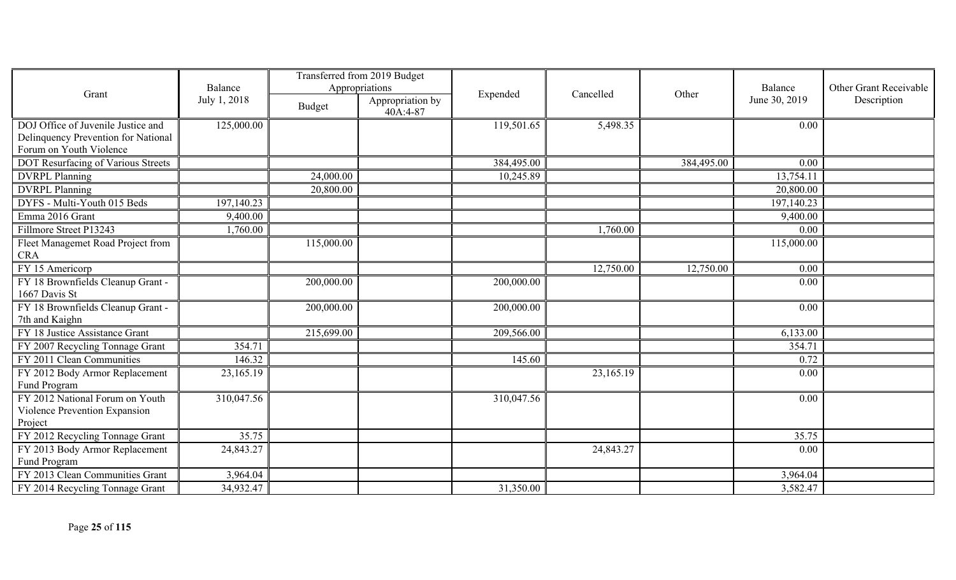|                                     |              |               | Transferred from 2019 Budget |            |           |            |               |                        |
|-------------------------------------|--------------|---------------|------------------------------|------------|-----------|------------|---------------|------------------------|
| Grant                               | Balance      |               | Appropriations               | Expended   | Cancelled | Other      | Balance       | Other Grant Receivable |
|                                     | July 1, 2018 | <b>Budget</b> | Appropriation by<br>40A:4-87 |            |           |            | June 30, 2019 | Description            |
| DOJ Office of Juvenile Justice and  | 125,000.00   |               |                              | 119,501.65 | 5,498.35  |            | 0.00          |                        |
| Delinquency Prevention for National |              |               |                              |            |           |            |               |                        |
| Forum on Youth Violence             |              |               |                              |            |           |            |               |                        |
| DOT Resurfacing of Various Streets  |              |               |                              | 384,495.00 |           | 384,495.00 | 0.00          |                        |
| <b>DVRPL Planning</b>               |              | 24,000.00     |                              | 10,245.89  |           |            | 13,754.11     |                        |
| <b>DVRPL Planning</b>               |              | 20,800.00     |                              |            |           |            | 20,800.00     |                        |
| DYFS - Multi-Youth 015 Beds         | 197,140.23   |               |                              |            |           |            | 197,140.23    |                        |
| Emma 2016 Grant                     | 9,400.00     |               |                              |            |           |            | 9,400.00      |                        |
| Fillmore Street P13243              | 1,760.00     |               |                              |            | 1,760.00  |            | 0.00          |                        |
| Fleet Managemet Road Project from   |              | 115,000.00    |                              |            |           |            | 115,000.00    |                        |
| <b>CRA</b>                          |              |               |                              |            |           |            |               |                        |
| FY 15 Americorp                     |              |               |                              |            | 12,750.00 | 12,750.00  | 0.00          |                        |
| FY 18 Brownfields Cleanup Grant -   |              | 200,000.00    |                              | 200,000.00 |           |            | 0.00          |                        |
| 1667 Davis St                       |              |               |                              |            |           |            |               |                        |
| FY 18 Brownfields Cleanup Grant -   |              | 200,000.00    |                              | 200,000.00 |           |            | 0.00          |                        |
| 7th and Kaighn                      |              |               |                              |            |           |            |               |                        |
| FY 18 Justice Assistance Grant      |              | 215,699.00    |                              | 209,566.00 |           |            | 6,133.00      |                        |
| FY 2007 Recycling Tonnage Grant     | 354.71       |               |                              |            |           |            | 354.71        |                        |
| FY 2011 Clean Communities           | 146.32       |               |                              | 145.60     |           |            | 0.72          |                        |
| FY 2012 Body Armor Replacement      | 23,165.19    |               |                              |            | 23,165.19 |            | 0.00          |                        |
| Fund Program                        |              |               |                              |            |           |            |               |                        |
| FY 2012 National Forum on Youth     | 310,047.56   |               |                              | 310,047.56 |           |            | 0.00          |                        |
| Violence Prevention Expansion       |              |               |                              |            |           |            |               |                        |
| Project                             |              |               |                              |            |           |            |               |                        |
| FY 2012 Recycling Tonnage Grant     | 35.75        |               |                              |            |           |            | 35.75         |                        |
| FY 2013 Body Armor Replacement      | 24,843.27    |               |                              |            | 24,843.27 |            | 0.00          |                        |
| Fund Program                        |              |               |                              |            |           |            |               |                        |
| FY 2013 Clean Communities Grant     | 3,964.04     |               |                              |            |           |            | 3,964.04      |                        |
| FY 2014 Recycling Tonnage Grant     | 34,932.47    |               |                              | 31,350.00  |           |            | 3,582.47      |                        |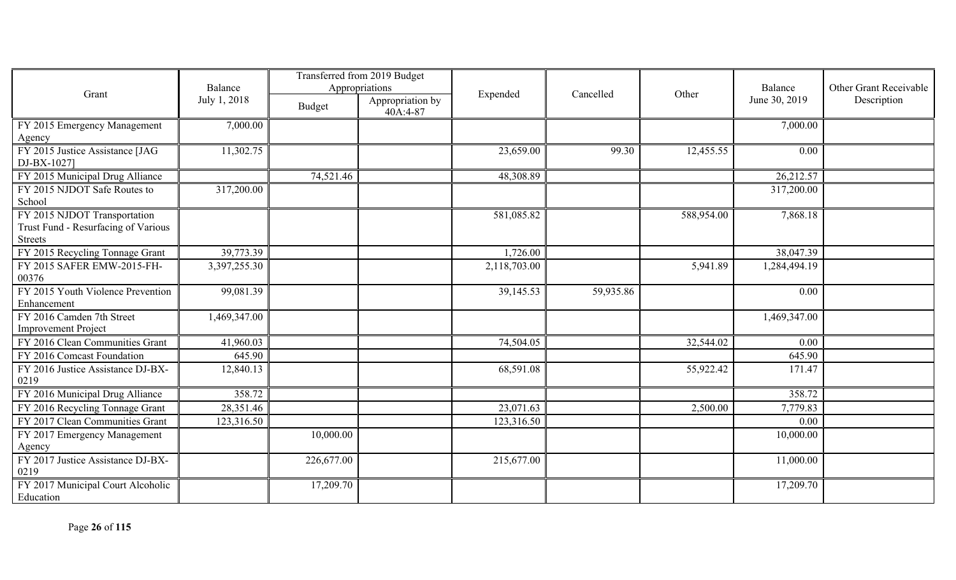|                                                                                       | Balance      | Transferred from 2019 Budget<br>Appropriations |                              |              |           |            | Balance       | <b>Other Grant Receivable</b> |
|---------------------------------------------------------------------------------------|--------------|------------------------------------------------|------------------------------|--------------|-----------|------------|---------------|-------------------------------|
| Grant                                                                                 | July 1, 2018 | Budget                                         | Appropriation by<br>40A:4-87 | Expended     | Cancelled | Other      | June 30, 2019 | Description                   |
| FY 2015 Emergency Management<br>Agency                                                | 7,000.00     |                                                |                              |              |           |            | 7,000.00      |                               |
| FY 2015 Justice Assistance [JAG<br>DJ-BX-1027]                                        | 11,302.75    |                                                |                              | 23,659.00    | 99.30     | 12,455.55  | 0.00          |                               |
| FY 2015 Municipal Drug Alliance                                                       |              | 74,521.46                                      |                              | 48,308.89    |           |            | 26,212.57     |                               |
| FY 2015 NJDOT Safe Routes to<br>School                                                | 317,200.00   |                                                |                              |              |           |            | 317,200.00    |                               |
| FY 2015 NJDOT Transportation<br>Trust Fund - Resurfacing of Various<br><b>Streets</b> |              |                                                |                              | 581,085.82   |           | 588,954.00 | 7,868.18      |                               |
| FY 2015 Recycling Tonnage Grant                                                       | 39,773.39    |                                                |                              | 1,726.00     |           |            | 38,047.39     |                               |
| FY 2015 SAFER EMW-2015-FH-<br>00376                                                   | 3,397,255.30 |                                                |                              | 2,118,703.00 |           | 5,941.89   | 1,284,494.19  |                               |
| FY 2015 Youth Violence Prevention<br>Enhancement                                      | 99,081.39    |                                                |                              | 39,145.53    | 59,935.86 |            | 0.00          |                               |
| FY 2016 Camden 7th Street<br><b>Improvement Project</b>                               | 1,469,347.00 |                                                |                              |              |           |            | 1,469,347.00  |                               |
| FY 2016 Clean Communities Grant                                                       | 41,960.03    |                                                |                              | 74,504.05    |           | 32,544.02  | 0.00          |                               |
| FY 2016 Comcast Foundation                                                            | 645.90       |                                                |                              |              |           |            | 645.90        |                               |
| FY 2016 Justice Assistance DJ-BX-<br>0219                                             | 12,840.13    |                                                |                              | 68,591.08    |           | 55,922.42  | 171.47        |                               |
| FY 2016 Municipal Drug Alliance                                                       | 358.72       |                                                |                              |              |           |            | 358.72        |                               |
| FY 2016 Recycling Tonnage Grant                                                       | 28,351.46    |                                                |                              | 23,071.63    |           | 2,500.00   | 7,779.83      |                               |
| FY 2017 Clean Communities Grant                                                       | 123,316.50   |                                                |                              | 123,316.50   |           |            | 0.00          |                               |
| FY 2017 Emergency Management<br>Agency                                                |              | 10,000.00                                      |                              |              |           |            | 10,000.00     |                               |
| FY 2017 Justice Assistance DJ-BX-<br>0219                                             |              | 226,677.00                                     |                              | 215,677.00   |           |            | 11,000.00     |                               |
| FY 2017 Municipal Court Alcoholic<br>Education                                        |              | 17,209.70                                      |                              |              |           |            | 17,209.70     |                               |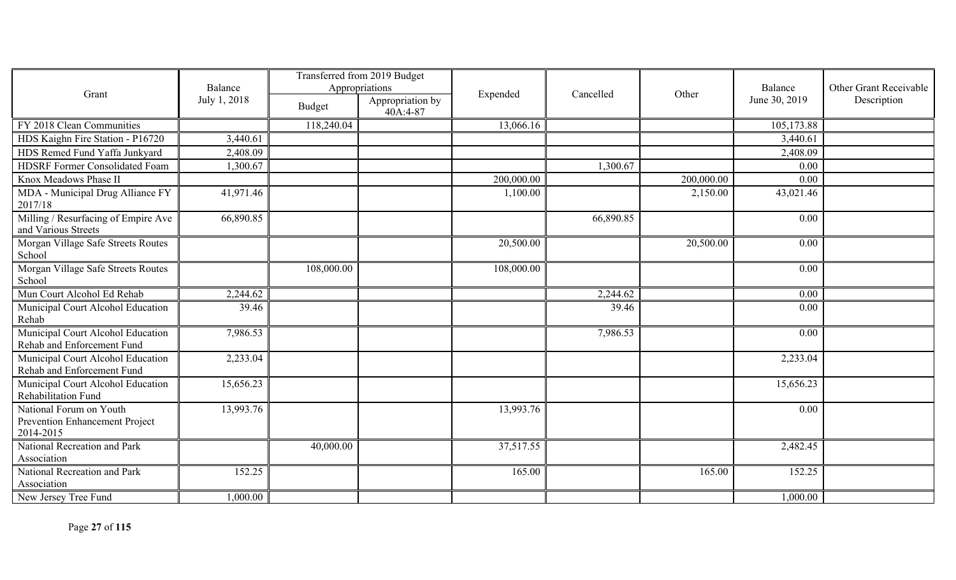|                                                                 |              | Transferred from 2019 Budget |                              |            |           |            |               |                               |
|-----------------------------------------------------------------|--------------|------------------------------|------------------------------|------------|-----------|------------|---------------|-------------------------------|
| Grant                                                           | Balance      |                              | Appropriations               | Expended   | Cancelled | Other      | Balance       | <b>Other Grant Receivable</b> |
|                                                                 | July 1, 2018 | <b>Budget</b>                | Appropriation by<br>40A:4-87 |            |           |            | June 30, 2019 | Description                   |
| FY 2018 Clean Communities                                       |              | 118,240.04                   |                              | 13,066.16  |           |            | 105,173.88    |                               |
| HDS Kaighn Fire Station - P16720                                | 3,440.61     |                              |                              |            |           |            | 3,440.61      |                               |
| HDS Remed Fund Yaffa Junkyard                                   | 2,408.09     |                              |                              |            |           |            | 2,408.09      |                               |
| <b>HDSRF</b> Former Consolidated Foam                           | 1,300.67     |                              |                              |            | 1,300.67  |            | 0.00          |                               |
| Knox Meadows Phase II                                           |              |                              |                              | 200,000.00 |           | 200,000.00 | 0.00          |                               |
| MDA - Municipal Drug Alliance FY                                | 41,971.46    |                              |                              | 1,100.00   |           | 2,150.00   | 43,021.46     |                               |
| 2017/18                                                         |              |                              |                              |            |           |            |               |                               |
| Milling / Resurfacing of Empire Ave<br>and Various Streets      | 66,890.85    |                              |                              |            | 66,890.85 |            | 0.00          |                               |
| Morgan Village Safe Streets Routes<br>School                    |              |                              |                              | 20,500.00  |           | 20,500.00  | 0.00          |                               |
| Morgan Village Safe Streets Routes                              |              | 108,000.00                   |                              | 108,000.00 |           |            | 0.00          |                               |
| School                                                          |              |                              |                              |            |           |            |               |                               |
| Mun Court Alcohol Ed Rehab                                      | 2,244.62     |                              |                              |            | 2,244.62  |            | 0.00          |                               |
| Municipal Court Alcohol Education<br>Rehab                      | 39.46        |                              |                              |            | 39.46     |            | 0.00          |                               |
| Municipal Court Alcohol Education<br>Rehab and Enforcement Fund | 7,986.53     |                              |                              |            | 7,986.53  |            | 0.00          |                               |
| Municipal Court Alcohol Education<br>Rehab and Enforcement Fund | 2,233.04     |                              |                              |            |           |            | 2,233.04      |                               |
| Municipal Court Alcohol Education<br>Rehabilitation Fund        | 15,656.23    |                              |                              |            |           |            | 15,656.23     |                               |
| National Forum on Youth                                         | 13,993.76    |                              |                              | 13,993.76  |           |            | 0.00          |                               |
| Prevention Enhancement Project                                  |              |                              |                              |            |           |            |               |                               |
| 2014-2015                                                       |              |                              |                              |            |           |            |               |                               |
| National Recreation and Park                                    |              | 40,000.00                    |                              | 37,517.55  |           |            | 2,482.45      |                               |
| Association                                                     |              |                              |                              |            |           |            |               |                               |
| National Recreation and Park                                    | 152.25       |                              |                              | 165.00     |           | 165.00     | 152.25        |                               |
| Association                                                     |              |                              |                              |            |           |            |               |                               |
| New Jersey Tree Fund                                            | 1,000.00     |                              |                              |            |           |            | 1,000.00      |                               |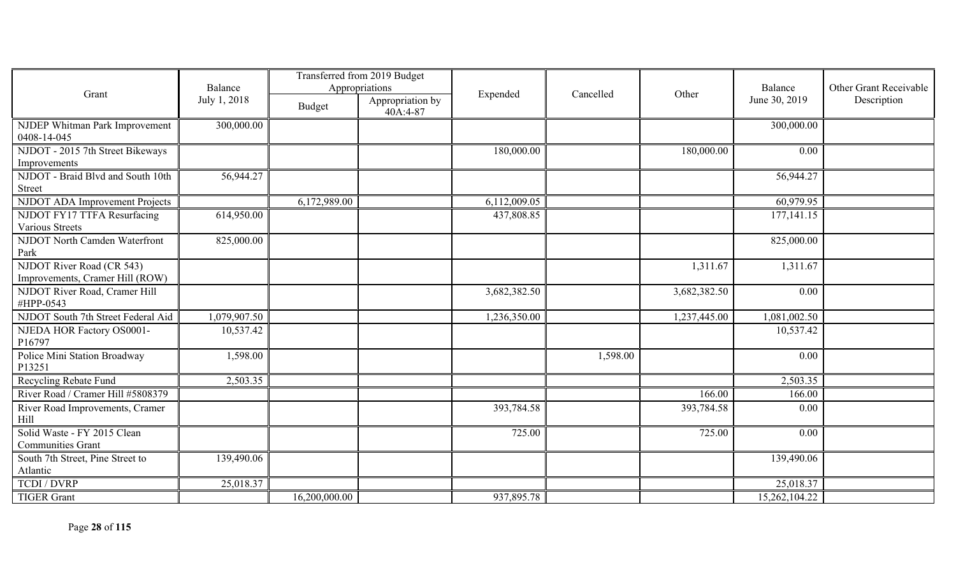|                                                              |              | Transferred from 2019 Budget |                              |              |           |              |               |                               |
|--------------------------------------------------------------|--------------|------------------------------|------------------------------|--------------|-----------|--------------|---------------|-------------------------------|
| Grant                                                        | Balance      |                              | Appropriations               | Expended     | Cancelled | Other        | Balance       | <b>Other Grant Receivable</b> |
|                                                              | July 1, 2018 | <b>Budget</b>                | Appropriation by<br>40A:4-87 |              |           |              | June 30, 2019 | Description                   |
| NJDEP Whitman Park Improvement<br>0408-14-045                | 300,000.00   |                              |                              |              |           |              | 300,000.00    |                               |
| NJDOT - 2015 7th Street Bikeways<br>Improvements             |              |                              |                              | 180,000.00   |           | 180,000.00   | 0.00          |                               |
| NJDOT - Braid Blvd and South 10th<br>Street                  | 56,944.27    |                              |                              |              |           |              | 56,944.27     |                               |
| NJDOT ADA Improvement Projects                               |              | 6,172,989.00                 |                              | 6,112,009.05 |           |              | 60,979.95     |                               |
| NJDOT FY17 TTFA Resurfacing<br>Various Streets               | 614,950.00   |                              |                              | 437,808.85   |           |              | 177, 141. 15  |                               |
| NJDOT North Camden Waterfront<br>Park                        | 825,000.00   |                              |                              |              |           |              | 825,000.00    |                               |
| NJDOT River Road (CR 543)<br>Improvements, Cramer Hill (ROW) |              |                              |                              |              |           | 1,311.67     | 1,311.67      |                               |
| NJDOT River Road, Cramer Hill<br>#HPP-0543                   |              |                              |                              | 3,682,382.50 |           | 3,682,382.50 | 0.00          |                               |
| NJDOT South 7th Street Federal Aid                           | 1,079,907.50 |                              |                              | 1,236,350.00 |           | 1,237,445.00 | 1,081,002.50  |                               |
| NJEDA HOR Factory OS0001-<br>P16797                          | 10,537.42    |                              |                              |              |           |              | 10,537.42     |                               |
| Police Mini Station Broadway<br>P13251                       | 1,598.00     |                              |                              |              | 1,598.00  |              | 0.00          |                               |
| Recycling Rebate Fund                                        | 2,503.35     |                              |                              |              |           |              | 2,503.35      |                               |
| River Road / Cramer Hill #5808379                            |              |                              |                              |              |           | 166.00       | 166.00        |                               |
| River Road Improvements, Cramer<br>Hill                      |              |                              |                              | 393,784.58   |           | 393,784.58   | 0.00          |                               |
| Solid Waste - FY 2015 Clean<br><b>Communities Grant</b>      |              |                              |                              | 725.00       |           | 725.00       | 0.00          |                               |
| South 7th Street, Pine Street to<br>Atlantic                 | 139,490.06   |                              |                              |              |           |              | 139,490.06    |                               |
| <b>TCDI</b> / DVRP                                           | 25,018.37    |                              |                              |              |           |              | 25,018.37     |                               |
| <b>TIGER Grant</b>                                           |              | 16,200,000.00                |                              | 937,895.78   |           |              | 15,262,104.22 |                               |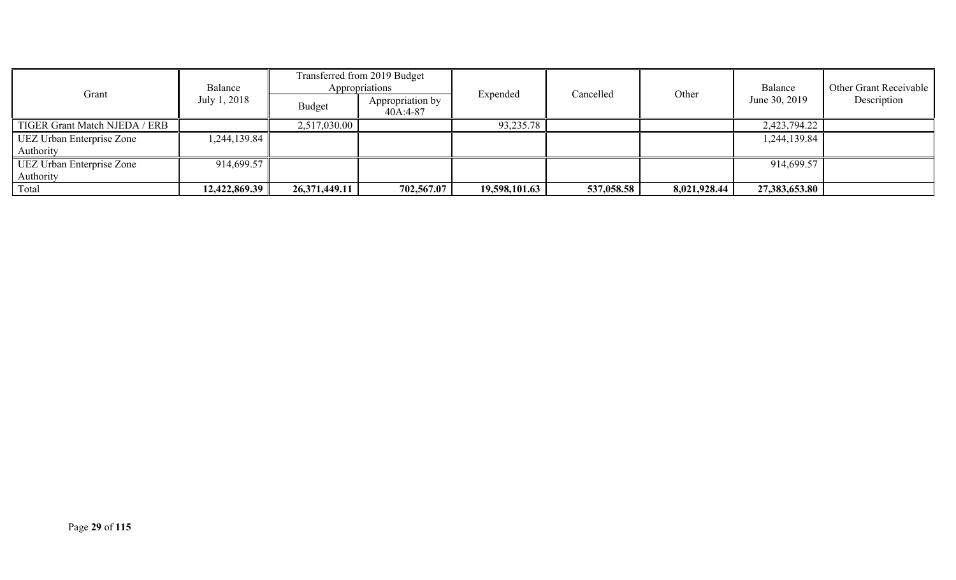| Grant                         | Balance       | Transferred from 2019 Budget<br>Appropriations |                              | Expended      | Cancelled  | Other        | Balance       | Other Grant Receivable |
|-------------------------------|---------------|------------------------------------------------|------------------------------|---------------|------------|--------------|---------------|------------------------|
|                               | July 1, 2018  | <b>Budget</b>                                  | Appropriation by<br>40A:4-87 |               |            |              | June 30, 2019 | Description            |
| TIGER Grant Match NJEDA / ERB |               | 2,517,030.00                                   |                              | 93,235.78     |            |              | 2,423,794.22  |                        |
| UEZ Urban Enterprise Zone     | 1,244,139.84  |                                                |                              |               |            |              | 1,244,139.84  |                        |
| Authority                     |               |                                                |                              |               |            |              |               |                        |
| UEZ Urban Enterprise Zone     | 914,699.57    |                                                |                              |               |            |              | 914,699.57    |                        |
| Authority                     |               |                                                |                              |               |            |              |               |                        |
| Total                         | 12,422,869.39 | 26,371,449.11                                  | 702,567.07                   | 19,598,101.63 | 537,058.58 | 8,021,928.44 | 27,383,653.80 |                        |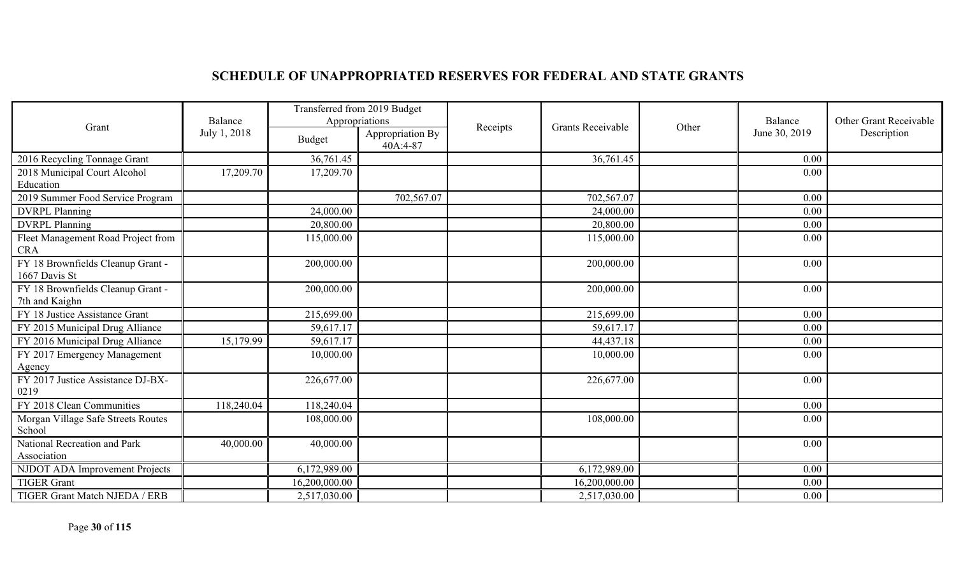## **SCHEDULE OF UNAPPROPRIATED RESERVES FOR FEDERAL AND STATE GRANTS**

|                                                     | Balance      | Transferred from 2019 Budget<br>Appropriations |                              | Receipts |                          |       | Balance       | Other Grant Receivable |
|-----------------------------------------------------|--------------|------------------------------------------------|------------------------------|----------|--------------------------|-------|---------------|------------------------|
| Grant                                               | July 1, 2018 | <b>Budget</b>                                  | Appropriation By<br>40A:4-87 |          | <b>Grants Receivable</b> | Other | June 30, 2019 | Description            |
| 2016 Recycling Tonnage Grant                        |              | 36,761.45                                      |                              |          | 36,761.45                |       | 0.00          |                        |
| 2018 Municipal Court Alcohol<br>Education           | 17,209.70    | 17,209.70                                      |                              |          |                          |       | 0.00          |                        |
| 2019 Summer Food Service Program                    |              |                                                | 702,567.07                   |          | 702,567.07               |       | 0.00          |                        |
| <b>DVRPL Planning</b>                               |              | 24,000.00                                      |                              |          | 24,000.00                |       | 0.00          |                        |
| <b>DVRPL</b> Planning                               |              | 20,800.00                                      |                              |          | 20,800.00                |       | 0.00          |                        |
| Fleet Management Road Project from<br><b>CRA</b>    |              | 115,000.00                                     |                              |          | 115,000.00               |       | 0.00          |                        |
| FY 18 Brownfields Cleanup Grant -<br>1667 Davis St  |              | 200,000.00                                     |                              |          | 200,000.00               |       | 0.00          |                        |
| FY 18 Brownfields Cleanup Grant -<br>7th and Kaighn |              | 200,000.00                                     |                              |          | 200,000.00               |       | 0.00          |                        |
| FY 18 Justice Assistance Grant                      |              | 215,699.00                                     |                              |          | 215,699.00               |       | 0.00          |                        |
| FY 2015 Municipal Drug Alliance                     |              | 59,617.17                                      |                              |          | 59,617.17                |       | 0.00          |                        |
| FY 2016 Municipal Drug Alliance                     | 15,179.99    | 59,617.17                                      |                              |          | 44,437.18                |       | 0.00          |                        |
| FY 2017 Emergency Management<br>Agency              |              | 10,000.00                                      |                              |          | 10,000.00                |       | 0.00          |                        |
| FY 2017 Justice Assistance DJ-BX-<br>0219           |              | 226,677.00                                     |                              |          | 226,677.00               |       | 0.00          |                        |
| FY 2018 Clean Communities                           | 118,240.04   | 118,240.04                                     |                              |          |                          |       | 0.00          |                        |
| Morgan Village Safe Streets Routes<br>School        |              | 108,000.00                                     |                              |          | 108,000.00               |       | 0.00          |                        |
| National Recreation and Park<br>Association         | 40,000.00    | 40,000.00                                      |                              |          |                          |       | 0.00          |                        |
| NJDOT ADA Improvement Projects                      |              | 6,172,989.00                                   |                              |          | 6,172,989.00             |       | 0.00          |                        |
| <b>TIGER Grant</b>                                  |              | 16,200,000.00                                  |                              |          | 16,200,000.00            |       | 0.00          |                        |
| TIGER Grant Match NJEDA / ERB                       |              | 2,517,030.00                                   |                              |          | 2,517,030.00             |       | 0.00          |                        |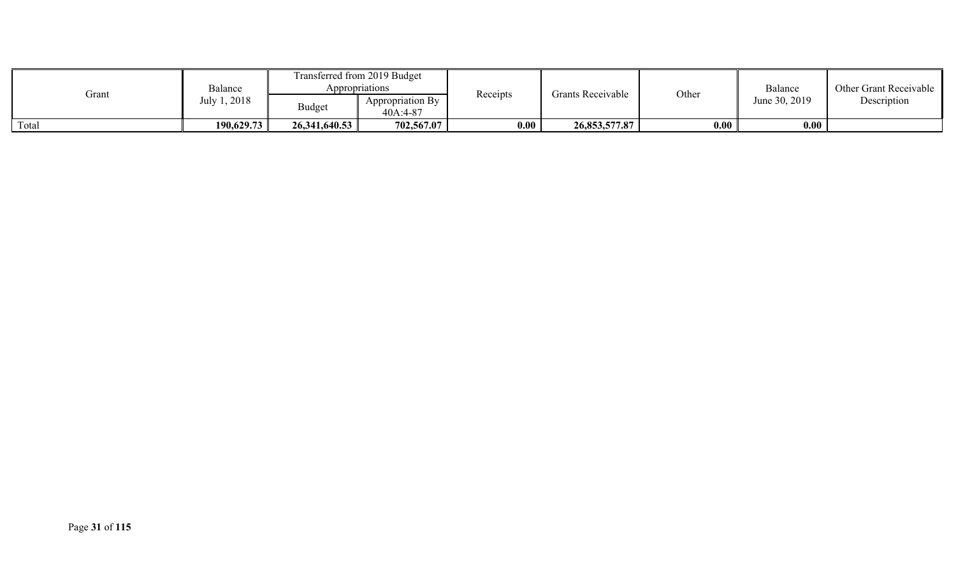|       | Balance<br>July 1, 2018 | Transferred from 2019 Budget<br>Appropriations |                              | Receipts | Grants Receivable | Other | Balance           | Other Grant Receivable |
|-------|-------------------------|------------------------------------------------|------------------------------|----------|-------------------|-------|-------------------|------------------------|
| Grant |                         | <b>Budget</b>                                  | Appropriation By<br>40A:4-87 |          |                   |       | June 30, 2019     | Description            |
| Total | 190,629.73              | 26,341,640.53                                  | 702,567.07                   | $0.00\,$ | 26,853,577.87     | 0.00  | 0.00 <sub>1</sub> |                        |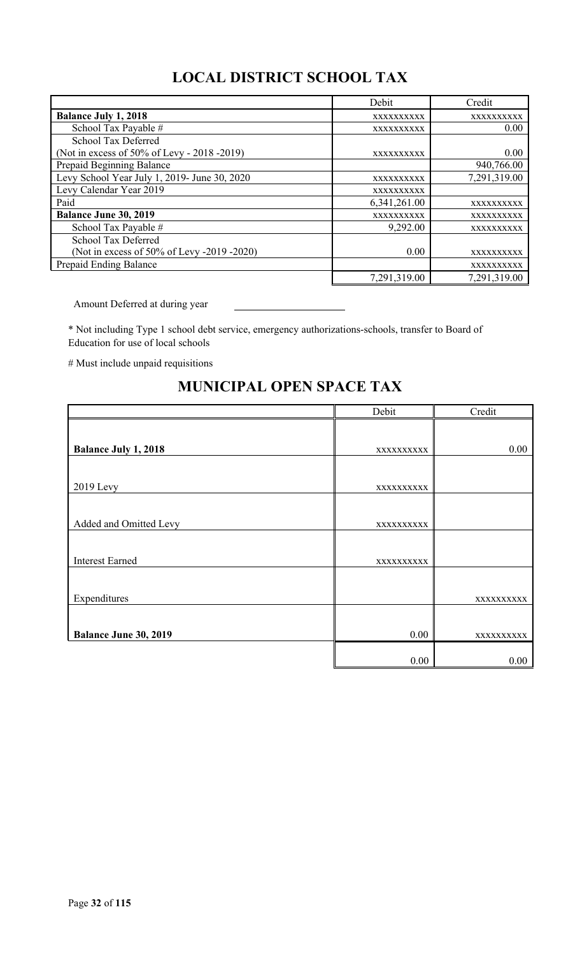## **LOCAL DISTRICT SCHOOL TAX**

|                                              | Debit        | Credit       |
|----------------------------------------------|--------------|--------------|
| <b>Balance July 1, 2018</b>                  | XXXXXXXXXX   | XXXXXXXXXX   |
| School Tax Payable #                         | XXXXXXXXXX   | 0.00         |
| School Tax Deferred                          |              |              |
| (Not in excess of 50% of Levy - 2018 -2019)  | XXXXXXXXXX   | 0.00         |
| Prepaid Beginning Balance                    |              | 940,766.00   |
| Levy School Year July 1, 2019- June 30, 2020 | XXXXXXXXXX   | 7,291,319.00 |
| Levy Calendar Year 2019                      | XXXXXXXXXX   |              |
| Paid                                         | 6,341,261.00 | XXXXXXXXXX   |
| <b>Balance June 30, 2019</b>                 | XXXXXXXXXX   | XXXXXXXXXX   |
| School Tax Payable #                         | 9,292.00     | XXXXXXXXXX   |
| School Tax Deferred                          |              |              |
| (Not in excess of 50% of Levy -2019 -2020)   | 0.00         | XXXXXXXXXX   |
| Prepaid Ending Balance                       |              | XXXXXXXXXX   |
|                                              | 7,291,319.00 | 7,291,319.00 |

Amount Deferred at during year

\* Not including Type 1 school debt service, emergency authorizations-schools, transfer to Board of Education for use of local schools

# Must include unpaid requisitions

|                              | Debit      | Credit     |
|------------------------------|------------|------------|
|                              |            |            |
| <b>Balance July 1, 2018</b>  | XXXXXXXXXX | 0.00       |
|                              |            |            |
| 2019 Levy                    | XXXXXXXXXX |            |
|                              |            |            |
| Added and Omitted Levy       | XXXXXXXXXX |            |
|                              |            |            |
| <b>Interest Earned</b>       | XXXXXXXXXX |            |
|                              |            |            |
| Expenditures                 |            | XXXXXXXXXX |
|                              |            |            |
| <b>Balance June 30, 2019</b> | 0.00       | XXXXXXXXXX |
|                              |            |            |
|                              | 0.00       | 0.00       |

## **MUNICIPAL OPEN SPACE TAX**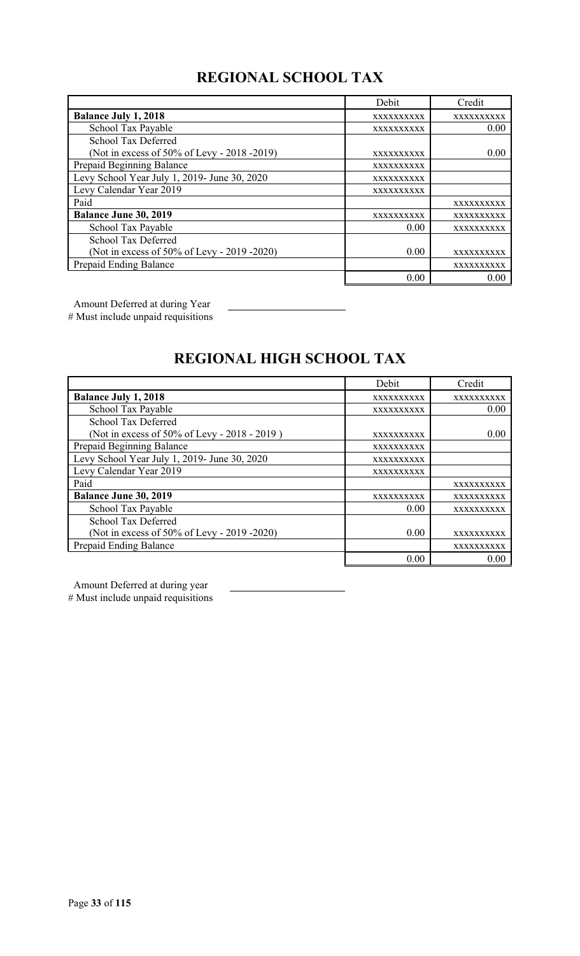## **REGIONAL SCHOOL TAX**

|                                              | Debit             | Credit     |
|----------------------------------------------|-------------------|------------|
| <b>Balance July 1, 2018</b>                  | XXXXXXXXXX        | XXXXXXXXXX |
| School Tax Payable                           | XXXXXXXXXX        | 0.00       |
| School Tax Deferred                          |                   |            |
| (Not in excess of 50% of Levy - 2018 -2019)  | XXXXXXXXXX        | 0.00       |
| Prepaid Beginning Balance                    | <b>XXXXXXXXXX</b> |            |
| Levy School Year July 1, 2019- June 30, 2020 | XXXXXXXXXX        |            |
| Levy Calendar Year 2019                      | XXXXXXXXXX        |            |
| Paid                                         |                   | XXXXXXXXXX |
| <b>Balance June 30, 2019</b>                 | XXXXXXXXXX        | XXXXXXXXXX |
| School Tax Payable                           | 0.00              | XXXXXXXXXX |
| <b>School Tax Deferred</b>                   |                   |            |
| (Not in excess of 50% of Levy - 2019 -2020)  | 0.00              | XXXXXXXXXX |
| Prepaid Ending Balance                       |                   | XXXXXXXXXX |
|                                              | 0.00              | 0.00       |

Amount Deferred at during Year

# Must include unpaid requisitions

## **REGIONAL HIGH SCHOOL TAX**

|                                              | Debit      | Credit     |
|----------------------------------------------|------------|------------|
| <b>Balance July 1, 2018</b>                  | XXXXXXXXXX | XXXXXXXXXX |
| School Tax Payable                           | XXXXXXXXXX | 0.00       |
| School Tax Deferred                          |            |            |
| (Not in excess of 50% of Levy - 2018 - 2019) | XXXXXXXXXX | 0.00       |
| Prepaid Beginning Balance                    | XXXXXXXXXX |            |
| Levy School Year July 1, 2019- June 30, 2020 | XXXXXXXXXX |            |
| Levy Calendar Year 2019                      | XXXXXXXXXX |            |
| Paid                                         |            | XXXXXXXXXX |
| <b>Balance June 30, 2019</b>                 | XXXXXXXXXX | XXXXXXXXXX |
| School Tax Payable                           | 0.00       | XXXXXXXXXX |
| <b>School Tax Deferred</b>                   |            |            |
| (Not in excess of 50% of Levy - 2019 -2020)  | 0.00       | XXXXXXXXXX |
| Prepaid Ending Balance                       |            | XXXXXXXXXX |
|                                              | 0.00       | 0.00       |

Amount Deferred at during year

# Must include unpaid requisitions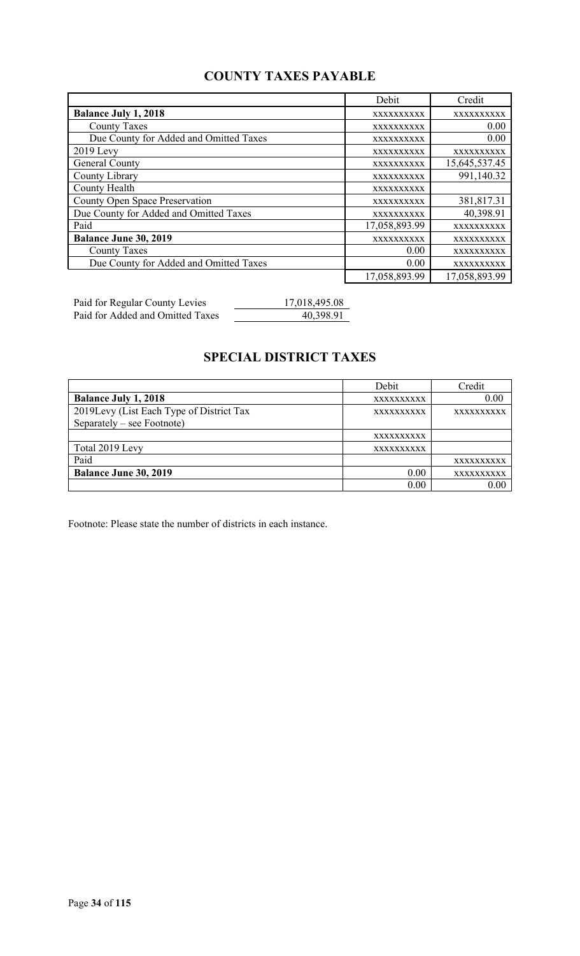### **COUNTY TAXES PAYABLE**

|                                        | Debit         | Credit        |
|----------------------------------------|---------------|---------------|
| <b>Balance July 1, 2018</b>            | XXXXXXXXXX    | XXXXXXXXXX    |
| <b>County Taxes</b>                    | XXXXXXXXXX    | 0.00          |
| Due County for Added and Omitted Taxes | XXXXXXXXXX    | 0.00          |
| 2019 Levy                              | XXXXXXXXXX    | XXXXXXXXXX    |
| General County                         | XXXXXXXXXX    | 15,645,537.45 |
| County Library                         | XXXXXXXXXX    | 991,140.32    |
| <b>County Health</b>                   | XXXXXXXXXX    |               |
| <b>County Open Space Preservation</b>  | XXXXXXXXXX    | 381,817.31    |
| Due County for Added and Omitted Taxes | XXXXXXXXXX    | 40,398.91     |
| Paid                                   | 17,058,893.99 | XXXXXXXXXX    |
| <b>Balance June 30, 2019</b>           | XXXXXXXXXX    | XXXXXXXXXX    |
| <b>County Taxes</b>                    | 0.00          | XXXXXXXXXX    |
| Due County for Added and Omitted Taxes | 0.00          | XXXXXXXXXX    |
|                                        | 17,058,893.99 | 17,058,893.99 |

Paid for Regular County Levies 17,018,495.08 Paid for Added and Omitted Taxes 40,398.91

## **SPECIAL DISTRICT TAXES**

|                                          | Debit      | Credit     |
|------------------------------------------|------------|------------|
| <b>Balance July 1, 2018</b>              | XXXXXXXXXX | 0.00       |
| 2019Levy (List Each Type of District Tax | XXXXXXXXXX | XXXXXXXXXX |
| Separately – see Footnote)               |            |            |
|                                          | XXXXXXXXXX |            |
| Total 2019 Levy                          | XXXXXXXXXX |            |
| Paid                                     |            | XXXXXXXXXX |
| <b>Balance June 30, 2019</b>             | 0.00       | XXXXXXXXXX |
|                                          | 0.00       | 0.00       |

Footnote: Please state the number of districts in each instance.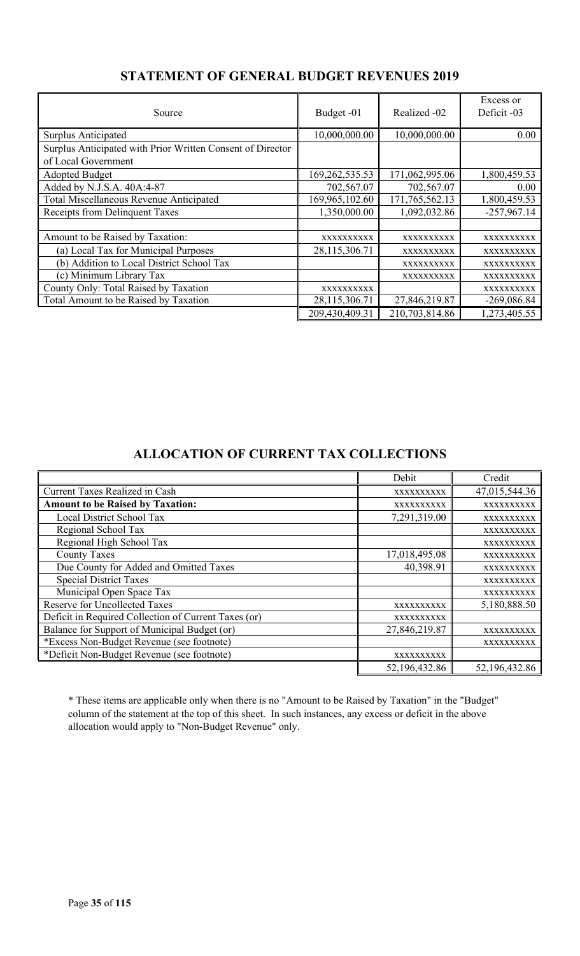| Source                                                     | Budget -01        | Realized -02   | Excess or<br>Deficit -03 |
|------------------------------------------------------------|-------------------|----------------|--------------------------|
| Surplus Anticipated                                        | 10,000,000.00     | 10,000,000.00  | 0.00                     |
| Surplus Anticipated with Prior Written Consent of Director |                   |                |                          |
| of Local Government                                        |                   |                |                          |
| <b>Adopted Budget</b>                                      | 169, 262, 535. 53 | 171,062,995.06 | 1,800,459.53             |
| Added by N.J.S.A. 40A:4-87                                 | 702,567.07        | 702,567.07     | 0.00                     |
| Total Miscellaneous Revenue Anticipated                    | 169,965,102.60    | 171,765,562.13 | 1,800,459.53             |
| Receipts from Delinquent Taxes                             | 1,350,000.00      | 1,092,032.86   | $-257,967.14$            |
|                                                            |                   |                |                          |
| Amount to be Raised by Taxation:                           | XXXXXXXXXX        | XXXXXXXXXX     | XXXXXXXXXX               |
| (a) Local Tax for Municipal Purposes                       | 28,115,306.71     | XXXXXXXXXX     | XXXXXXXXXX               |
| (b) Addition to Local District School Tax                  |                   | XXXXXXXXXX     | XXXXXXXXXX               |
| (c) Minimum Library Tax                                    |                   | XXXXXXXXXX     | XXXXXXXXXX               |
| County Only: Total Raised by Taxation                      | XXXXXXXXXX        |                | XXXXXXXXXX               |
| Total Amount to be Raised by Taxation                      | 28,115,306.71     | 27,846,219.87  | $-269,086.84$            |
|                                                            | 209,430,409.31    | 210,703,814.86 | 1,273,405.55             |

### **STATEMENT OF GENERAL BUDGET REVENUES 2019**

### **ALLOCATION OF CURRENT TAX COLLECTIONS**

|                                                      | Debit         | Credit        |
|------------------------------------------------------|---------------|---------------|
| <b>Current Taxes Realized in Cash</b>                | XXXXXXXXXX    | 47,015,544.36 |
| <b>Amount to be Raised by Taxation:</b>              | XXXXXXXXXX    | XXXXXXXXXX    |
| Local District School Tax                            | 7,291,319.00  | XXXXXXXXXX    |
| Regional School Tax                                  |               | XXXXXXXXXX    |
| Regional High School Tax                             |               | XXXXXXXXXX    |
| <b>County Taxes</b>                                  | 17,018,495.08 | XXXXXXXXXX    |
| Due County for Added and Omitted Taxes               | 40,398.91     | XXXXXXXXXX    |
| <b>Special District Taxes</b>                        |               | XXXXXXXXXX    |
| Municipal Open Space Tax                             |               | XXXXXXXXXX    |
| <b>Reserve for Uncollected Taxes</b>                 | XXXXXXXXXX    | 5,180,888.50  |
| Deficit in Required Collection of Current Taxes (or) | XXXXXXXXXX    |               |
| Balance for Support of Municipal Budget (or)         | 27,846,219.87 | XXXXXXXXXX    |
| *Excess Non-Budget Revenue (see footnote)            |               | XXXXXXXXXX    |
| *Deficit Non-Budget Revenue (see footnote)           | XXXXXXXXXX    |               |
|                                                      | 52,196,432.86 | 52,196,432.86 |

\* These items are applicable only when there is no "Amount to be Raised by Taxation" in the "Budget" column of the statement at the top of this sheet. In such instances, any excess or deficit in the above allocation would apply to "Non-Budget Revenue" only.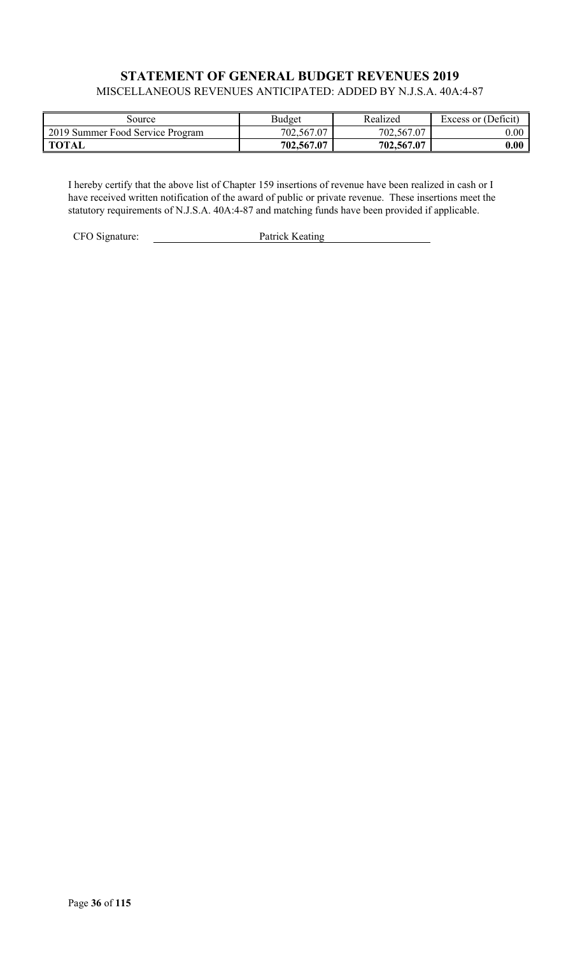#### **STATEMENT OF GENERAL BUDGET REVENUES 2019** MISCELLANEOUS REVENUES ANTICIPATED: ADDED BY N.J.S.A. 40A:4-87

| Source                           | <b>Budget</b> | Realized   | Excess or (Deficit) |
|----------------------------------|---------------|------------|---------------------|
| 2019 Summer Food Service Program | 702,567.07    | 702,567.07 | $0.00\,$            |
| <b>! TOTAL</b>                   | 702,567.07    | 702,567.07 | 0.00                |

I hereby certify that the above list of Chapter 159 insertions of revenue have been realized in cash or I have received written notification of the award of public or private revenue. These insertions meet the statutory requirements of N.J.S.A. 40A:4-87 and matching funds have been provided if applicable.

CFO Signature: Patrick Keating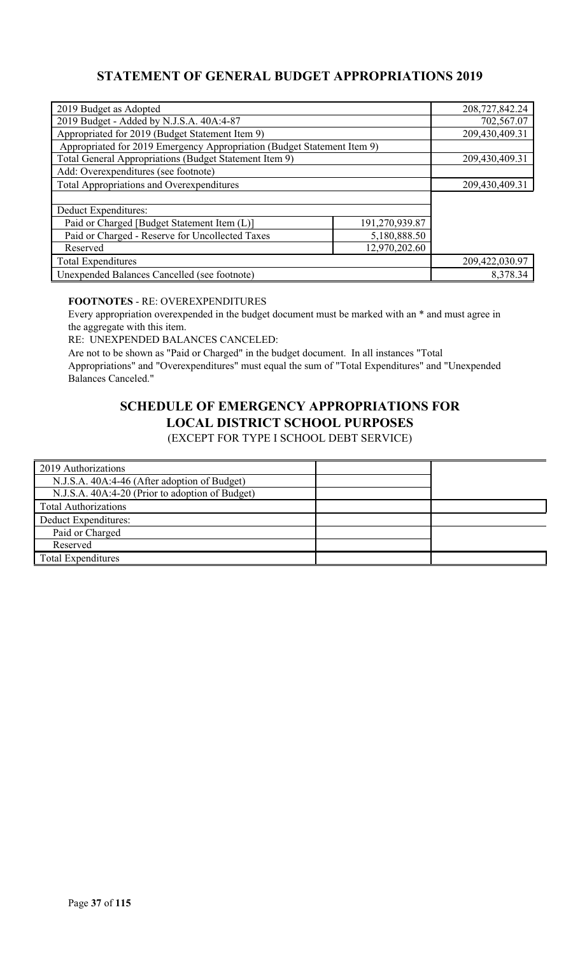## **STATEMENT OF GENERAL BUDGET APPROPRIATIONS 2019**

| 2019 Budget as Adopted                                                  |  | 208, 727, 842. 24 |
|-------------------------------------------------------------------------|--|-------------------|
| 2019 Budget - Added by N.J.S.A. 40A:4-87                                |  | 702,567.07        |
| Appropriated for 2019 (Budget Statement Item 9)                         |  | 209,430,409.31    |
| Appropriated for 2019 Emergency Appropriation (Budget Statement Item 9) |  |                   |
| Total General Appropriations (Budget Statement Item 9)                  |  | 209,430,409.31    |
| Add: Overexpenditures (see footnote)                                    |  |                   |
| <b>Total Appropriations and Overexpenditures</b>                        |  | 209,430,409.31    |
|                                                                         |  |                   |
| Deduct Expenditures:                                                    |  |                   |
| Paid or Charged [Budget Statement Item (L)]<br>191,270,939.87           |  |                   |
| Paid or Charged - Reserve for Uncollected Taxes<br>5,180,888.50         |  |                   |
| 12,970,202.60<br>Reserved                                               |  |                   |
| <b>Total Expenditures</b>                                               |  | 209,422,030.97    |
| Unexpended Balances Cancelled (see footnote)                            |  | 8,378.34          |

#### **FOOTNOTES** - RE: OVEREXPENDITURES

Every appropriation overexpended in the budget document must be marked with an \* and must agree in the aggregate with this item.

RE: UNEXPENDED BALANCES CANCELED:

Are not to be shown as "Paid or Charged" in the budget document. In all instances "Total Appropriations" and "Overexpenditures" must equal the sum of "Total Expenditures" and "Unexpended Balances Canceled."

# **SCHEDULE OF EMERGENCY APPROPRIATIONS FOR LOCAL DISTRICT SCHOOL PURPOSES**

(EXCEPT FOR TYPE I SCHOOL DEBT SERVICE)

| 2019 Authorizations                             |  |
|-------------------------------------------------|--|
| N.J.S.A. 40A:4-46 (After adoption of Budget)    |  |
| N.J.S.A. 40A:4-20 (Prior to adoption of Budget) |  |
| <b>Total Authorizations</b>                     |  |
| Deduct Expenditures:                            |  |
| Paid or Charged                                 |  |
| Reserved                                        |  |
| <b>Total Expenditures</b>                       |  |
|                                                 |  |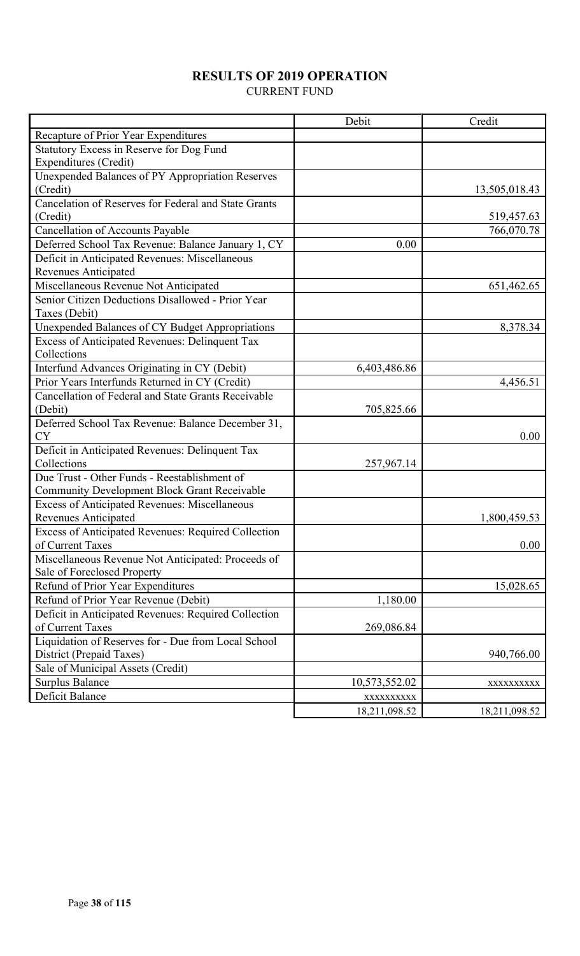# **RESULTS OF 2019 OPERATION**

CURRENT FUND

|                                                       | Debit         | Credit        |
|-------------------------------------------------------|---------------|---------------|
| Recapture of Prior Year Expenditures                  |               |               |
| Statutory Excess in Reserve for Dog Fund              |               |               |
| Expenditures (Credit)                                 |               |               |
| Unexpended Balances of PY Appropriation Reserves      |               |               |
| (Credit)                                              |               | 13,505,018.43 |
| Cancelation of Reserves for Federal and State Grants  |               |               |
| (Credit)                                              |               | 519,457.63    |
| <b>Cancellation of Accounts Payable</b>               |               | 766,070.78    |
| Deferred School Tax Revenue: Balance January 1, CY    | 0.00          |               |
| Deficit in Anticipated Revenues: Miscellaneous        |               |               |
| <b>Revenues Anticipated</b>                           |               |               |
| Miscellaneous Revenue Not Anticipated                 |               | 651,462.65    |
| Senior Citizen Deductions Disallowed - Prior Year     |               |               |
| Taxes (Debit)                                         |               |               |
| Unexpended Balances of CY Budget Appropriations       |               | 8,378.34      |
| <b>Excess of Anticipated Revenues: Delinquent Tax</b> |               |               |
| Collections                                           |               |               |
| Interfund Advances Originating in CY (Debit)          | 6,403,486.86  |               |
| Prior Years Interfunds Returned in CY (Credit)        |               | 4,456.51      |
| Cancellation of Federal and State Grants Receivable   |               |               |
| (Debit)                                               | 705,825.66    |               |
| Deferred School Tax Revenue: Balance December 31,     |               |               |
| <b>CY</b>                                             |               | 0.00          |
| Deficit in Anticipated Revenues: Delinquent Tax       |               |               |
| Collections                                           | 257,967.14    |               |
| Due Trust - Other Funds - Reestablishment of          |               |               |
| <b>Community Development Block Grant Receivable</b>   |               |               |
| Excess of Anticipated Revenues: Miscellaneous         |               |               |
| <b>Revenues Anticipated</b>                           |               | 1,800,459.53  |
| Excess of Anticipated Revenues: Required Collection   |               |               |
| of Current Taxes                                      |               | 0.00          |
| Miscellaneous Revenue Not Anticipated: Proceeds of    |               |               |
| Sale of Foreclosed Property                           |               |               |
| Refund of Prior Year Expenditures                     |               | 15,028.65     |
| Refund of Prior Year Revenue (Debit)                  | 1,180.00      |               |
| Deficit in Anticipated Revenues: Required Collection  |               |               |
| of Current Taxes                                      | 269,086.84    |               |
| Liquidation of Reserves for - Due from Local School   |               |               |
| District (Prepaid Taxes)                              |               | 940,766.00    |
| Sale of Municipal Assets (Credit)                     |               |               |
| <b>Surplus Balance</b>                                | 10,573,552.02 | XXXXXXXXX     |
| Deficit Balance                                       | XXXXXXXXXX    |               |
|                                                       | 18,211,098.52 | 18,211,098.52 |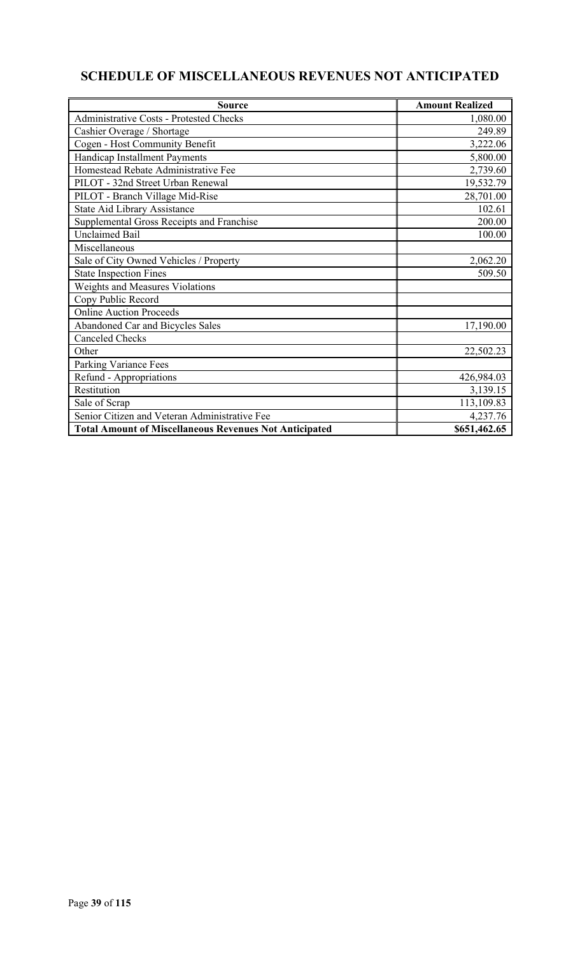## **SCHEDULE OF MISCELLANEOUS REVENUES NOT ANTICIPATED**

| <b>Source</b>                                                 | <b>Amount Realized</b> |
|---------------------------------------------------------------|------------------------|
| Administrative Costs - Protested Checks                       | 1,080.00               |
| Cashier Overage / Shortage                                    | 249.89                 |
| Cogen - Host Community Benefit                                | 3,222.06               |
| Handicap Installment Payments                                 | 5,800.00               |
| Homestead Rebate Administrative Fee                           | 2,739.60               |
| PILOT - 32nd Street Urban Renewal                             | 19,532.79              |
| PILOT - Branch Village Mid-Rise                               | 28,701.00              |
| State Aid Library Assistance                                  | 102.61                 |
| Supplemental Gross Receipts and Franchise                     | 200.00                 |
| <b>Unclaimed Bail</b>                                         | 100.00                 |
| Miscellaneous                                                 |                        |
| Sale of City Owned Vehicles / Property                        | 2,062.20               |
| <b>State Inspection Fines</b>                                 | 509.50                 |
| Weights and Measures Violations                               |                        |
| Copy Public Record                                            |                        |
| <b>Online Auction Proceeds</b>                                |                        |
| Abandoned Car and Bicycles Sales                              | 17,190.00              |
| <b>Canceled Checks</b>                                        |                        |
| Other                                                         | 22,502.23              |
| Parking Variance Fees                                         |                        |
| Refund - Appropriations                                       | 426,984.03             |
| Restitution                                                   | 3,139.15               |
| Sale of Scrap                                                 | 113,109.83             |
| Senior Citizen and Veteran Administrative Fee                 | 4,237.76               |
| <b>Total Amount of Miscellaneous Revenues Not Anticipated</b> | \$651,462.65           |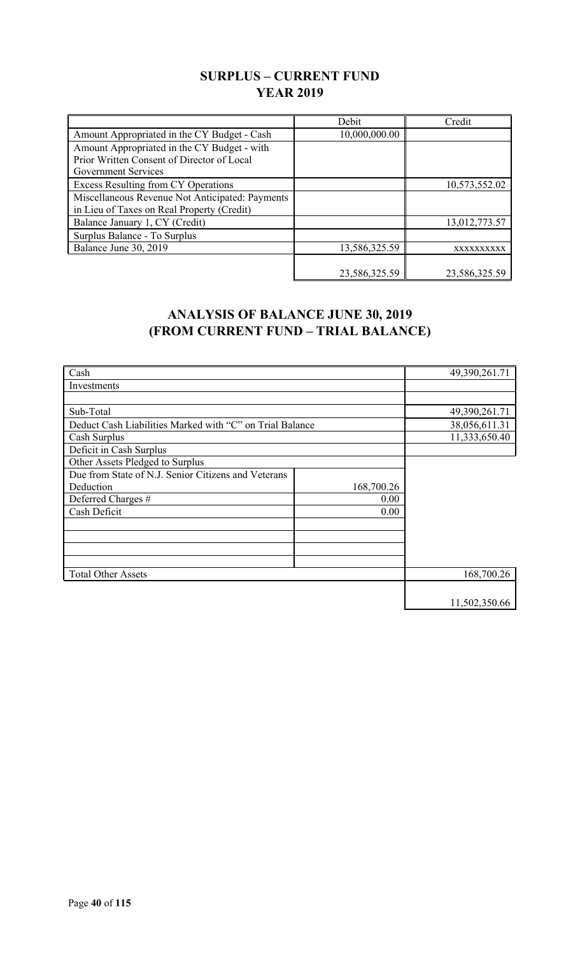## **SURPLUS – CURRENT FUND YEAR 2019**

|                                                 | Debit         | Credit        |
|-------------------------------------------------|---------------|---------------|
| Amount Appropriated in the CY Budget - Cash     | 10,000,000.00 |               |
| Amount Appropriated in the CY Budget - with     |               |               |
| Prior Written Consent of Director of Local      |               |               |
| <b>Government Services</b>                      |               |               |
| <b>Excess Resulting from CY Operations</b>      |               | 10,573,552.02 |
| Miscellaneous Revenue Not Anticipated: Payments |               |               |
| in Lieu of Taxes on Real Property (Credit)      |               |               |
| Balance January 1, CY (Credit)                  |               | 13,012,773.57 |
| Surplus Balance - To Surplus                    |               |               |
| Balance June 30, 2019                           | 13,586,325.59 | XXXXXXXXXX    |
|                                                 |               |               |
|                                                 | 23,586,325.59 | 23,586,325.59 |

## **ANALYSIS OF BALANCE JUNE 30, 2019 (FROM CURRENT FUND – TRIAL BALANCE)**

| Cash                                                     |            | 49,390,261.71 |
|----------------------------------------------------------|------------|---------------|
| Investments                                              |            |               |
|                                                          |            |               |
| Sub-Total                                                |            | 49,390,261.71 |
| Deduct Cash Liabilities Marked with "C" on Trial Balance |            | 38,056,611.31 |
| Cash Surplus                                             |            | 11,333,650.40 |
| Deficit in Cash Surplus                                  |            |               |
| Other Assets Pledged to Surplus                          |            |               |
| Due from State of N.J. Senior Citizens and Veterans      |            |               |
| Deduction                                                | 168,700.26 |               |
| Deferred Charges #                                       | 0.00       |               |
| Cash Deficit                                             | 0.00       |               |
|                                                          |            |               |
|                                                          |            |               |
|                                                          |            |               |
|                                                          |            |               |
| <b>Total Other Assets</b>                                |            | 168,700.26    |
|                                                          |            |               |
|                                                          |            | 11,502,350.66 |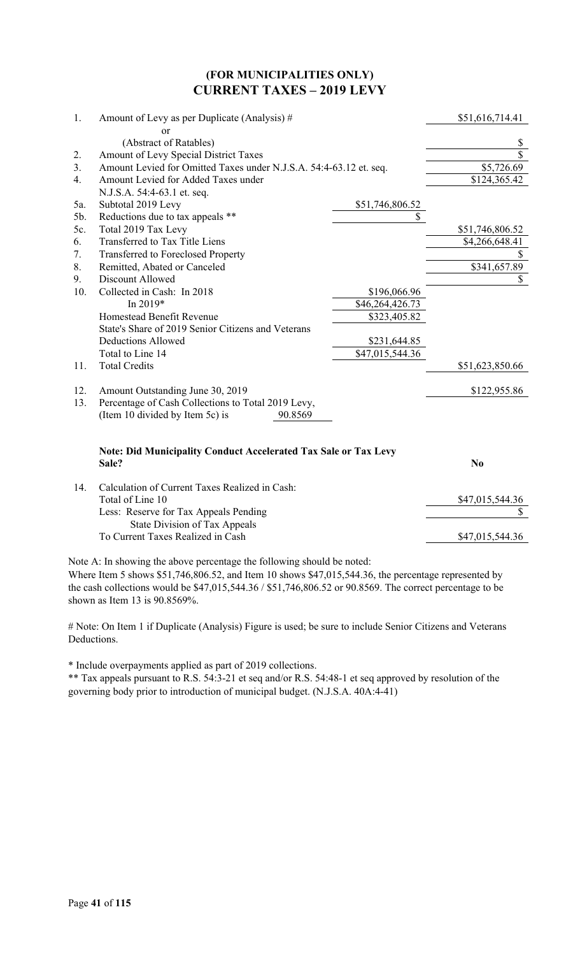#### **(FOR MUNICIPALITIES ONLY) CURRENT TAXES – 2019 LEVY**

| 1.  | Amount of Levy as per Duplicate (Analysis) #                           |                 | \$51,616,714.41 |
|-----|------------------------------------------------------------------------|-----------------|-----------------|
|     | or                                                                     |                 |                 |
|     | (Abstract of Ratables)                                                 |                 | \$              |
| 2.  | Amount of Levy Special District Taxes                                  |                 | $\overline{\$}$ |
| 3.  | Amount Levied for Omitted Taxes under N.J.S.A. 54:4-63.12 et. seq.     |                 | \$5,726.69      |
| 4.  | Amount Levied for Added Taxes under                                    |                 | \$124,365.42    |
|     | N.J.S.A. 54:4-63.1 et. seq.                                            |                 |                 |
| 5a. | Subtotal 2019 Levy                                                     | \$51,746,806.52 |                 |
| 5b. | Reductions due to tax appeals **                                       | \$              |                 |
| 5c. | Total 2019 Tax Levy                                                    |                 | \$51,746,806.52 |
| 6.  | Transferred to Tax Title Liens                                         |                 | \$4,266,648.41  |
| 7.  | <b>Transferred to Foreclosed Property</b>                              |                 | \$              |
| 8.  | Remitted, Abated or Canceled                                           |                 | \$341,657.89    |
| 9.  | Discount Allowed                                                       |                 | \$              |
| 10. | Collected in Cash: In 2018                                             | \$196,066.96    |                 |
|     | In 2019*                                                               | \$46,264,426.73 |                 |
|     | Homestead Benefit Revenue                                              | \$323,405.82    |                 |
|     | State's Share of 2019 Senior Citizens and Veterans                     |                 |                 |
|     | Deductions Allowed                                                     | \$231,644.85    |                 |
|     | Total to Line 14                                                       | \$47,015,544.36 |                 |
| 11. | <b>Total Credits</b>                                                   |                 | \$51,623,850.66 |
| 12. | Amount Outstanding June 30, 2019                                       |                 | \$122,955.86    |
| 13. | Percentage of Cash Collections to Total 2019 Levy,                     |                 |                 |
|     | (Item 10 divided by Item 5c) is<br>90.8569                             |                 |                 |
|     | <b>Note: Did Municipality Conduct Accelerated Tax Sale or Tax Levy</b> |                 |                 |
|     | Sale?                                                                  |                 | N <sub>0</sub>  |
| 14. | Calculation of Current Taxes Realized in Cash:                         |                 |                 |
|     | Total of Line 10                                                       |                 | \$47,015,544.36 |
|     | Less: Reserve for Tax Appeals Pending                                  |                 | \$              |
|     | State Division of Tax Appeals                                          |                 |                 |

To Current Taxes Realized in Cash \$47,015,544.36

Note A: In showing the above percentage the following should be noted:

Where Item 5 shows \$51,746,806.52, and Item 10 shows \$47,015,544.36, the percentage represented by the cash collections would be \$47,015,544.36 / \$51,746,806.52 or 90.8569. The correct percentage to be shown as Item 13 is 90.8569%.

# Note: On Item 1 if Duplicate (Analysis) Figure is used; be sure to include Senior Citizens and Veterans Deductions.

\* Include overpayments applied as part of 2019 collections.

\*\* Tax appeals pursuant to R.S. 54:3-21 et seq and/or R.S. 54:48-1 et seq approved by resolution of the governing body prior to introduction of municipal budget. (N.J.S.A. 40A:4-41)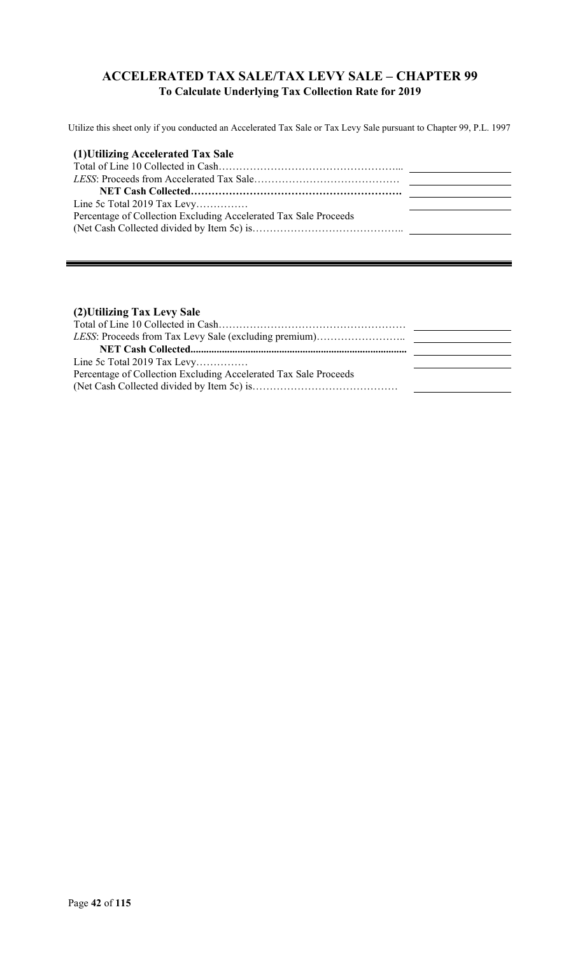### **ACCELERATED TAX SALE/TAX LEVY SALE – CHAPTER 99 To Calculate Underlying Tax Collection Rate for 2019**

Utilize this sheet only if you conducted an Accelerated Tax Sale or Tax Levy Sale pursuant to Chapter 99, P.L. 1997

#### **(2)Utilizing Tax Levy Sale**

| Line 5c Total 2019 Tax Levy                                      |  |
|------------------------------------------------------------------|--|
| Percentage of Collection Excluding Accelerated Tax Sale Proceeds |  |
|                                                                  |  |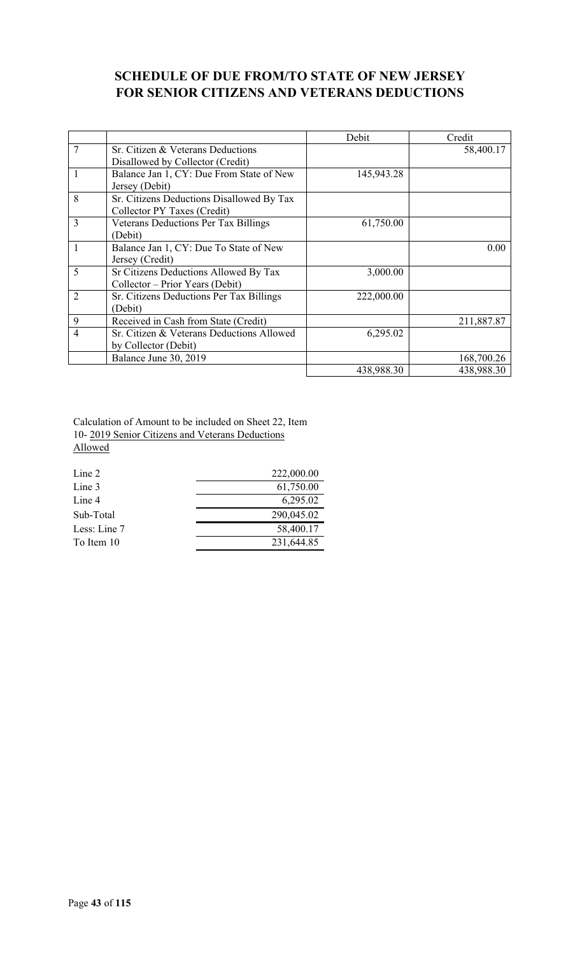## **SCHEDULE OF DUE FROM/TO STATE OF NEW JERSEY FOR SENIOR CITIZENS AND VETERANS DEDUCTIONS**

|                |                                             | Debit      | Credit     |
|----------------|---------------------------------------------|------------|------------|
| 7              | Sr. Citizen & Veterans Deductions           |            | 58,400.17  |
|                | Disallowed by Collector (Credit)            |            |            |
| $\mathbf{1}$   | Balance Jan 1, CY: Due From State of New    | 145,943.28 |            |
|                | Jersey (Debit)                              |            |            |
| 8              | Sr. Citizens Deductions Disallowed By Tax   |            |            |
|                | Collector PY Taxes (Credit)                 |            |            |
| 3              | <b>Veterans Deductions Per Tax Billings</b> | 61,750.00  |            |
|                | (Debit)                                     |            |            |
| 1              | Balance Jan 1, CY: Due To State of New      |            | 0.00       |
|                | Jersey (Credit)                             |            |            |
| 5              | Sr Citizens Deductions Allowed By Tax       | 3,000.00   |            |
|                | Collector – Prior Years (Debit)             |            |            |
| $\overline{2}$ | Sr. Citizens Deductions Per Tax Billings    | 222,000.00 |            |
|                | (Debit)                                     |            |            |
| 9              | Received in Cash from State (Credit)        |            | 211,887.87 |
| $\overline{4}$ | Sr. Citizen & Veterans Deductions Allowed   | 6,295.02   |            |
|                | by Collector (Debit)                        |            |            |
|                | Balance June 30, 2019                       |            | 168,700.26 |
|                |                                             | 438,988.30 | 438,988.30 |

Calculation of Amount to be included on Sheet 22, Item 10- 2019 Senior Citizens and Veterans Deductions Allowed

| Line 2       | 222,000.00 |
|--------------|------------|
| Line 3       | 61,750.00  |
| Line 4       | 6,295.02   |
| Sub-Total    | 290,045.02 |
| Less: Line 7 | 58,400.17  |
| To Item 10   | 231,644.85 |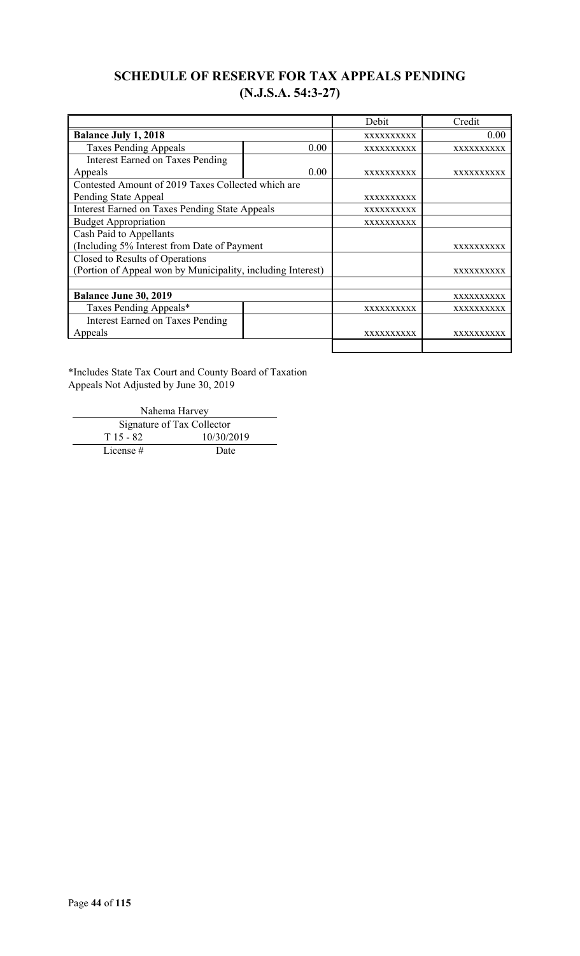## **SCHEDULE OF RESERVE FOR TAX APPEALS PENDING (N.J.S.A. 54:3-27)**

|                                                             |      | Debit             | Credit            |
|-------------------------------------------------------------|------|-------------------|-------------------|
| <b>Balance July 1, 2018</b>                                 |      |                   | 0.00              |
| <b>Taxes Pending Appeals</b>                                | 0.00 | <b>XXXXXXXXXX</b> | XXXXXXXXXX        |
| <b>Interest Earned on Taxes Pending</b>                     |      |                   |                   |
| Appeals                                                     | 0.00 | <b>XXXXXXXXXX</b> | <b>XXXXXXXXXX</b> |
| Contested Amount of 2019 Taxes Collected which are          |      |                   |                   |
| Pending State Appeal                                        |      | <b>XXXXXXXXXX</b> |                   |
| <b>Interest Earned on Taxes Pending State Appeals</b>       |      | <b>XXXXXXXXXX</b> |                   |
| <b>Budget Appropriation</b>                                 |      | <b>XXXXXXXXXX</b> |                   |
| Cash Paid to Appellants                                     |      |                   |                   |
| (Including 5% Interest from Date of Payment                 |      |                   | XXXXXXXXXX        |
| Closed to Results of Operations                             |      |                   |                   |
| (Portion of Appeal won by Municipality, including Interest) |      |                   | XXXXXXXXXX        |
|                                                             |      |                   |                   |
| <b>Balance June 30, 2019</b>                                |      |                   | XXXXXXXXXX        |
| Taxes Pending Appeals*                                      |      | XXXXXXXXXX        | XXXXXXXXXX        |
| <b>Interest Earned on Taxes Pending</b>                     |      |                   |                   |
| Appeals                                                     |      | <b>XXXXXXXXXX</b> | <b>XXXXXXXXXX</b> |
|                                                             |      |                   |                   |

\*Includes State Tax Court and County Board of Taxation Appeals Not Adjusted by June 30, 2019

| Nahema Harvey              |  |  |  |  |
|----------------------------|--|--|--|--|
| Signature of Tax Collector |  |  |  |  |
| 10/30/2019<br>T 15 - 82    |  |  |  |  |
| License $#$<br>Date        |  |  |  |  |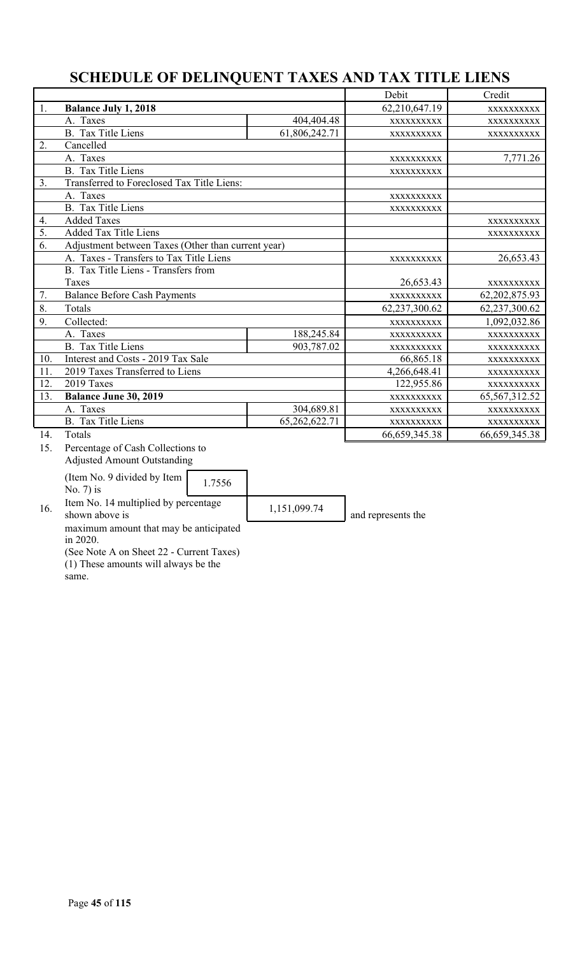# **SCHEDULE OF DELINQUENT TAXES AND TAX TITLE LIENS**

|     |                                                                                                                                 |               | Debit         | Credit           |
|-----|---------------------------------------------------------------------------------------------------------------------------------|---------------|---------------|------------------|
| 1.  | <b>Balance July 1, 2018</b>                                                                                                     |               | 62,210,647.19 | XXXXXXXXXX       |
|     | A. Taxes                                                                                                                        | 404,404.48    | XXXXXXXXXX    | XXXXXXXXXX       |
|     | <b>B.</b> Tax Title Liens                                                                                                       | 61,806,242.71 | XXXXXXXXXX    | XXXXXXXXXX       |
| 2.  | Cancelled                                                                                                                       |               |               |                  |
|     | A. Taxes                                                                                                                        |               | XXXXXXXXXX    | 7,771.26         |
|     | <b>B.</b> Tax Title Liens                                                                                                       |               | XXXXXXXXXX    |                  |
| 3.  | Transferred to Foreclosed Tax Title Liens:                                                                                      |               |               |                  |
|     | A. Taxes                                                                                                                        |               | XXXXXXXXXX    |                  |
|     | <b>B.</b> Tax Title Liens                                                                                                       |               | XXXXXXXXXX    |                  |
| 4.  | <b>Added Taxes</b>                                                                                                              |               |               | XXXXXXXXXX       |
| 5.  | <b>Added Tax Title Liens</b>                                                                                                    |               |               | XXXXXXXXXX       |
| 6.  | Adjustment between Taxes (Other than current year)                                                                              |               |               |                  |
|     | A. Taxes - Transfers to Tax Title Liens                                                                                         |               | XXXXXXXXXX    | 26,653.43        |
|     | B. Tax Title Liens - Transfers from                                                                                             |               |               |                  |
|     | Taxes                                                                                                                           |               | 26,653.43     | XXXXXXXXXX       |
| 7.  | <b>Balance Before Cash Payments</b>                                                                                             |               | XXXXXXXXXX    | 62, 202, 875. 93 |
| 8.  | Totals                                                                                                                          |               | 62,237,300.62 | 62,237,300.62    |
| 9.  | Collected:                                                                                                                      |               | XXXXXXXXXX    | 1,092,032.86     |
|     | A. Taxes                                                                                                                        | 188,245.84    | XXXXXXXXXX    | XXXXXXXXXX       |
|     | <b>B.</b> Tax Title Liens                                                                                                       | 903,787.02    | XXXXXXXXXX    | XXXXXXXXXX       |
| 10. | Interest and Costs - 2019 Tax Sale                                                                                              |               | 66,865.18     | XXXXXXXXXX       |
| 11. | 2019 Taxes Transferred to Liens                                                                                                 |               | 4,266,648.41  | XXXXXXXXXX       |
| 12. | 2019 Taxes                                                                                                                      |               | 122,955.86    | XXXXXXXXXX       |
| 13. | Balance June 30, 2019                                                                                                           |               | XXXXXXXXXX    | 65, 567, 312. 52 |
|     | A. Taxes                                                                                                                        | 304,689.81    | XXXXXXXXXX    | XXXXXXXXXX       |
|     | B. Tax Title Liens                                                                                                              | 65,262,622.71 | XXXXXXXXXX    | XXXXXXXXXX       |
| 14. | Totals                                                                                                                          |               | 66,659,345.38 | 66, 659, 345. 38 |
| 15. | Percentage of Cash Collections to<br><b>Adjusted Amount Outstanding</b><br>(Item No. 9 divided by Item<br>$\cdot$ = = = $\cdot$ |               |               |                  |

(Item No. 9 divided by Item No. 7) is 1.7556

16. Item No. 14 multiplied by percentage<br>shown above is

 $\left| \frac{1,151,099.74}{} \right|$  and represents the

maximum amount that may be anticipated in 2020.

(See Note A on Sheet 22 - Current Taxes) (1) These amounts will always be the

same.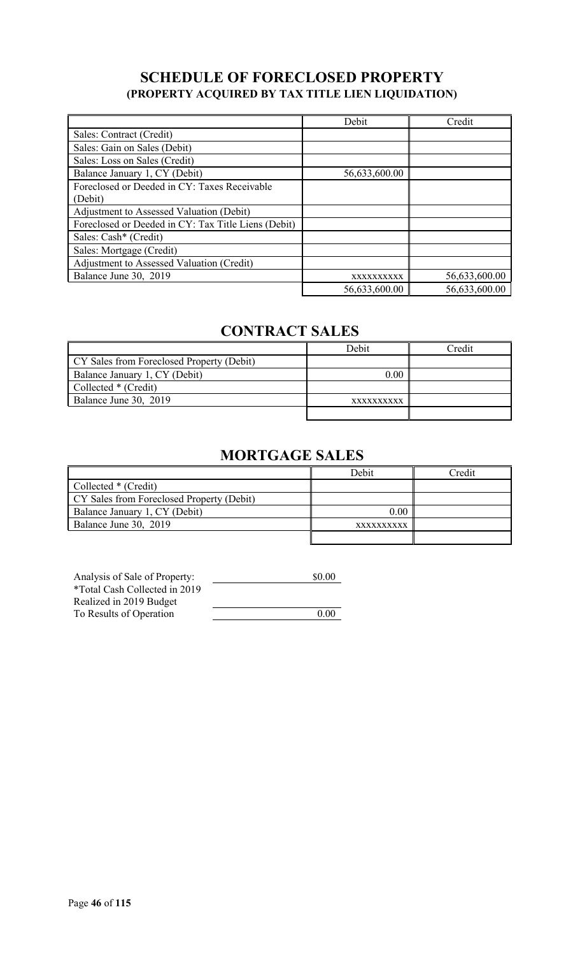## **SCHEDULE OF FORECLOSED PROPERTY (PROPERTY ACQUIRED BY TAX TITLE LIEN LIQUIDATION)**

|                                                     | Debit         | Credit        |
|-----------------------------------------------------|---------------|---------------|
| Sales: Contract (Credit)                            |               |               |
| Sales: Gain on Sales (Debit)                        |               |               |
| Sales: Loss on Sales (Credit)                       |               |               |
| Balance January 1, CY (Debit)                       | 56,633,600.00 |               |
| Foreclosed or Deeded in CY: Taxes Receivable        |               |               |
| (Debit)                                             |               |               |
| Adjustment to Assessed Valuation (Debit)            |               |               |
| Foreclosed or Deeded in CY: Tax Title Liens (Debit) |               |               |
| Sales: Cash* (Credit)                               |               |               |
| Sales: Mortgage (Credit)                            |               |               |
| Adjustment to Assessed Valuation (Credit)           |               |               |
| Balance June 30, 2019                               | XXXXXXXXXX    | 56,633,600.00 |
|                                                     | 56,633,600.00 | 56,633,600.00 |

# **CONTRACT SALES**

|                                           | Debit      | Credit |
|-------------------------------------------|------------|--------|
| CY Sales from Foreclosed Property (Debit) |            |        |
| Balance January 1, CY (Debit)             | 0.00       |        |
| Collected * (Credit)                      |            |        |
| Balance June 30, 2019                     | XXXXXXXXXX |        |
|                                           |            |        |

# **MORTGAGE SALES**

|                                           | Debit             | Credit |
|-------------------------------------------|-------------------|--------|
| Collected * (Credit)                      |                   |        |
| CY Sales from Foreclosed Property (Debit) |                   |        |
| Balance January 1, CY (Debit)             | 0.00              |        |
| Balance June 30, 2019                     | <b>XXXXXXXXXX</b> |        |
|                                           |                   |        |

| Analysis of Sale of Property: | \$0.00 |
|-------------------------------|--------|
| *Total Cash Collected in 2019 |        |
| Realized in 2019 Budget       |        |
| To Results of Operation       | 0.00   |
|                               |        |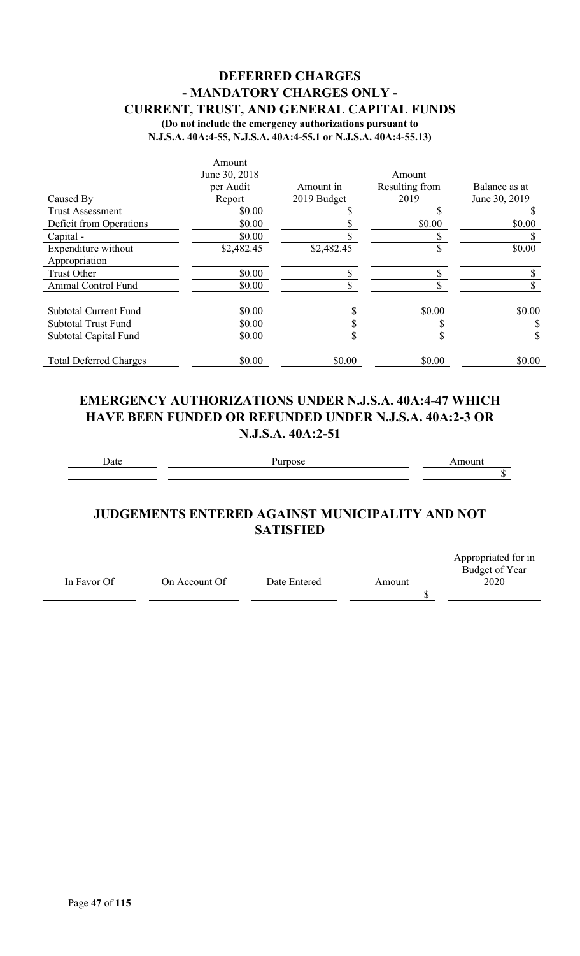### **DEFERRED CHARGES - MANDATORY CHARGES ONLY - CURRENT, TRUST, AND GENERAL CAPITAL FUNDS (Do not include the emergency authorizations pursuant to**

**N.J.S.A. 40A:4-55, N.J.S.A. 40A:4-55.1 or N.J.S.A. 40A:4-55.13)**

|                               | Amount        |             |                |               |
|-------------------------------|---------------|-------------|----------------|---------------|
|                               | June 30, 2018 |             | Amount         |               |
|                               | per Audit     | Amount in   | Resulting from | Balance as at |
| Caused By                     | Report        | 2019 Budget | 2019           | June 30, 2019 |
| <b>Trust Assessment</b>       | \$0.00        |             |                |               |
| Deficit from Operations       | \$0.00        |             | \$0.00         | \$0.00        |
| Capital -                     | \$0.00        |             |                |               |
| Expenditure without           | \$2,482.45    | \$2,482.45  |                | \$0.00        |
| Appropriation                 |               |             |                |               |
| Trust Other                   | \$0.00        |             |                |               |
| Animal Control Fund           | \$0.00        |             |                |               |
| <b>Subtotal Current Fund</b>  | \$0.00        |             | \$0.00         | \$0.00        |
| <b>Subtotal Trust Fund</b>    | \$0.00        |             |                |               |
| Subtotal Capital Fund         | \$0.00        | ה.          |                |               |
| <b>Total Deferred Charges</b> | \$0.00        | \$0.00      | \$0.00         | \$0.00        |

## **EMERGENCY AUTHORIZATIONS UNDER N.J.S.A. 40A:4-47 WHICH HAVE BEEN FUNDED OR REFUNDED UNDER N.J.S.A. 40A:2-3 OR N.J.S.A. 40A:2-51**

Date **Date** Purpose **Amount**  $\mathbb{S}$ 

## **JUDGEMENTS ENTERED AGAINST MUNICIPALITY AND NOT SATISFIED**

|             |               |              |        | Appropriated for in |
|-------------|---------------|--------------|--------|---------------------|
|             |               |              |        | Budget of Year      |
| In Favor Of | On Account Of | Date Entered | Amount | 2020                |
|             |               |              |        |                     |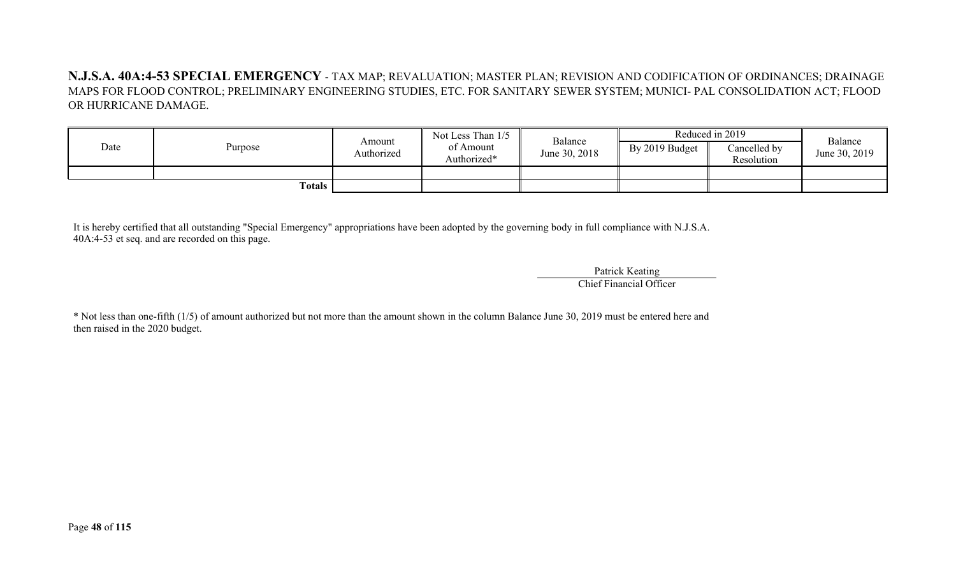**N.J.S.A. 40A:4-53 SPECIAL EMERGENCY** - TAX MAP; REVALUATION; MASTER PLAN; REVISION AND CODIFICATION OF ORDINANCES; DRAINAGE MAPS FOR FLOOD CONTROL; PRELIMINARY ENGINEERING STUDIES, ETC. FOR SANITARY SEWER SYSTEM; MUNICI- PAL CONSOLIDATION ACT; FLOOD OR HURRICANE DAMAGE.

| Date | Purpose | Amount<br>Authorized | Not Less Than 1/5<br>of Amount<br>Authorized* | Balance<br>June 30, 2018 | By 2019 Budget | Reduced in 2019<br>Cancelled by<br>Resolution | Balance<br>June 30, 2019 |
|------|---------|----------------------|-----------------------------------------------|--------------------------|----------------|-----------------------------------------------|--------------------------|
|      | Totals  |                      |                                               |                          |                |                                               |                          |

It is hereby certified that all outstanding "Special Emergency" appropriations have been adopted by the governing body in full compliance with N.J.S.A. 40A:4-53 et seq. and are recorded on this page.

> Patrick Keating Chief Financial Officer

\* Not less than one-fifth (1/5) of amount authorized but not more than the amount shown in the column Balance June 30, 2019 must be entered here and then raised in the 2020 budget.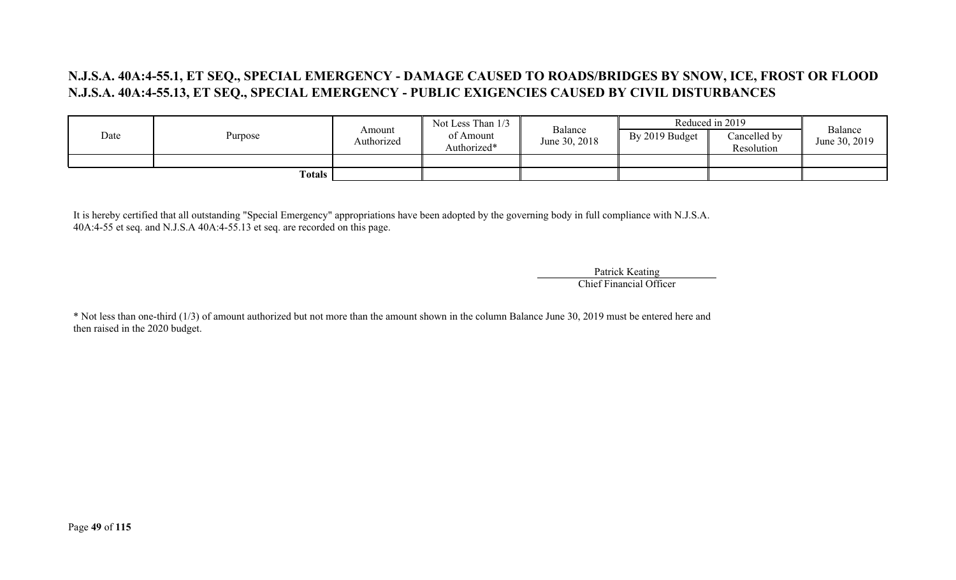## **N.J.S.A. 40A:4-55.1, ET SEQ., SPECIAL EMERGENCY - DAMAGE CAUSED TO ROADS/BRIDGES BY SNOW, ICE, FROST OR FLOOD N.J.S.A. 40A:4-55.13, ET SEQ., SPECIAL EMERGENCY - PUBLIC EXIGENCIES CAUSED BY CIVIL DISTURBANCES**

|             |         |                      | Not Less Than 1/3        | Balance       | Reduced in 2019 |                            | Balance       |
|-------------|---------|----------------------|--------------------------|---------------|-----------------|----------------------------|---------------|
| Date        | Purpose | Amount<br>Authorized | of Amount<br>Authorized* | June 30, 2018 | By 2019 Budget  | Cancelled by<br>Resolution | June 30, 2019 |
|             |         |                      |                          |               |                 |                            |               |
| Totals $\ $ |         |                      |                          |               |                 |                            |               |

It is hereby certified that all outstanding "Special Emergency" appropriations have been adopted by the governing body in full compliance with N.J.S.A. 40A:4-55 et seq. and N.J.S.A 40A:4-55.13 et seq. are recorded on this page.

Patrick Keating

Chief Financial Officer

\* Not less than one-third (1/3) of amount authorized but not more than the amount shown in the column Balance June 30, 2019 must be entered here and then raised in the 2020 budget.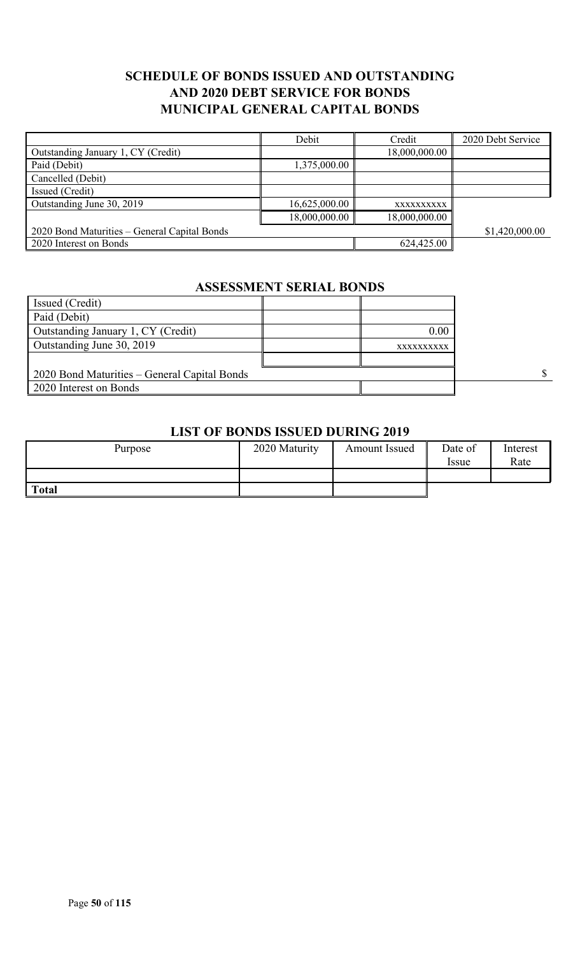## **SCHEDULE OF BONDS ISSUED AND OUTSTANDING AND 2020 DEBT SERVICE FOR BONDS MUNICIPAL GENERAL CAPITAL BONDS**

|                                              | Debit         | Credit        | 2020 Debt Service |
|----------------------------------------------|---------------|---------------|-------------------|
| Outstanding January 1, CY (Credit)           |               | 18,000,000.00 |                   |
| Paid (Debit)                                 | 1,375,000.00  |               |                   |
| Cancelled (Debit)                            |               |               |                   |
| Issued (Credit)                              |               |               |                   |
| Outstanding June 30, 2019                    | 16,625,000.00 | XXXXXXXXXX    |                   |
|                                              | 18,000,000.00 | 18,000,000.00 |                   |
| 2020 Bond Maturities – General Capital Bonds |               |               | \$1,420,000.00    |
| 2020 Interest on Bonds                       |               | 624,425.00    |                   |

#### **ASSESSMENT SERIAL BONDS**

| Issued (Credit)                              |            |  |
|----------------------------------------------|------------|--|
| Paid (Debit)                                 |            |  |
| Outstanding January 1, CY (Credit)           | 0.00       |  |
| Outstanding June 30, 2019                    | XXXXXXXXXX |  |
|                                              |            |  |
| 2020 Bond Maturities – General Capital Bonds |            |  |
| 2020 Interest on Bonds                       |            |  |

#### **LIST OF BONDS ISSUED DURING 2019**

| Purpose      | 2020 Maturity | Amount Issued | Date of<br>Issue | Interest<br>Rate |
|--------------|---------------|---------------|------------------|------------------|
|              |               |               |                  |                  |
| <b>Total</b> |               |               |                  |                  |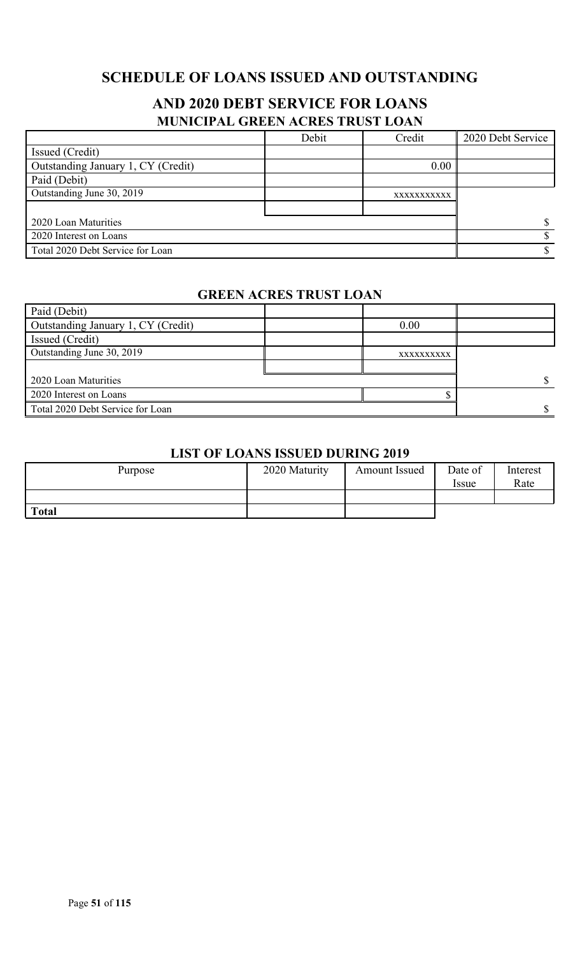## **SCHEDULE OF LOANS ISSUED AND OUTSTANDING**

## **AND 2020 DEBT SERVICE FOR LOANS MUNICIPAL GREEN ACRES TRUST LOAN**

|                                    | Debit | Credit      | 2020 Debt Service |
|------------------------------------|-------|-------------|-------------------|
| Issued (Credit)                    |       |             |                   |
| Outstanding January 1, CY (Credit) |       | 0.00        |                   |
| Paid (Debit)                       |       |             |                   |
| Outstanding June 30, 2019          |       | XXXXXXXXXXX |                   |
|                                    |       |             |                   |
| 2020 Loan Maturities               |       |             |                   |
| 2020 Interest on Loans             |       |             |                   |
| Total 2020 Debt Service for Loan   |       |             |                   |

#### **GREEN ACRES TRUST LOAN**

| Paid (Debit)                       |            |  |
|------------------------------------|------------|--|
| Outstanding January 1, CY (Credit) | 0.00       |  |
| Issued (Credit)                    |            |  |
| Outstanding June 30, 2019          | XXXXXXXXXX |  |
|                                    |            |  |
| 2020 Loan Maturities               |            |  |
| 2020 Interest on Loans             |            |  |
| Total 2020 Debt Service for Loan   |            |  |

#### **LIST OF LOANS ISSUED DURING 2019**

| Purpose      | 2020 Maturity | <b>Amount Issued</b> | Date of<br><i>Issue</i> | Interest<br>Rate |
|--------------|---------------|----------------------|-------------------------|------------------|
|              |               |                      |                         |                  |
| <b>Total</b> |               |                      |                         |                  |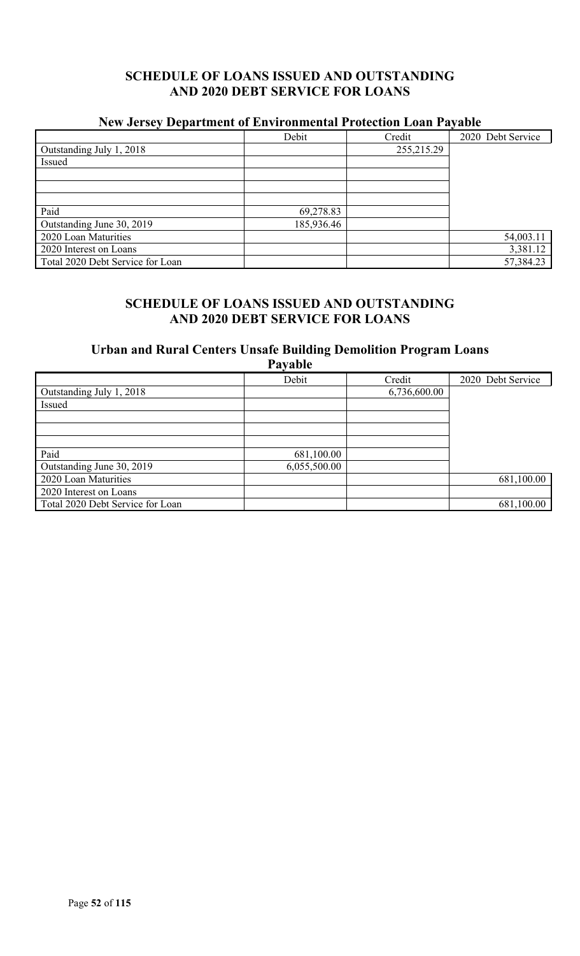### **SCHEDULE OF LOANS ISSUED AND OUTSTANDING AND 2020 DEBT SERVICE FOR LOANS**

#### **New Jersey Department of Environmental Protection Loan Payable**

|                                  | Debit      | Credit      | 2020 Debt Service |
|----------------------------------|------------|-------------|-------------------|
| Outstanding July 1, 2018         |            | 255, 215.29 |                   |
| Issued                           |            |             |                   |
|                                  |            |             |                   |
|                                  |            |             |                   |
|                                  |            |             |                   |
| Paid                             | 69,278.83  |             |                   |
| Outstanding June 30, 2019        | 185,936.46 |             |                   |
| 2020 Loan Maturities             |            |             | 54,003.11         |
| 2020 Interest on Loans           |            |             | 3,381.12          |
| Total 2020 Debt Service for Loan |            |             | 57,384.23         |

#### **SCHEDULE OF LOANS ISSUED AND OUTSTANDING AND 2020 DEBT SERVICE FOR LOANS**

#### **Urban and Rural Centers Unsafe Building Demolition Program Loans Payable**

| $-1$ , $-1$                      |              |              |                   |  |  |  |  |  |
|----------------------------------|--------------|--------------|-------------------|--|--|--|--|--|
|                                  | Debit        | Credit       | 2020 Debt Service |  |  |  |  |  |
| Outstanding July 1, 2018         |              | 6,736,600.00 |                   |  |  |  |  |  |
| Issued                           |              |              |                   |  |  |  |  |  |
|                                  |              |              |                   |  |  |  |  |  |
|                                  |              |              |                   |  |  |  |  |  |
|                                  |              |              |                   |  |  |  |  |  |
| Paid                             | 681,100.00   |              |                   |  |  |  |  |  |
| Outstanding June 30, 2019        | 6,055,500.00 |              |                   |  |  |  |  |  |
| 2020 Loan Maturities             |              |              | 681,100.00        |  |  |  |  |  |
| 2020 Interest on Loans           |              |              |                   |  |  |  |  |  |
| Total 2020 Debt Service for Loan |              |              | 681,100.00        |  |  |  |  |  |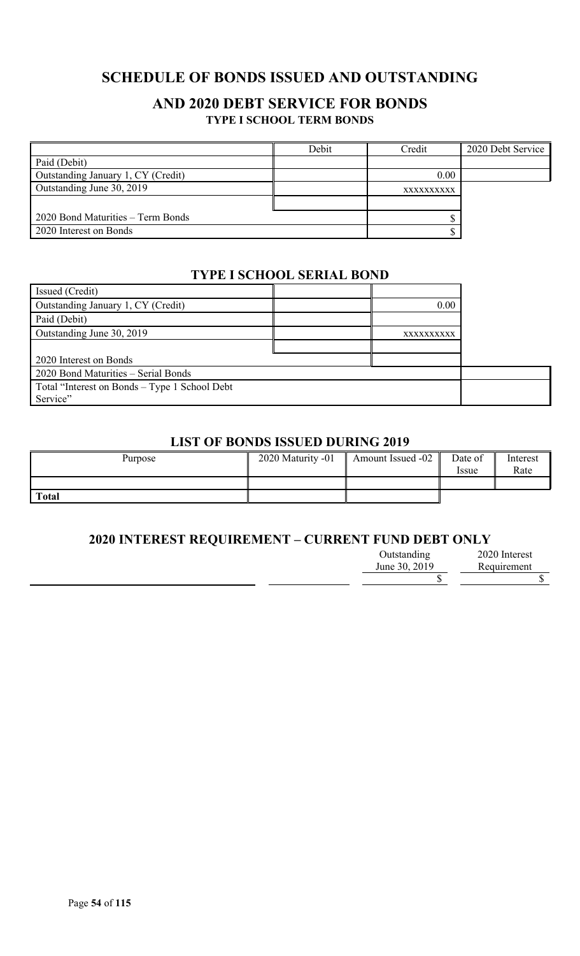## **SCHEDULE OF BONDS ISSUED AND OUTSTANDING**

### **AND 2020 DEBT SERVICE FOR BONDS TYPE I SCHOOL TERM BONDS**

|                                    | Debit | Credit     | 2020 Debt Service |
|------------------------------------|-------|------------|-------------------|
| Paid (Debit)                       |       |            |                   |
| Outstanding January 1, CY (Credit) |       | 0.00       |                   |
| Outstanding June 30, 2019          |       | XXXXXXXXXX |                   |
|                                    |       |            |                   |
| 2020 Bond Maturities – Term Bonds  |       |            |                   |
| 2020 Interest on Bonds             |       |            |                   |

### **TYPE I SCHOOL SERIAL BOND**

| Issued (Credit)                               |            |  |
|-----------------------------------------------|------------|--|
| Outstanding January 1, CY (Credit)            | $0.00\,$   |  |
| Paid (Debit)                                  |            |  |
| Outstanding June 30, 2019                     | XXXXXXXXXX |  |
|                                               |            |  |
| 2020 Interest on Bonds                        |            |  |
| 2020 Bond Maturities - Serial Bonds           |            |  |
| Total "Interest on Bonds – Type 1 School Debt |            |  |
| Service"                                      |            |  |

#### **LIST OF BONDS ISSUED DURING 2019**

| Purpose      | 2020 Maturity -01 | Amount Issued -02 | Date of<br><i>Issue</i> | Interest<br>Rate |
|--------------|-------------------|-------------------|-------------------------|------------------|
|              |                   |                   |                         |                  |
| <b>Total</b> |                   |                   |                         |                  |

#### **2020 INTEREST REQUIREMENT – CURRENT FUND DEBT ONLY**

| Outstanding   | 2020 Interest |  |
|---------------|---------------|--|
| June 30, 2019 | Requirement   |  |
|               |               |  |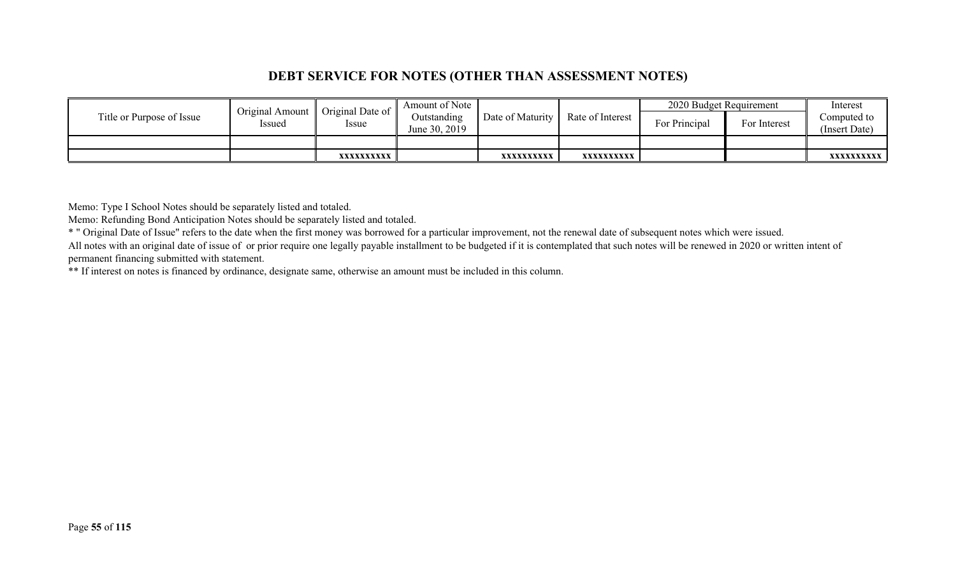### **DEBT SERVICE FOR NOTES (OTHER THAN ASSESSMENT NOTES)**

|                           | Original Date of<br><b>Original Amount</b> | Amount of Note $\ $ |                              |                  | 2020 Budget Requirement |               | Interest     |                              |
|---------------------------|--------------------------------------------|---------------------|------------------------------|------------------|-------------------------|---------------|--------------|------------------------------|
| Title or Purpose of Issue | Issued                                     | Issue               | Outstanding<br>June 30, 2019 | Date of Maturity | Rate of Interest        | For Principal | For Interest | Computed to<br>(Insert Date) |
|                           |                                            |                     |                              |                  |                         |               |              |                              |
|                           |                                            | XXXXXXXXXX          |                              | XXXXXXXXXX       | XXXXXXXXXX              |               |              | XXXXXXXXXX I                 |

Memo: Type I School Notes should be separately listed and totaled.

Memo: Refunding Bond Anticipation Notes should be separately listed and totaled.

\* " Original Date of Issue" refers to the date when the first money was borrowed for a particular improvement, not the renewal date of subsequent notes which were issued.

All notes with an original date of issue of or prior require one legally payable installment to be budgeted if it is contemplated that such notes will be renewed in 2020 or written intent of permanent financing submitted with statement.

\*\* If interest on notes is financed by ordinance, designate same, otherwise an amount must be included in this column.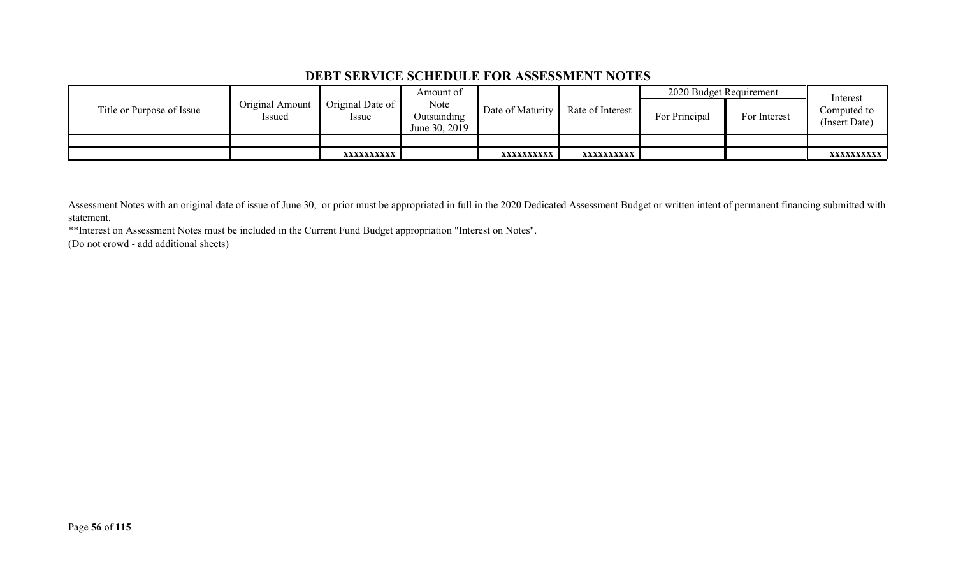#### **DEBT SERVICE SCHEDULE FOR ASSESSMENT NOTES**

|                           |                           | Amount of                        |                                      |                  | 2020 Budget Requirement |               | Interest     |                              |
|---------------------------|---------------------------|----------------------------------|--------------------------------------|------------------|-------------------------|---------------|--------------|------------------------------|
| Title or Purpose of Issue | Original Amount<br>Issued | Original Date of<br><i>Issue</i> | Note<br>Outstanding<br>June 30, 2019 | Date of Maturity | Rate of Interest        | For Principal | For Interest | Computed to<br>(Insert Date) |
|                           |                           |                                  |                                      |                  |                         |               |              |                              |
|                           |                           | XXXXXXXXXX                       |                                      | XXXXXXXXXX       | XXXXXXXXXX              |               |              | XXXXXXXXXX                   |

Assessment Notes with an original date of issue of June 30, or prior must be appropriated in full in the 2020 Dedicated Assessment Budget or written intent of permanent financing submitted with statement.

\*\*Interest on Assessment Notes must be included in the Current Fund Budget appropriation "Interest on Notes".

(Do not crowd - add additional sheets)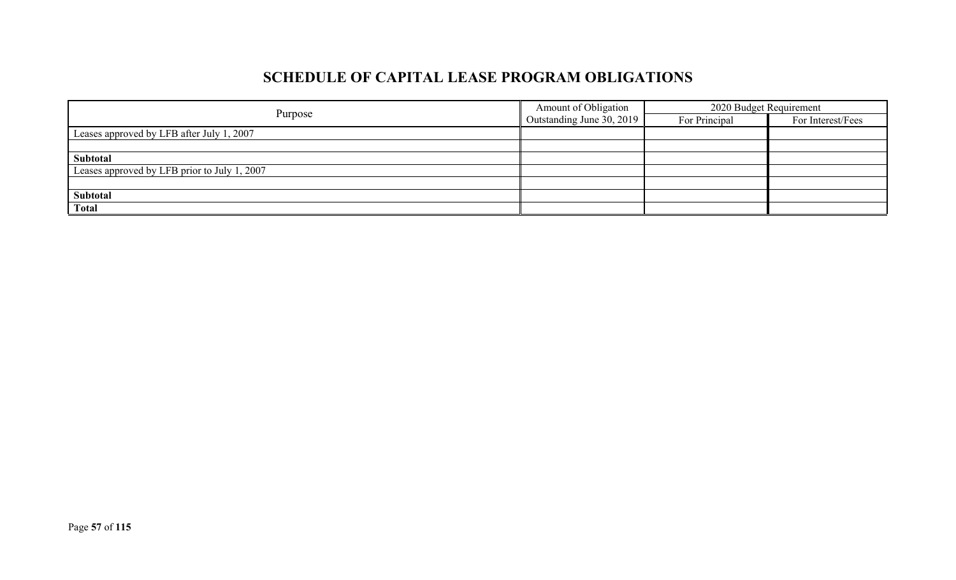# **SCHEDULE OF CAPITAL LEASE PROGRAM OBLIGATIONS**

|                                              | Amount of Obligation      | 2020 Budget Requirement |                   |  |
|----------------------------------------------|---------------------------|-------------------------|-------------------|--|
| Purpose                                      | Outstanding June 30, 2019 | For Principal           | For Interest/Fees |  |
| Leases approved by LFB after July 1, 2007    |                           |                         |                   |  |
|                                              |                           |                         |                   |  |
| Subtotal                                     |                           |                         |                   |  |
| Leases approved by LFB prior to July 1, 2007 |                           |                         |                   |  |
|                                              |                           |                         |                   |  |
| Subtotal                                     |                           |                         |                   |  |
| <b>Total</b>                                 |                           |                         |                   |  |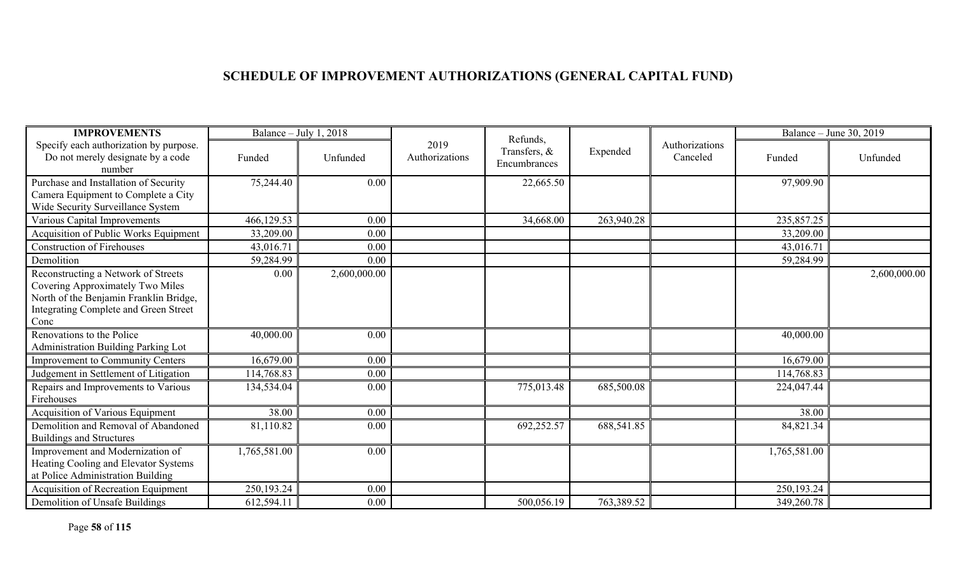# **SCHEDULE OF IMPROVEMENT AUTHORIZATIONS (GENERAL CAPITAL FUND)**

| <b>IMPROVEMENTS</b>                                                                                                                                                | Balance - July 1, 2018 |              |                        | Refunds,                     |            |                            |              | Balance - June 30, 2019 |
|--------------------------------------------------------------------------------------------------------------------------------------------------------------------|------------------------|--------------|------------------------|------------------------------|------------|----------------------------|--------------|-------------------------|
| Specify each authorization by purpose.<br>Do not merely designate by a code<br>number                                                                              | Funded                 | Unfunded     | 2019<br>Authorizations | Transfers, &<br>Encumbrances | Expended   | Authorizations<br>Canceled | Funded       | Unfunded                |
| Purchase and Installation of Security<br>Camera Equipment to Complete a City<br>Wide Security Surveillance System                                                  | 75,244.40              | 0.00         |                        | 22,665.50                    |            |                            | 97,909.90    |                         |
| Various Capital Improvements                                                                                                                                       | 466,129.53             | 0.00         |                        | 34,668.00                    | 263,940.28 |                            | 235,857.25   |                         |
| Acquisition of Public Works Equipment                                                                                                                              | 33,209.00              | 0.00         |                        |                              |            |                            | 33,209.00    |                         |
| <b>Construction of Firehouses</b>                                                                                                                                  | 43,016.71              | 0.00         |                        |                              |            |                            | 43,016.71    |                         |
| Demolition                                                                                                                                                         | 59,284.99              | 0.00         |                        |                              |            |                            | 59,284.99    |                         |
| Reconstructing a Network of Streets<br>Covering Approximately Two Miles<br>North of the Benjamin Franklin Bridge,<br>Integrating Complete and Green Street<br>Conc | 0.00                   | 2,600,000.00 |                        |                              |            |                            |              | 2,600,000.00            |
| Renovations to the Police<br>Administration Building Parking Lot                                                                                                   | 40,000.00              | 0.00         |                        |                              |            |                            | 40,000.00    |                         |
| Improvement to Community Centers                                                                                                                                   | 16,679.00              | 0.00         |                        |                              |            |                            | 16,679.00    |                         |
| Judgement in Settlement of Litigation                                                                                                                              | 114,768.83             | 0.00         |                        |                              |            |                            | 114,768.83   |                         |
| Repairs and Improvements to Various<br>Firehouses                                                                                                                  | 134,534.04             | 0.00         |                        | 775,013.48                   | 685,500.08 |                            | 224,047.44   |                         |
| Acquisition of Various Equipment                                                                                                                                   | 38.00                  | 0.00         |                        |                              |            |                            | 38.00        |                         |
| Demolition and Removal of Abandoned<br><b>Buildings and Structures</b>                                                                                             | 81,110.82              | 0.00         |                        | 692,252.57                   | 688,541.85 |                            | 84,821.34    |                         |
| Improvement and Modernization of<br>Heating Cooling and Elevator Systems<br>at Police Administration Building                                                      | 1,765,581.00           | 0.00         |                        |                              |            |                            | 1,765,581.00 |                         |
| Acquisition of Recreation Equipment                                                                                                                                | 250,193.24             | 0.00         |                        |                              |            |                            | 250,193.24   |                         |
| Demolition of Unsafe Buildings                                                                                                                                     | 612,594.11             | 0.00         |                        | 500,056.19                   | 763,389.52 |                            | 349,260.78   |                         |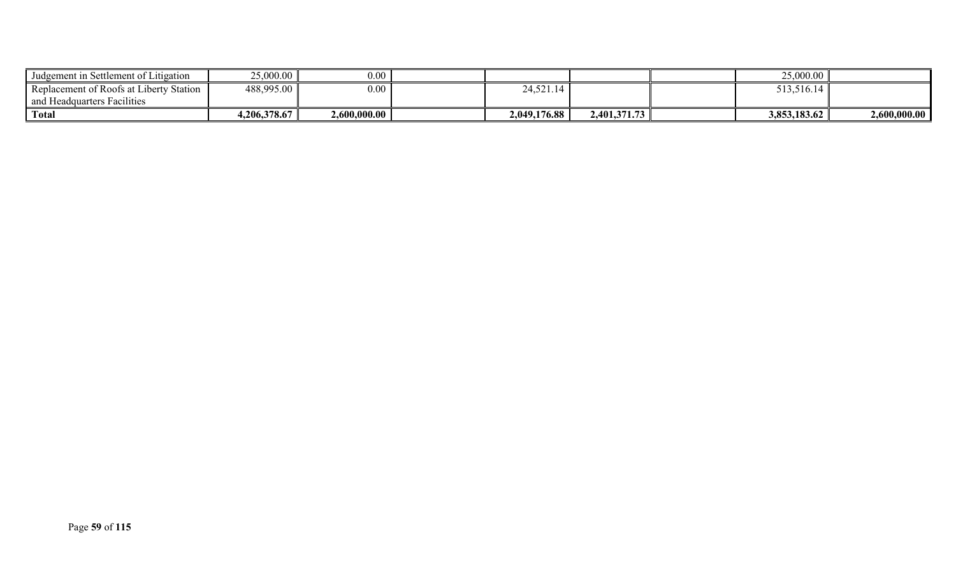| <b>Judgement in Settlement of Litigation</b> | 25,000.00    | 0.00         |              |              | 25,000.00    |              |
|----------------------------------------------|--------------|--------------|--------------|--------------|--------------|--------------|
| Replacement of Roofs at Liberty Station      | 488,995.00   | $0.00\,$     | 24,521.14    |              | 513,516.14   |              |
| and Headquarters Facilities                  |              |              |              |              |              |              |
| Total                                        | 4,206,378.67 | 2,600,000.00 | 2,049,176.88 | 2,401,371.73 | 3,853,183.62 | 2,600,000.00 |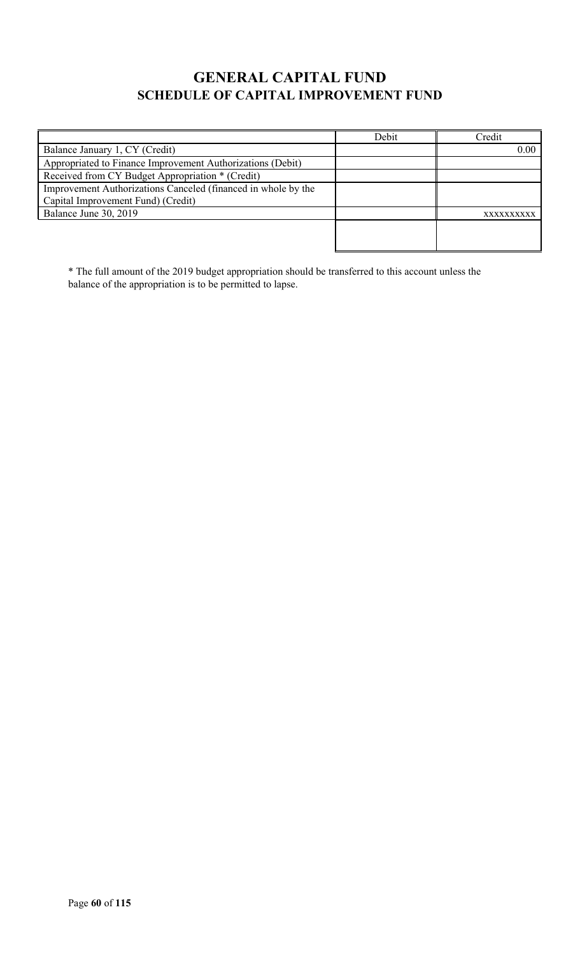## **GENERAL CAPITAL FUND SCHEDULE OF CAPITAL IMPROVEMENT FUND**

|                                                               | Debit | Credit     |
|---------------------------------------------------------------|-------|------------|
| Balance January 1, CY (Credit)                                |       | 0.00       |
| Appropriated to Finance Improvement Authorizations (Debit)    |       |            |
| Received from CY Budget Appropriation * (Credit)              |       |            |
| Improvement Authorizations Canceled (financed in whole by the |       |            |
| Capital Improvement Fund) (Credit)                            |       |            |
| Balance June 30, 2019                                         |       | XXXXXXXXXX |
|                                                               |       |            |
|                                                               |       |            |
|                                                               |       |            |

\* The full amount of the 2019 budget appropriation should be transferred to this account unless the balance of the appropriation is to be permitted to lapse.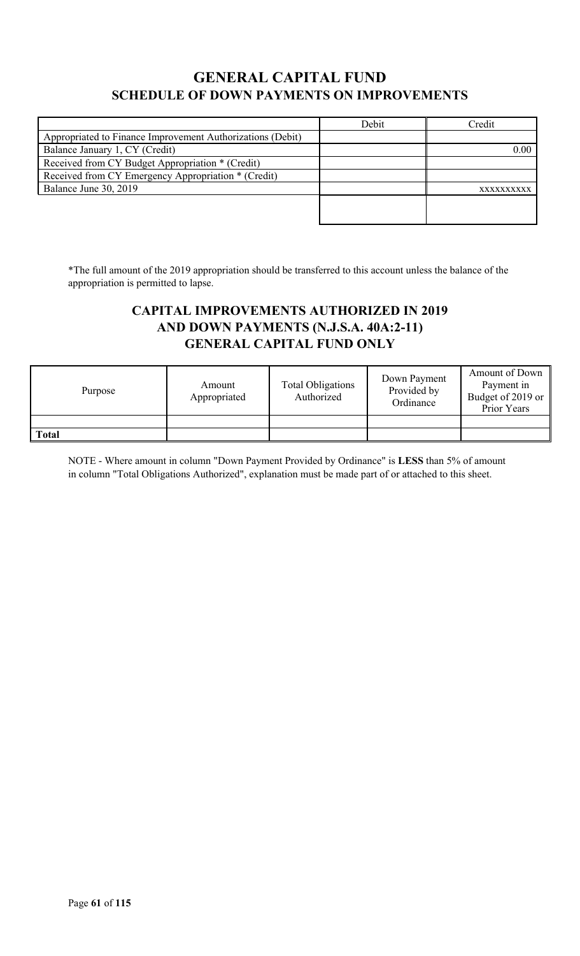## **GENERAL CAPITAL FUND SCHEDULE OF DOWN PAYMENTS ON IMPROVEMENTS**

|                                                            | Debit | Credit     |
|------------------------------------------------------------|-------|------------|
| Appropriated to Finance Improvement Authorizations (Debit) |       |            |
| Balance January 1, CY (Credit)                             |       | 0.00       |
| Received from CY Budget Appropriation * (Credit)           |       |            |
| Received from CY Emergency Appropriation * (Credit)        |       |            |
| Balance June 30, 2019                                      |       | XXXXXXXXXX |
|                                                            |       |            |
|                                                            |       |            |

\*The full amount of the 2019 appropriation should be transferred to this account unless the balance of the appropriation is permitted to lapse.

## **CAPITAL IMPROVEMENTS AUTHORIZED IN 2019 AND DOWN PAYMENTS (N.J.S.A. 40A:2-11) GENERAL CAPITAL FUND ONLY**

| Purpose      | Amount<br>Appropriated | <b>Total Obligations</b><br>Authorized | Down Payment<br>Provided by<br>Ordinance | Amount of Down<br>Payment in<br>Budget of 2019 or<br>Prior Years |
|--------------|------------------------|----------------------------------------|------------------------------------------|------------------------------------------------------------------|
|              |                        |                                        |                                          |                                                                  |
| <b>Total</b> |                        |                                        |                                          |                                                                  |

NOTE - Where amount in column "Down Payment Provided by Ordinance" is **LESS** than 5% of amount in column "Total Obligations Authorized", explanation must be made part of or attached to this sheet.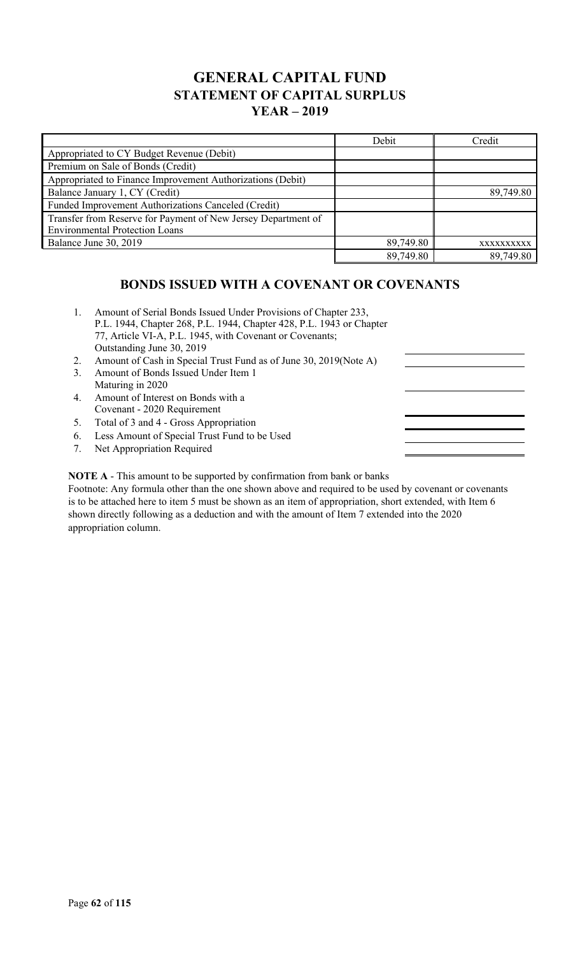## **GENERAL CAPITAL FUND STATEMENT OF CAPITAL SURPLUS YEAR – 2019**

|                                                               | Debit     | Credit     |
|---------------------------------------------------------------|-----------|------------|
| Appropriated to CY Budget Revenue (Debit)                     |           |            |
| Premium on Sale of Bonds (Credit)                             |           |            |
| Appropriated to Finance Improvement Authorizations (Debit)    |           |            |
| Balance January 1, CY (Credit)                                |           | 89,749.80  |
| Funded Improvement Authorizations Canceled (Credit)           |           |            |
| Transfer from Reserve for Payment of New Jersey Department of |           |            |
| <b>Environmental Protection Loans</b>                         |           |            |
| Balance June 30, 2019                                         | 89,749.80 | XXXXXXXXXX |
|                                                               | 89,749.80 | 89,749.80  |

## **BONDS ISSUED WITH A COVENANT OR COVENANTS**

| 1. | Amount of Serial Bonds Issued Under Provisions of Chapter 233,<br>P.L. 1944, Chapter 268, P.L. 1944, Chapter 428, P.L. 1943 or Chapter |
|----|----------------------------------------------------------------------------------------------------------------------------------------|
|    | 77, Article VI-A, P.L. 1945, with Covenant or Covenants;                                                                               |
|    | Outstanding June 30, 2019                                                                                                              |
| 2. | Amount of Cash in Special Trust Fund as of June 30, 2019 (Note A)                                                                      |
| 3. | Amount of Bonds Issued Under Item 1                                                                                                    |
|    | Maturing in 2020                                                                                                                       |
| 4. | Amount of Interest on Bonds with a                                                                                                     |
|    | Covenant - 2020 Requirement                                                                                                            |
| 5. | Total of 3 and 4 - Gross Appropriation                                                                                                 |
| 6. | Less Amount of Special Trust Fund to be Used                                                                                           |
| 7. | Net Appropriation Required                                                                                                             |

**NOTE A** - This amount to be supported by confirmation from bank or banks

Footnote: Any formula other than the one shown above and required to be used by covenant or covenants is to be attached here to item 5 must be shown as an item of appropriation, short extended, with Item 6 shown directly following as a deduction and with the amount of Item 7 extended into the 2020 appropriation column.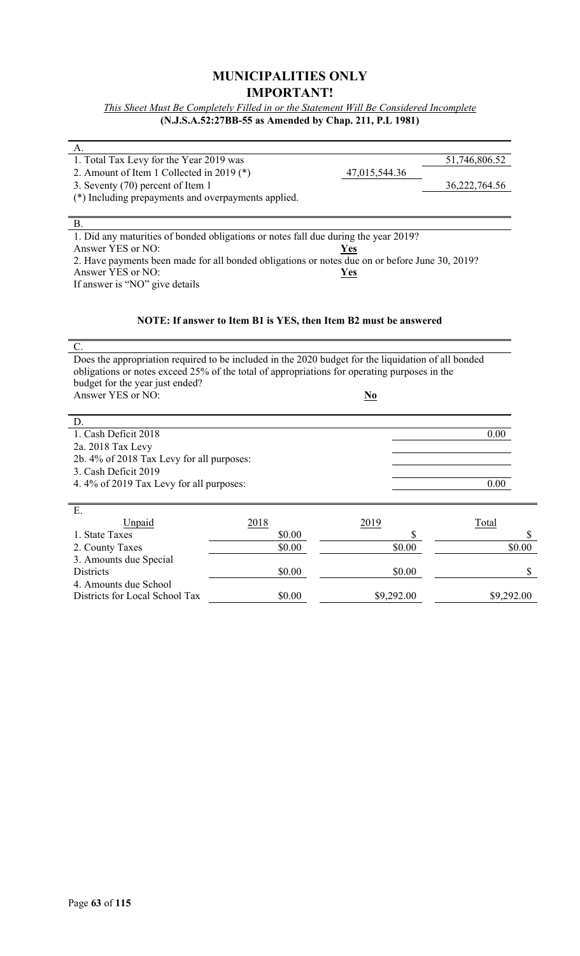#### **MUNICIPALITIES ONLY IMPORTANT!**

*This Sheet Must Be Completely Filled in or the Statement Will Be Considered Incomplete* **(N.J.S.A.52:27BB-55 as Amended by Chap. 211, P.L 1981)**

| A.                                                                                                  |        |                                                                  |               |
|-----------------------------------------------------------------------------------------------------|--------|------------------------------------------------------------------|---------------|
| 1. Total Tax Levy for the Year 2019 was                                                             |        |                                                                  | 51,746,806.52 |
| 2. Amount of Item 1 Collected in 2019 (*)                                                           |        | 47,015,544.36                                                    |               |
| 3. Seventy (70) percent of Item 1                                                                   |        |                                                                  | 36,222,764.56 |
| (*) Including prepayments and overpayments applied.                                                 |        |                                                                  |               |
|                                                                                                     |        |                                                                  |               |
| В.                                                                                                  |        |                                                                  |               |
| 1. Did any maturities of bonded obligations or notes fall due during the year 2019?                 |        |                                                                  |               |
| Answer YES or NO:                                                                                   |        | <b>Yes</b>                                                       |               |
| 2. Have payments been made for all bonded obligations or notes due on or before June 30, 2019?      |        |                                                                  |               |
| Answer YES or NO:                                                                                   |        | Yes                                                              |               |
| If answer is "NO" give details                                                                      |        |                                                                  |               |
|                                                                                                     |        |                                                                  |               |
|                                                                                                     |        |                                                                  |               |
|                                                                                                     |        | NOTE: If answer to Item B1 is YES, then Item B2 must be answered |               |
|                                                                                                     |        |                                                                  |               |
| C.                                                                                                  |        |                                                                  |               |
| Does the appropriation required to be included in the 2020 budget for the liquidation of all bonded |        |                                                                  |               |
| obligations or notes exceed 25% of the total of appropriations for operating purposes in the        |        |                                                                  |               |
| budget for the year just ended?                                                                     |        |                                                                  |               |
| Answer YES or NO:                                                                                   |        | $\underline{\mathbf{No}}$                                        |               |
|                                                                                                     |        |                                                                  |               |
| D.                                                                                                  |        |                                                                  |               |
| 1. Cash Deficit 2018                                                                                |        |                                                                  | 0.00          |
| 2a. 2018 Tax Levy                                                                                   |        |                                                                  |               |
| 2b. 4% of 2018 Tax Levy for all purposes:                                                           |        |                                                                  |               |
| 3. Cash Deficit 2019                                                                                |        |                                                                  |               |
| 4.4% of 2019 Tax Levy for all purposes:                                                             |        |                                                                  | 0.00          |
|                                                                                                     |        |                                                                  |               |
| Ε.                                                                                                  |        |                                                                  |               |
| Unpaid                                                                                              | 2018   | 2019                                                             | Total         |
| 1. State Taxes                                                                                      | \$0.00 | \$                                                               |               |
| 2. County Taxes                                                                                     | \$0.00 | \$0.00                                                           | \$0.00        |
| 3. Amounts due Special                                                                              |        |                                                                  |               |
| <b>Districts</b>                                                                                    | \$0.00 | \$0.00                                                           |               |
| 4. Amounts due School                                                                               |        |                                                                  |               |
| Districts for Local School Tax                                                                      | \$0.00 | \$9,292.00                                                       | \$9,292.00    |
|                                                                                                     |        |                                                                  |               |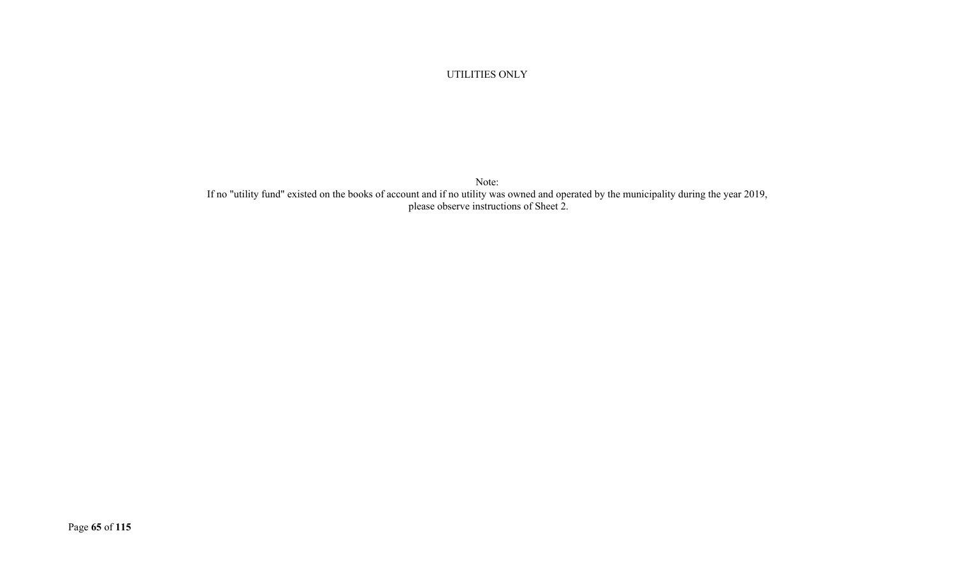UTILITIES ONLY

Note: If no "utility fund" existed on the books of account and if no utility was owned and operated by the municipality during the year 2019, please observe instructions of Sheet 2.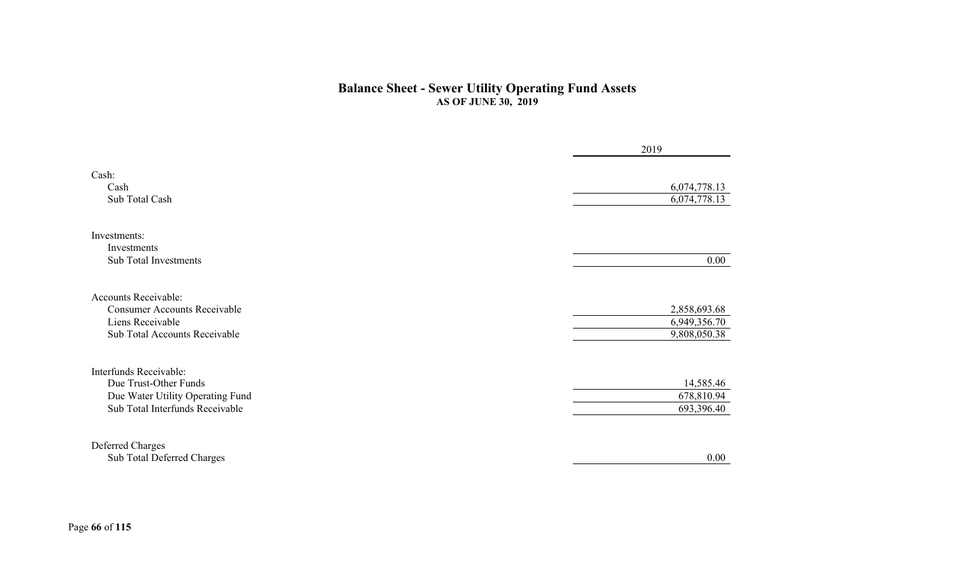#### **Balance Sheet - Sewer Utility Operating Fund Assets AS OF JUNE 30, 2019**

|                                                                                 | 2019                         |
|---------------------------------------------------------------------------------|------------------------------|
| Cash:<br>Cash<br>Sub Total Cash                                                 | 6,074,778.13<br>6,074,778.13 |
| Investments:<br>Investments                                                     |                              |
| Sub Total Investments                                                           | 0.00                         |
| Accounts Receivable:<br><b>Consumer Accounts Receivable</b><br>Liens Receivable | 2,858,693.68<br>6,949,356.70 |
| Sub Total Accounts Receivable                                                   | 9,808,050.38                 |
| Interfunds Receivable:<br>Due Trust-Other Funds                                 | 14,585.46                    |
| Due Water Utility Operating Fund<br>Sub Total Interfunds Receivable             | 678,810.94<br>693,396.40     |
| Deferred Charges<br>Sub Total Deferred Charges                                  | 0.00                         |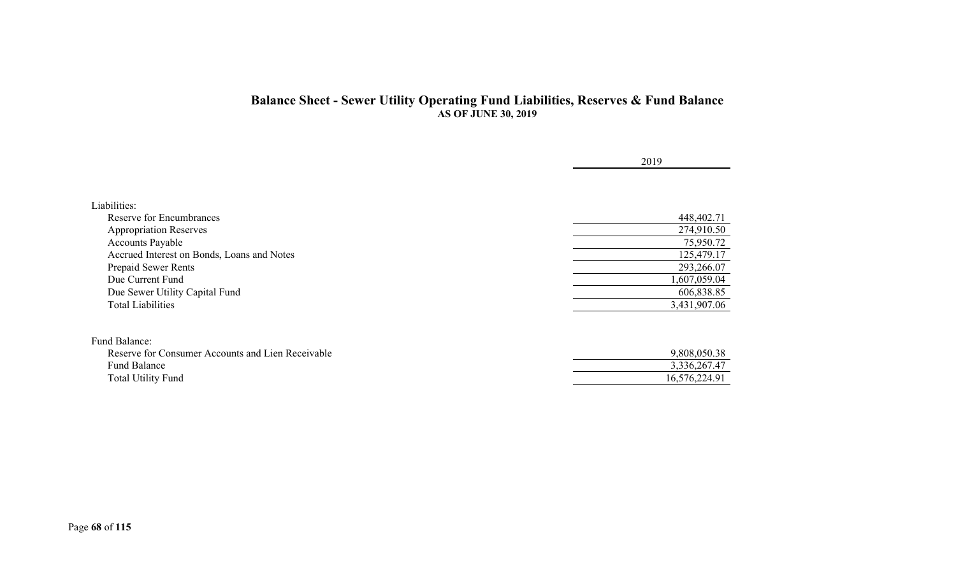#### **Balance Sheet - Sewer Utility Operating Fund Liabilities, Reserves & Fund Balance AS OF JUNE 30, 2019**

|                                                   | 2019          |
|---------------------------------------------------|---------------|
|                                                   |               |
| Liabilities:                                      |               |
| <b>Reserve for Encumbrances</b>                   | 448,402.71    |
| <b>Appropriation Reserves</b>                     | 274,910.50    |
| <b>Accounts Payable</b>                           | 75,950.72     |
| Accrued Interest on Bonds, Loans and Notes        | 125,479.17    |
| Prepaid Sewer Rents                               | 293,266.07    |
| Due Current Fund                                  | 1,607,059.04  |
| Due Sewer Utility Capital Fund                    | 606,838.85    |
| <b>Total Liabilities</b>                          | 3,431,907.06  |
| Fund Balance:                                     |               |
| Reserve for Consumer Accounts and Lien Receivable | 9,808,050.38  |
| Fund Balance                                      | 3,336,267.47  |
| <b>Total Utility Fund</b>                         | 16,576,224.91 |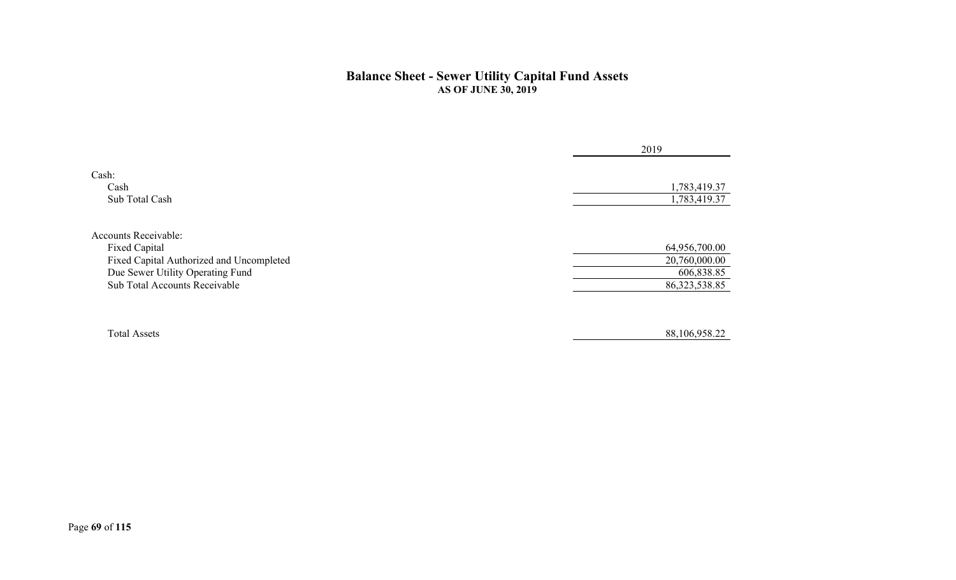#### **Balance Sheet - Sewer Utility Capital Fund Assets AS OF JUNE 30, 2019**

|                                          | 2019             |
|------------------------------------------|------------------|
| Cash:                                    |                  |
| Cash                                     | 1,783,419.37     |
| Sub Total Cash                           | 1,783,419.37     |
| <b>Accounts Receivable:</b>              |                  |
| Fixed Capital                            | 64,956,700.00    |
| Fixed Capital Authorized and Uncompleted | 20,760,000.00    |
| Due Sewer Utility Operating Fund         | 606,838.85       |
| Sub Total Accounts Receivable            | 86, 323, 538. 85 |
|                                          |                  |
| <b>Total Assets</b>                      | 88,106,958.22    |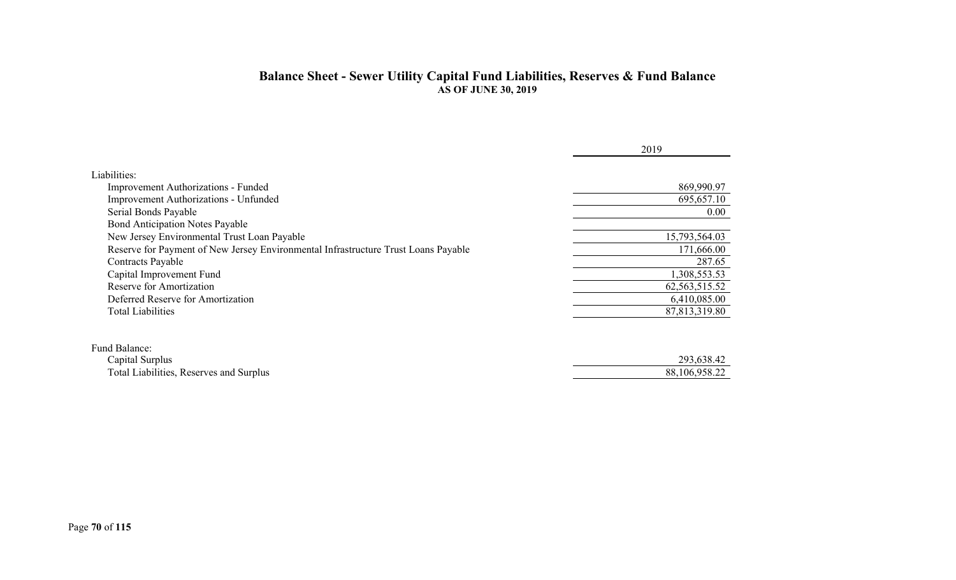#### **Balance Sheet - Sewer Utility Capital Fund Liabilities, Reserves & Fund Balance AS OF JUNE 30, 2019**

|                                                                                    | 2019             |  |
|------------------------------------------------------------------------------------|------------------|--|
| Liabilities:                                                                       |                  |  |
| <b>Improvement Authorizations - Funded</b>                                         | 869,990.97       |  |
| Improvement Authorizations - Unfunded                                              | 695,657.10       |  |
| Serial Bonds Payable                                                               | $0.00\,$         |  |
| <b>Bond Anticipation Notes Payable</b>                                             |                  |  |
| New Jersey Environmental Trust Loan Payable                                        | 15,793,564.03    |  |
| Reserve for Payment of New Jersey Environmental Infrastructure Trust Loans Payable | 171,666.00       |  |
| Contracts Payable                                                                  | 287.65           |  |
| Capital Improvement Fund                                                           | 1,308,553.53     |  |
| Reserve for Amortization                                                           | 62,563,515.52    |  |
| Deferred Reserve for Amortization                                                  | 6,410,085.00     |  |
| <b>Total Liabilities</b>                                                           | 87, 813, 319. 80 |  |
| Fund Balance:                                                                      |                  |  |
| Capital Surplus                                                                    | 293,638.42       |  |
| Total Liabilities, Reserves and Surplus                                            | 88,106,958.22    |  |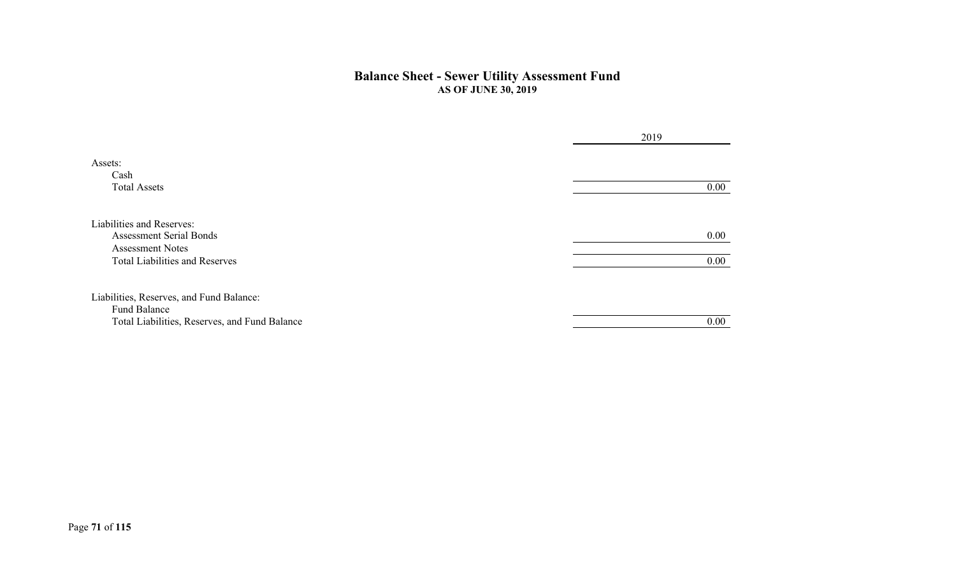#### **Balance Sheet - Sewer Utility Assessment Fund AS OF JUNE 30, 2019**

|                                                                                                                                 | 2019                 |
|---------------------------------------------------------------------------------------------------------------------------------|----------------------|
| Assets:                                                                                                                         |                      |
| Cash                                                                                                                            |                      |
| <b>Total Assets</b>                                                                                                             | $0.00\,$             |
| Liabilities and Reserves:<br><b>Assessment Serial Bonds</b><br><b>Assessment Notes</b><br><b>Total Liabilities and Reserves</b> | $0.00\,$<br>$0.00\,$ |
| Liabilities, Reserves, and Fund Balance:<br>Fund Balance<br>Total Liabilities, Reserves, and Fund Balance                       | 0.00                 |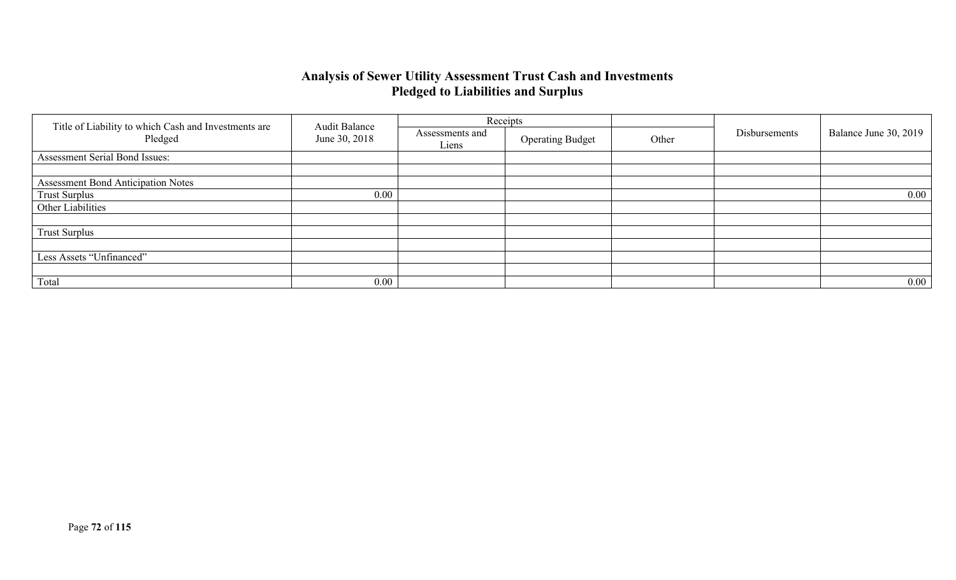## **Analysis of Sewer Utility Assessment Trust Cash and Investments Pledged to Liabilities and Surplus**

| Title of Liability to which Cash and Investments are<br>Pledged | <b>Audit Balance</b><br>June 30, 2018 | Receipts                 |                         |       |               |                       |
|-----------------------------------------------------------------|---------------------------------------|--------------------------|-------------------------|-------|---------------|-----------------------|
|                                                                 |                                       | Assessments and<br>Liens | <b>Operating Budget</b> | Other | Disbursements | Balance June 30, 2019 |
| Assessment Serial Bond Issues:                                  |                                       |                          |                         |       |               |                       |
|                                                                 |                                       |                          |                         |       |               |                       |
| <b>Assessment Bond Anticipation Notes</b>                       |                                       |                          |                         |       |               |                       |
| <b>Trust Surplus</b>                                            | 0.00                                  |                          |                         |       |               | $0.00\,$              |
| Other Liabilities                                               |                                       |                          |                         |       |               |                       |
|                                                                 |                                       |                          |                         |       |               |                       |
| <b>Trust Surplus</b>                                            |                                       |                          |                         |       |               |                       |
|                                                                 |                                       |                          |                         |       |               |                       |
| Less Assets "Unfinanced"                                        |                                       |                          |                         |       |               |                       |
|                                                                 |                                       |                          |                         |       |               |                       |
| Total                                                           | 0.00                                  |                          |                         |       |               | $0.00\,$              |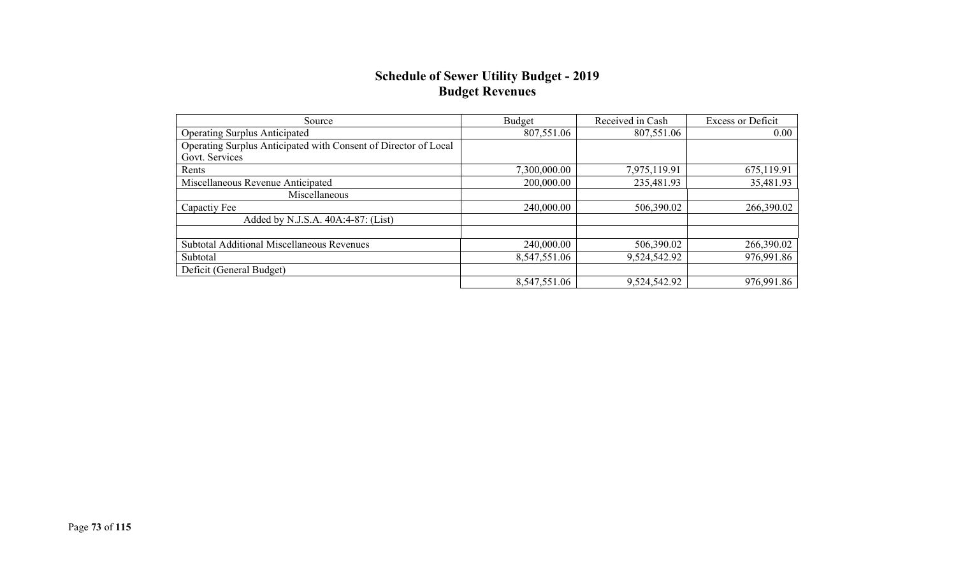### **Schedule of Sewer Utility Budget - 2019 Budget Revenues**

| Source                                                          | Budget       | Received in Cash | <b>Excess or Deficit</b> |
|-----------------------------------------------------------------|--------------|------------------|--------------------------|
| <b>Operating Surplus Anticipated</b>                            | 807,551.06   | 807,551.06       | 0.00                     |
| Operating Surplus Anticipated with Consent of Director of Local |              |                  |                          |
| Govt. Services                                                  |              |                  |                          |
| Rents                                                           | 7,300,000.00 | 7,975,119.91     | 675,119.91               |
| Miscellaneous Revenue Anticipated                               | 200,000.00   | 235,481.93       | 35,481.93                |
| Miscellaneous                                                   |              |                  |                          |
| Capactiy Fee                                                    | 240,000.00   | 506,390.02       | 266,390.02               |
| Added by N.J.S.A. 40A:4-87: (List)                              |              |                  |                          |
|                                                                 |              |                  |                          |
| <b>Subtotal Additional Miscellaneous Revenues</b>               | 240,000.00   | 506,390.02       | 266,390.02               |
| Subtotal                                                        | 8,547,551.06 | 9,524,542.92     | 976,991.86               |
| Deficit (General Budget)                                        |              |                  |                          |
|                                                                 | 8,547,551.06 | 9,524,542.92     | 976,991.86               |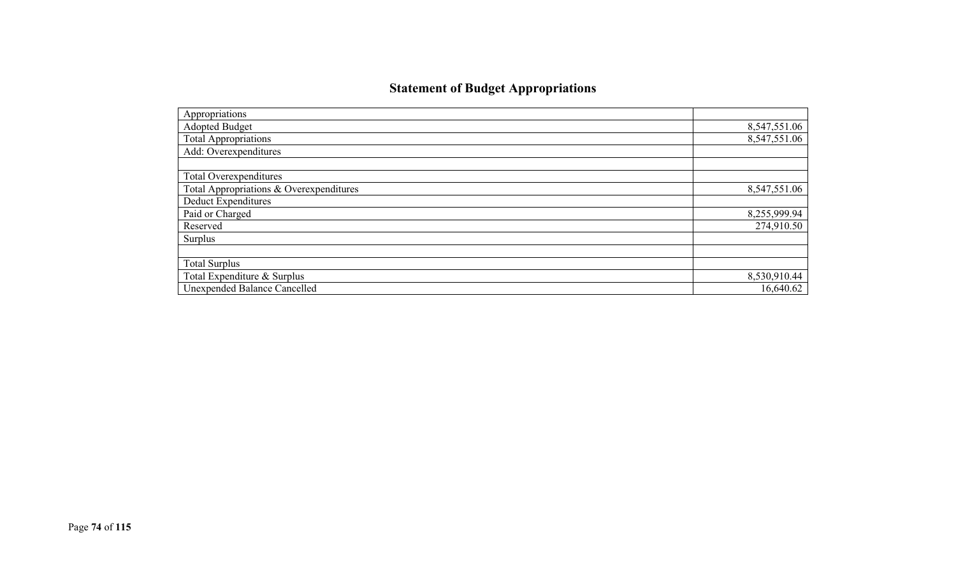# **Statement of Budget Appropriations**

| Appropriations                          |              |
|-----------------------------------------|--------------|
| Adopted Budget                          | 8,547,551.06 |
| <b>Total Appropriations</b>             | 8,547,551.06 |
| Add: Overexpenditures                   |              |
|                                         |              |
| Total Overexpenditures                  |              |
| Total Appropriations & Overexpenditures | 8,547,551.06 |
| Deduct Expenditures                     |              |
| Paid or Charged                         | 8,255,999.94 |
| Reserved                                | 274,910.50   |
| Surplus                                 |              |
|                                         |              |
| <b>Total Surplus</b>                    |              |
| Total Expenditure & Surplus             | 8,530,910.44 |
| Unexpended Balance Cancelled            | 16,640.62    |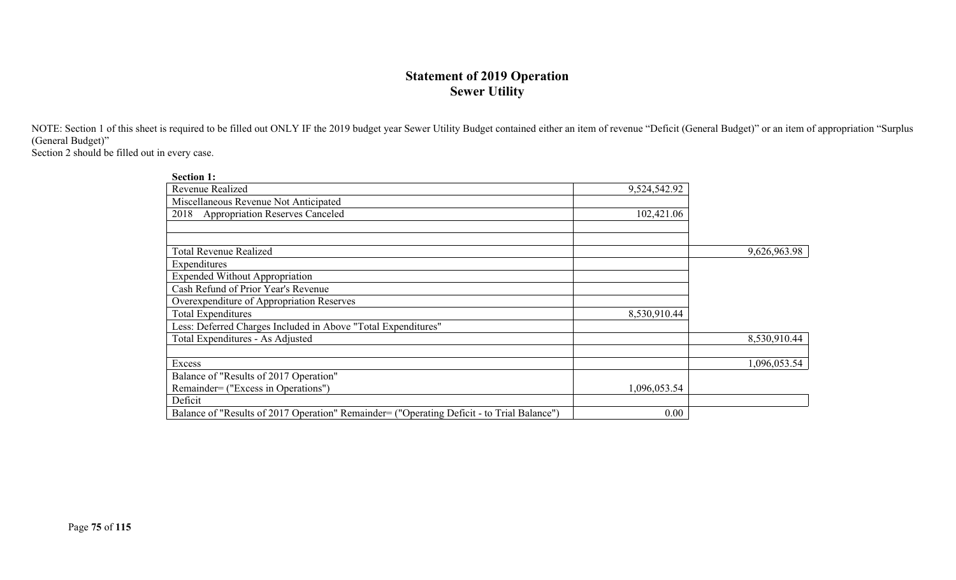## **Statement of 2019 Operation Sewer Utility**

NOTE: Section 1 of this sheet is required to be filled out ONLY IF the 2019 budget year Sewer Utility Budget contained either an item of revenue "Deficit (General Budget)" or an item of appropriation "Surplus (General Budget)"

Section 2 should be filled out in every case.

| <b>Section 1:</b>                                                                          |              |              |
|--------------------------------------------------------------------------------------------|--------------|--------------|
| Revenue Realized                                                                           | 9,524,542.92 |              |
| Miscellaneous Revenue Not Anticipated                                                      |              |              |
| <b>Appropriation Reserves Canceled</b><br>2018                                             | 102,421.06   |              |
|                                                                                            |              |              |
|                                                                                            |              |              |
| <b>Total Revenue Realized</b>                                                              |              | 9,626,963.98 |
| Expenditures                                                                               |              |              |
| <b>Expended Without Appropriation</b>                                                      |              |              |
| Cash Refund of Prior Year's Revenue                                                        |              |              |
| Overexpenditure of Appropriation Reserves                                                  |              |              |
| <b>Total Expenditures</b>                                                                  | 8,530,910.44 |              |
| Less: Deferred Charges Included in Above "Total Expenditures"                              |              |              |
| Total Expenditures - As Adjusted                                                           |              | 8,530,910.44 |
|                                                                                            |              |              |
| Excess                                                                                     |              | 1,096,053.54 |
| Balance of "Results of 2017 Operation"                                                     |              |              |
| Remainder= ("Excess in Operations")                                                        | 1,096,053.54 |              |
| Deficit                                                                                    |              |              |
| Balance of "Results of 2017 Operation" Remainder= ("Operating Deficit - to Trial Balance") | 0.00         |              |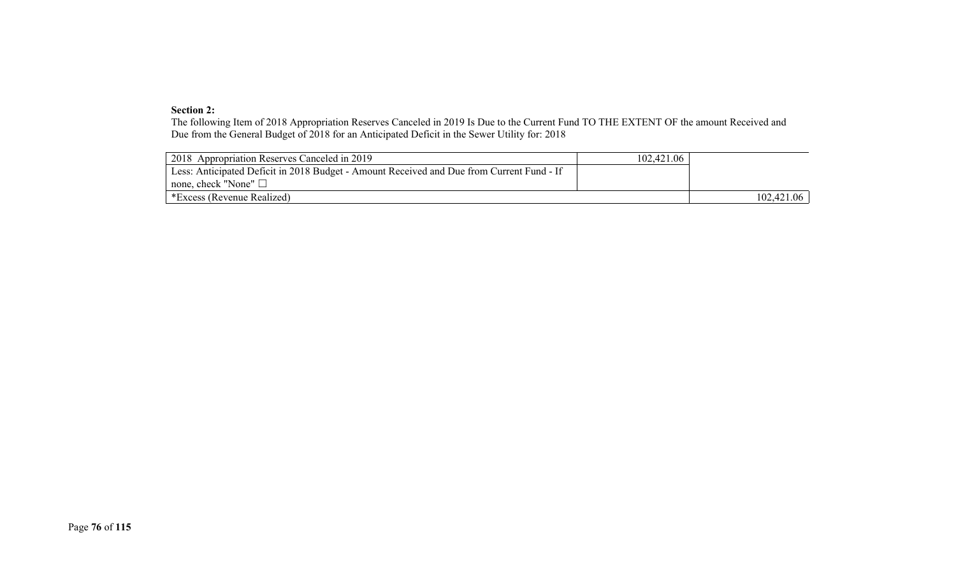#### **Section 2:**

The following Item of 2018 Appropriation Reserves Canceled in 2019 Is Due to the Current Fund TO THE EXTENT OF the amount Received and Due from the General Budget of 2018 for an Anticipated Deficit in the Sewer Utility for: 2018

| 2018 Appropriation Reserves Canceled in 2019                                              | 102,421.06 |            |
|-------------------------------------------------------------------------------------------|------------|------------|
| Less: Anticipated Deficit in 2018 Budget - Amount Received and Due from Current Fund - If |            |            |
| $\vdash$ none, check "None" $\Box$                                                        |            |            |
| *Excess (Revenue Realized)                                                                |            | 102,421.06 |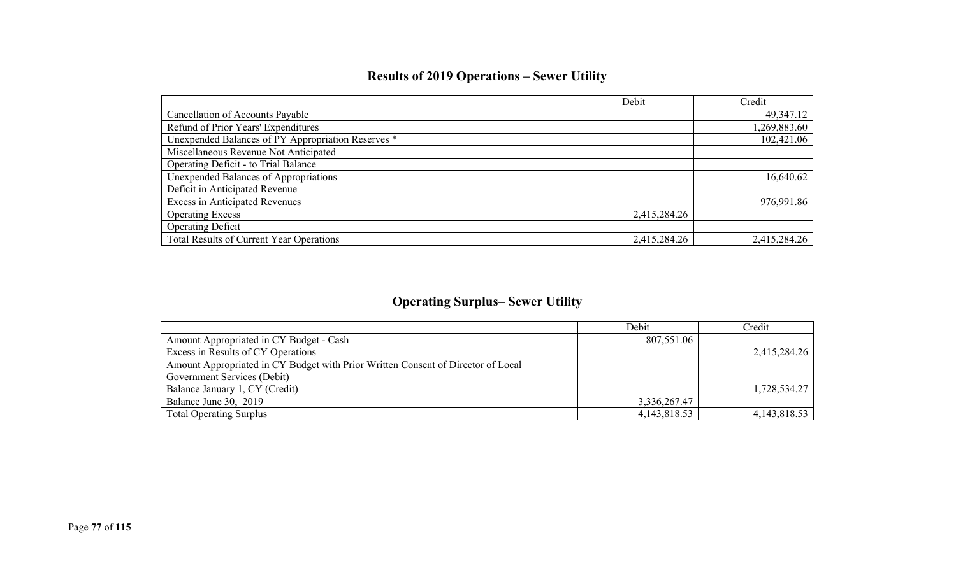# **Results of 2019 Operations – Sewer Utility**

|                                                    | Debit        | Credit       |
|----------------------------------------------------|--------------|--------------|
| Cancellation of Accounts Payable                   |              | 49,347.12    |
| Refund of Prior Years' Expenditures                |              | 1,269,883.60 |
| Unexpended Balances of PY Appropriation Reserves * |              | 102,421.06   |
| Miscellaneous Revenue Not Anticipated              |              |              |
| Operating Deficit - to Trial Balance               |              |              |
| Unexpended Balances of Appropriations              |              | 16,640.62    |
| Deficit in Anticipated Revenue                     |              |              |
| <b>Excess in Anticipated Revenues</b>              |              | 976,991.86   |
| <b>Operating Excess</b>                            | 2,415,284.26 |              |
| <b>Operating Deficit</b>                           |              |              |
| <b>Total Results of Current Year Operations</b>    | 2,415,284.26 | 2,415,284.26 |

# **Operating Surplus– Sewer Utility**

|                                                                                  | Debit           | Credit       |
|----------------------------------------------------------------------------------|-----------------|--------------|
| Amount Appropriated in CY Budget - Cash                                          | 807,551.06      |              |
| Excess in Results of CY Operations                                               |                 | 2,415,284.26 |
| Amount Appropriated in CY Budget with Prior Written Consent of Director of Local |                 |              |
| Government Services (Debit)                                                      |                 |              |
| Balance January 1, CY (Credit)                                                   |                 | 1,728,534.27 |
| Balance June 30, 2019                                                            | 3,336,267.47    |              |
| <b>Total Operating Surplus</b>                                                   | 4, 143, 818. 53 | 4,143,818.53 |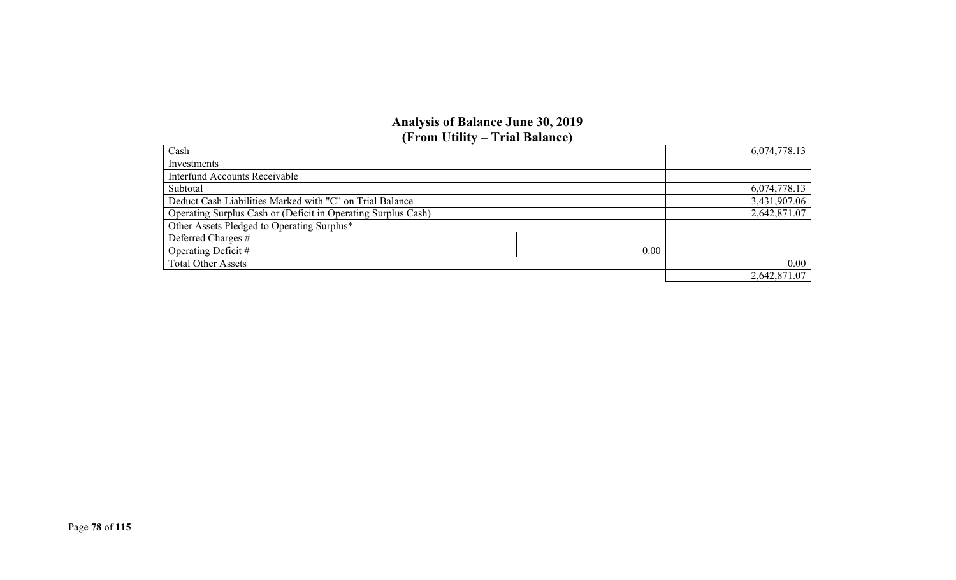### **Analysis of Balance June 30, 2019 (From Utility – Trial Balance)**

| Cash                                                          | 6,074,778.13 |
|---------------------------------------------------------------|--------------|
| Investments                                                   |              |
| <b>Interfund Accounts Receivable</b>                          |              |
| Subtotal                                                      | 6,074,778.13 |
| Deduct Cash Liabilities Marked with "C" on Trial Balance      | 3,431,907.06 |
| Operating Surplus Cash or (Deficit in Operating Surplus Cash) | 2,642,871.07 |
| Other Assets Pledged to Operating Surplus*                    |              |
| Deferred Charges #                                            |              |
| Operating Deficit #<br>0.00                                   |              |
| <b>Total Other Assets</b>                                     | 0.00         |
|                                                               | 2,642,871.07 |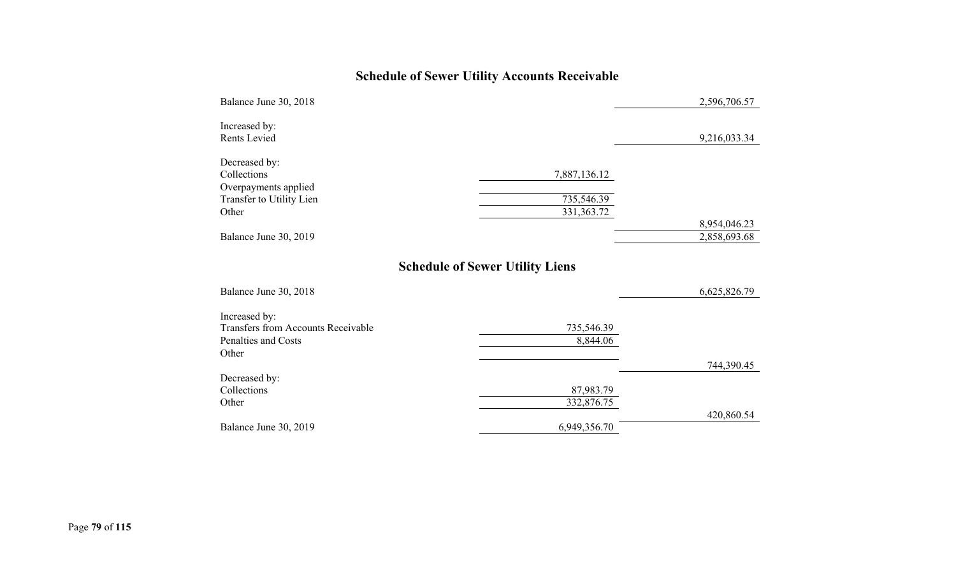# **Schedule of Sewer Utility Accounts Receivable**

| Balance June 30, 2018                     |                                        | 2,596,706.57 |
|-------------------------------------------|----------------------------------------|--------------|
| Increased by:                             |                                        |              |
| Rents Levied                              |                                        | 9,216,033.34 |
| Decreased by:                             |                                        |              |
| Collections                               | 7,887,136.12                           |              |
| Overpayments applied                      |                                        |              |
| Transfer to Utility Lien                  | 735,546.39                             |              |
| Other                                     | 331, 363. 72                           |              |
|                                           |                                        | 8,954,046.23 |
| Balance June 30, 2019                     |                                        | 2,858,693.68 |
|                                           | <b>Schedule of Sewer Utility Liens</b> |              |
| Balance June 30, 2018                     |                                        | 6,625,826.79 |
| Increased by:                             |                                        |              |
| <b>Transfers from Accounts Receivable</b> | 735,546.39                             |              |
| Penalties and Costs                       | 8,844.06                               |              |
| Other                                     |                                        |              |
|                                           |                                        | 744,390.45   |
| Decreased by:                             |                                        |              |
| Collections                               | 87,983.79                              |              |
| Other                                     | 332,876.75                             |              |
|                                           |                                        | 420,860.54   |
| Balance June 30, 2019                     | 6,949,356.70                           |              |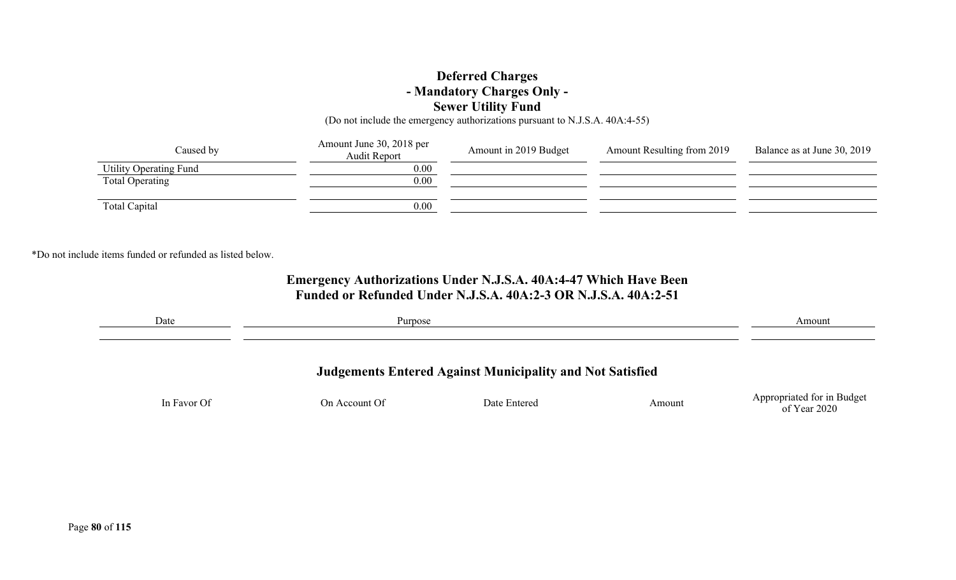### **Deferred Charges - Mandatory Charges Only - Sewer Utility Fund**

(Do not include the emergency authorizations pursuant to N.J.S.A. 40A:4-55)

| Amount June 30, 2018 per<br><b>Audit Report</b> | Amount in 2019 Budget | Amount Resulting from 2019 | Balance as at June 30, 2019 |
|-------------------------------------------------|-----------------------|----------------------------|-----------------------------|
| 0.00                                            |                       |                            |                             |
| $0.00\,$                                        |                       |                            |                             |
|                                                 |                       |                            |                             |
| 0.00                                            |                       |                            |                             |
|                                                 |                       |                            |                             |

\*Do not include items funded or refunded as listed below.

## **Emergency Authorizations Under N.J.S.A. 40A:4-47 Which Have Been Funded or Refunded Under N.J.S.A. 40A:2-3 OR N.J.S.A. 40A:2-51**

| Date                                                             | Purpose       |              |        | Amount                                     |
|------------------------------------------------------------------|---------------|--------------|--------|--------------------------------------------|
| <b>Judgements Entered Against Municipality and Not Satisfied</b> |               |              |        |                                            |
| In Favor Of                                                      | On Account Of | Date Entered | Amount | Appropriated for in Budget<br>of Year 2020 |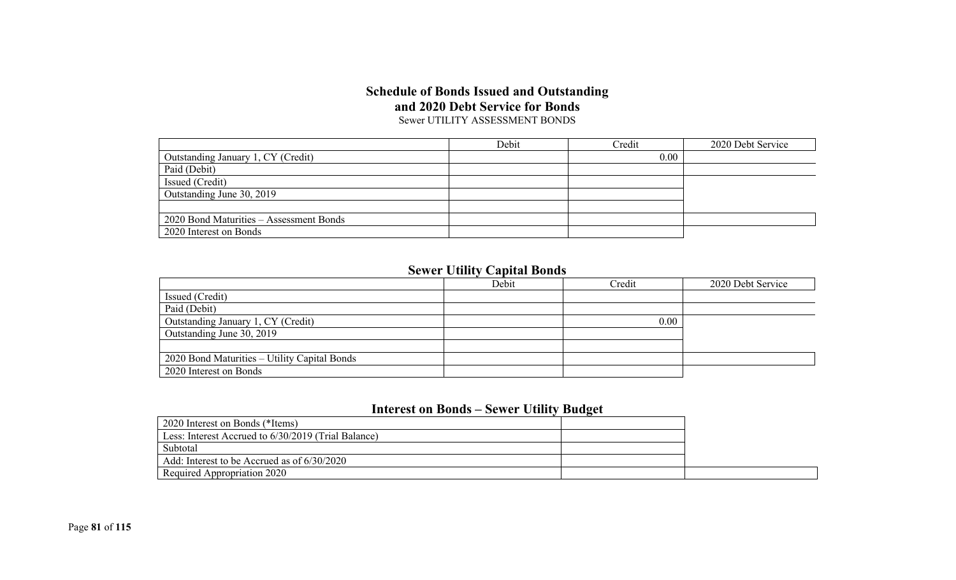### **Schedule of Bonds Issued and Outstanding and 2020 Debt Service for Bonds** Sewer UTILITY ASSESSMENT BONDS

|                                         | Debit | Credit | 2020 Debt Service |
|-----------------------------------------|-------|--------|-------------------|
| Outstanding January 1, CY (Credit)      |       | 0.00   |                   |
| Paid (Debit)                            |       |        |                   |
| Issued (Credit)                         |       |        |                   |
| Outstanding June 30, 2019               |       |        |                   |
|                                         |       |        |                   |
| 2020 Bond Maturities - Assessment Bonds |       |        |                   |
| 2020 Interest on Bonds                  |       |        |                   |

## **Sewer Utility Capital Bonds**

|                                              | Debit | Credit | 2020 Debt Service |
|----------------------------------------------|-------|--------|-------------------|
| Issued (Credit)                              |       |        |                   |
| Paid (Debit)                                 |       |        |                   |
| Outstanding January 1, CY (Credit)           |       | 0.00   |                   |
| Outstanding June 30, 2019                    |       |        |                   |
|                                              |       |        |                   |
| 2020 Bond Maturities – Utility Capital Bonds |       |        |                   |
| 2020 Interest on Bonds                       |       |        |                   |

## **Interest on Bonds – Sewer Utility Budget**

| 2020 Interest on Bonds (*Items)                     |  |
|-----------------------------------------------------|--|
| Less: Interest Accrued to 6/30/2019 (Trial Balance) |  |
| Subtotal                                            |  |
| Add: Interest to be Accrued as of 6/30/2020         |  |
| Required Appropriation 2020                         |  |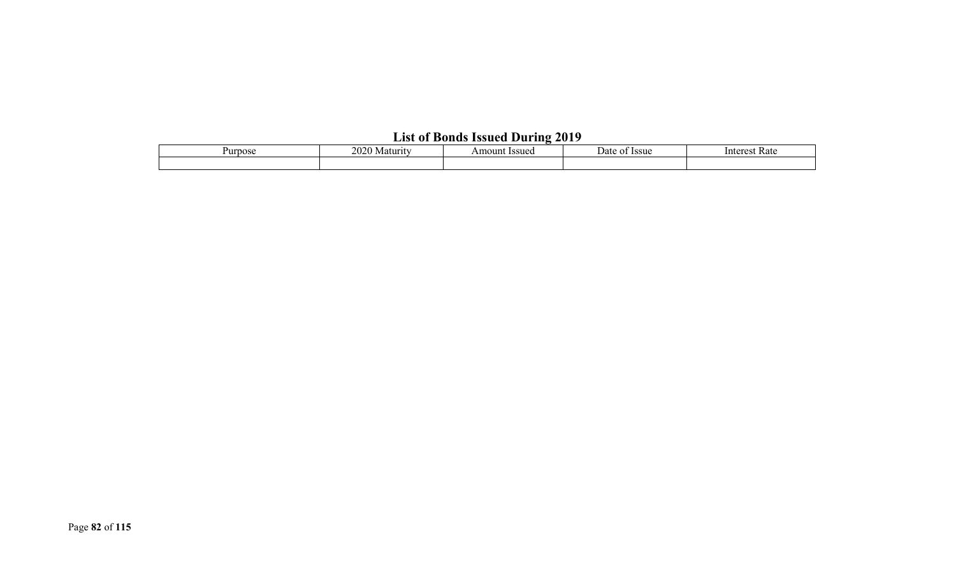# **List of Bonds Issued During 2019**

| - - - - - |                                             |  |                      |                 |  |  |  |  |
|-----------|---------------------------------------------|--|----------------------|-----------------|--|--|--|--|
| Purpose   | 2020<br><b>Issued</b><br>Maturity<br>Amount |  | Date<br>: Issue<br>. | Rate<br>Interes |  |  |  |  |
|           |                                             |  |                      |                 |  |  |  |  |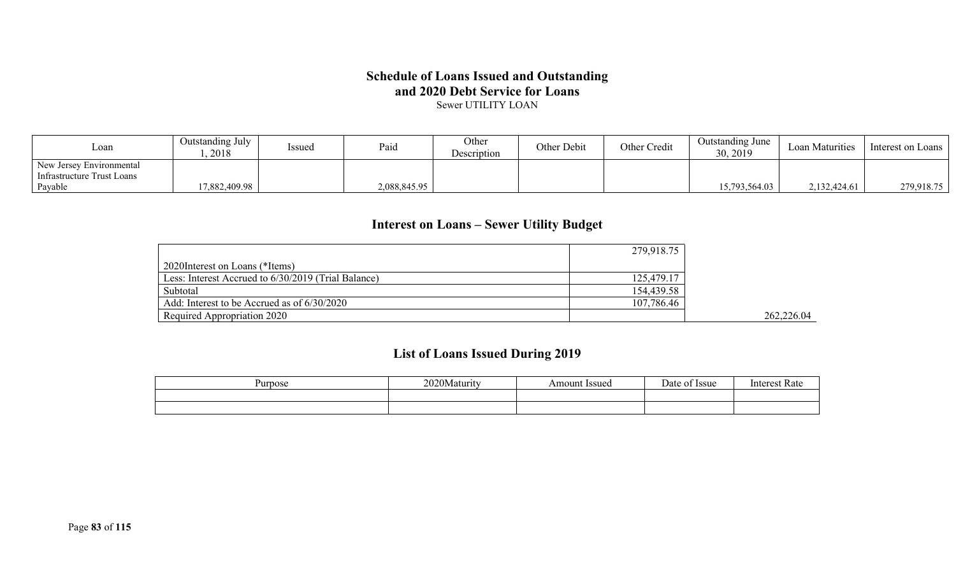## **Schedule of Loans Issued and Outstanding and 2020 Debt Service for Loans**

Sewer UTILITY LOAN

| Loan                       | Outstanding July<br>2018 | <b>Issued</b> | Paid         | Other<br>Description | Other Debit | Other Credit | <b>Outstanding June</b><br>30, 2019 | Loan Maturities | Interest on Loans |
|----------------------------|--------------------------|---------------|--------------|----------------------|-------------|--------------|-------------------------------------|-----------------|-------------------|
| New Jersey Environmental   |                          |               |              |                      |             |              |                                     |                 |                   |
| Infrastructure Trust Loans |                          |               |              |                      |             |              |                                     |                 |                   |
| Payable                    | 17,882,409.98            |               | 2,088,845.95 |                      |             |              | 15,793,564.03                       | 2,132,424.61    | 279,918.75        |

## **Interest on Loans – Sewer Utility Budget**

|                                                     | 279,918.75 |            |
|-----------------------------------------------------|------------|------------|
| 2020 Interest on Loans (*Items)                     |            |            |
| Less: Interest Accrued to 6/30/2019 (Trial Balance) | 125,479.17 |            |
| Subtotal                                            | 154,439.58 |            |
| Add: Interest to be Accrued as of 6/30/2020         | 107,786.46 |            |
| Required Appropriation 2020                         |            | 262,226.04 |

## **List of Loans Issued During 2019**

| Purpose | 0.0001<br>Maturıty<br>$\sim$ 07 | Amount<br>Issued | <i>ssue</i><br>10T | Info<br>катє |
|---------|---------------------------------|------------------|--------------------|--------------|
|         |                                 |                  |                    |              |
|         |                                 |                  |                    |              |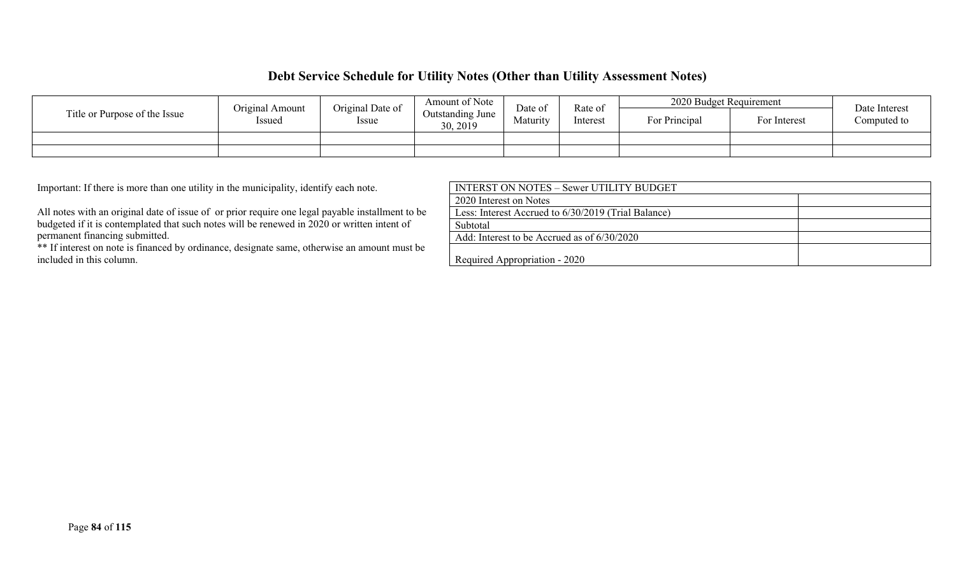### **Debt Service Schedule for Utility Notes (Other than Utility Assessment Notes)**

|                               | Original Amount | Original Date of | Amount of Note               | Date of  | Rate of  | 2020 Budget Requirement |              | Date Interest |
|-------------------------------|-----------------|------------------|------------------------------|----------|----------|-------------------------|--------------|---------------|
| Title or Purpose of the Issue | Issued          | <i>Issue</i>     | Outstanding June<br>30, 2019 | Maturity | Interest | For Principal           | For Interest | Computed to   |
|                               |                 |                  |                              |          |          |                         |              |               |
|                               |                 |                  |                              |          |          |                         |              |               |

Important: If there is more than one utility in the municipality, identify each note.

All notes with an original date of issue of or prior require one legal payable installment to be budgeted if it is contemplated that such notes will be renewed in 2020 or written intent of permanent financing submitted.

\*\* If interest on note is financed by ordinance, designate same, otherwise an amount must be included in this column.

| INTERST ON NOTES – Sewer UTILITY BUDGET             |  |
|-----------------------------------------------------|--|
| 2020 Interest on Notes                              |  |
| Less: Interest Accrued to 6/30/2019 (Trial Balance) |  |
| Subtotal                                            |  |
| Add: Interest to be Accrued as of $6/30/2020$       |  |
| Required Appropriation - 2020                       |  |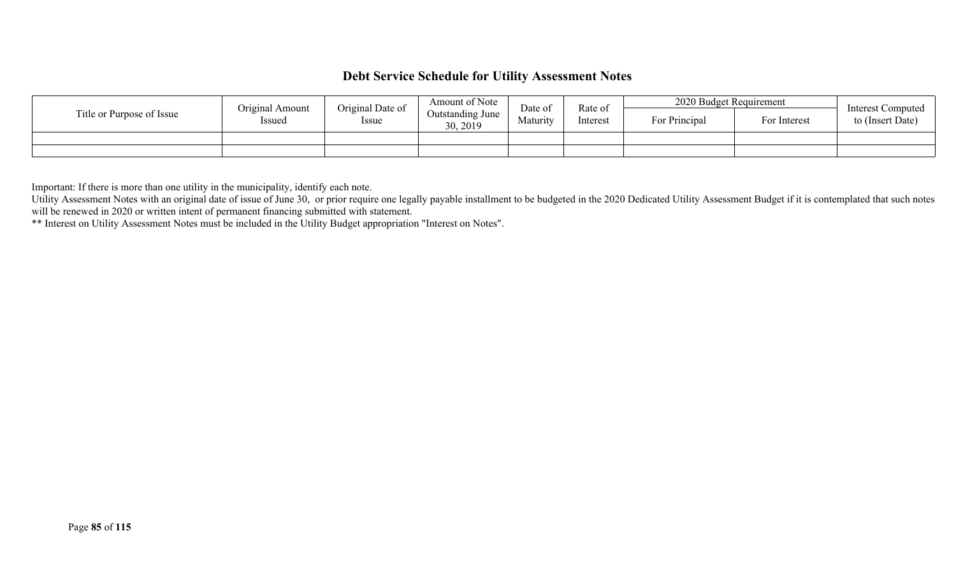### **Debt Service Schedule for Utility Assessment Notes**

|                           | Original Amount | Original Date of | Amount of Note               | Date of  | Rate of<br>Interest | 2020 Budget Requirement |              | Interest Computed |
|---------------------------|-----------------|------------------|------------------------------|----------|---------------------|-------------------------|--------------|-------------------|
| Title or Purpose of Issue | Issued          | Issue            | Outstanding June<br>30, 2019 | Maturity |                     | For Principal           | For Interest | to (Insert Date)  |
|                           |                 |                  |                              |          |                     |                         |              |                   |
|                           |                 |                  |                              |          |                     |                         |              |                   |

Important: If there is more than one utility in the municipality, identify each note.

Utility Assessment Notes with an original date of issue of June 30, or prior require one legally payable installment to be budgeted in the 2020 Dedicated Utility Assessment Budget if it is contemplated that such notes will be renewed in 2020 or written intent of permanent financing submitted with statement.

\*\* Interest on Utility Assessment Notes must be included in the Utility Budget appropriation "Interest on Notes".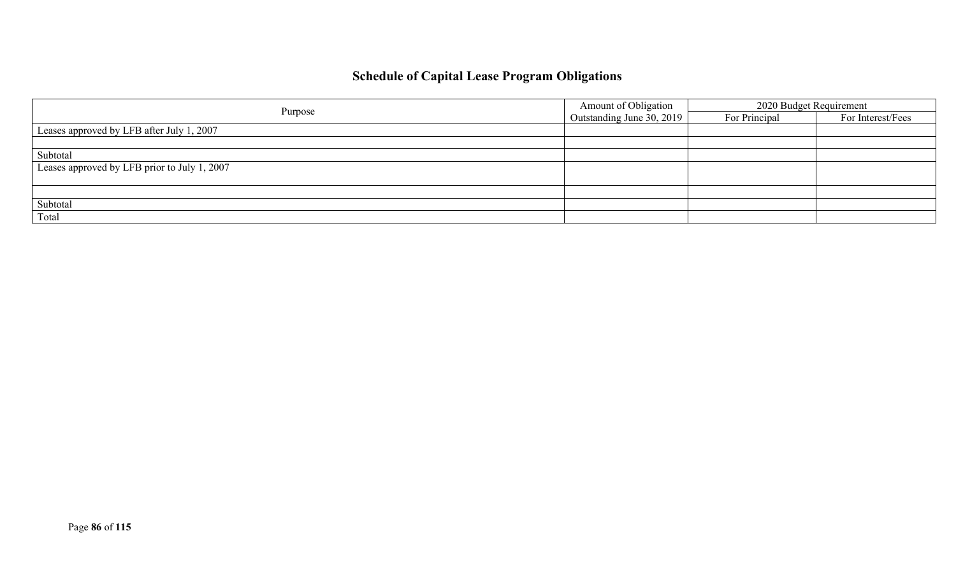# **Schedule of Capital Lease Program Obligations**

|                                              | Amount of Obligation      | 2020 Budget Requirement |                   |  |
|----------------------------------------------|---------------------------|-------------------------|-------------------|--|
| Purpose                                      | Outstanding June 30, 2019 | For Principal           | For Interest/Fees |  |
| Leases approved by LFB after July 1, 2007    |                           |                         |                   |  |
|                                              |                           |                         |                   |  |
| Subtotal                                     |                           |                         |                   |  |
| Leases approved by LFB prior to July 1, 2007 |                           |                         |                   |  |
|                                              |                           |                         |                   |  |
|                                              |                           |                         |                   |  |
| Subtotal                                     |                           |                         |                   |  |
| Total                                        |                           |                         |                   |  |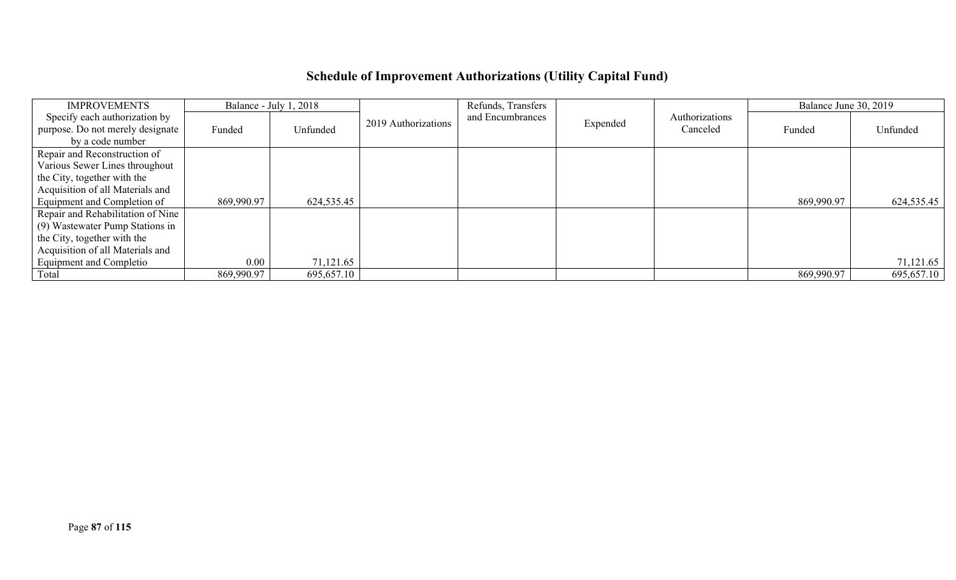# **Schedule of Improvement Authorizations (Utility Capital Fund)**

| <b>IMPROVEMENTS</b>               |            | Balance - July 1, 2018 |                     | Refunds, Transfers |          |                | Balance June 30, 2019 |              |          |
|-----------------------------------|------------|------------------------|---------------------|--------------------|----------|----------------|-----------------------|--------------|----------|
| Specify each authorization by     |            |                        | 2019 Authorizations | and Encumbrances   | Expended | Authorizations |                       |              |          |
| purpose. Do not merely designate  | Funded     | Unfunded               |                     |                    |          |                | Canceled              | Funded       | Unfunded |
| by a code number                  |            |                        |                     |                    |          |                |                       |              |          |
| Repair and Reconstruction of      |            |                        |                     |                    |          |                |                       |              |          |
| Various Sewer Lines throughout    |            |                        |                     |                    |          |                |                       |              |          |
| the City, together with the       |            |                        |                     |                    |          |                |                       |              |          |
| Acquisition of all Materials and  |            |                        |                     |                    |          |                |                       |              |          |
| Equipment and Completion of       | 869,990.97 | 624,535.45             |                     |                    |          |                | 869,990.97            | 624, 535. 45 |          |
| Repair and Rehabilitation of Nine |            |                        |                     |                    |          |                |                       |              |          |
| (9) Wastewater Pump Stations in   |            |                        |                     |                    |          |                |                       |              |          |
| the City, together with the       |            |                        |                     |                    |          |                |                       |              |          |
| Acquisition of all Materials and  |            |                        |                     |                    |          |                |                       |              |          |
| Equipment and Completio           | $0.00\,$   | 71,121.65              |                     |                    |          |                |                       | 71,121.65    |          |
| Total                             | 869,990.97 | 695,657.10             |                     |                    |          |                | 869,990.97            | 695,657.10   |          |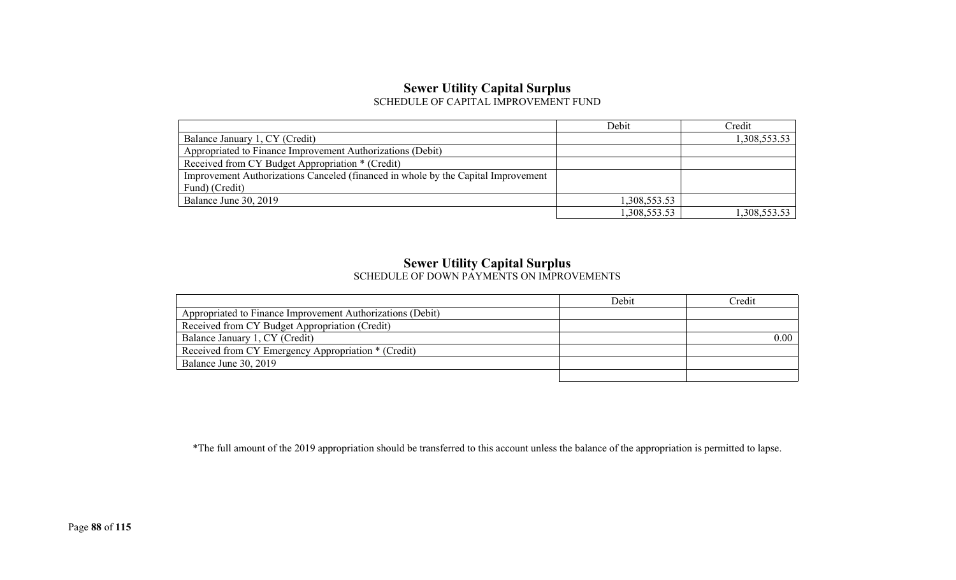#### **Sewer Utility Capital Surplus** SCHEDULE OF CAPITAL IMPROVEMENT FUND

|                                                                                   | Debit        | Credit       |
|-----------------------------------------------------------------------------------|--------------|--------------|
| Balance January 1, CY (Credit)                                                    |              | 1,308,553.53 |
| Appropriated to Finance Improvement Authorizations (Debit)                        |              |              |
| Received from CY Budget Appropriation * (Credit)                                  |              |              |
| Improvement Authorizations Canceled (financed in whole by the Capital Improvement |              |              |
| Fund) (Credit)                                                                    |              |              |
| Balance June 30, 2019                                                             | 1,308,553.53 |              |
|                                                                                   | 1,308,553.53 | 1,308,553.53 |

### **Sewer Utility Capital Surplus**

SCHEDULE OF DOWN PAYMENTS ON IMPROVEMENTS

|                                                            | Debit | Credit |
|------------------------------------------------------------|-------|--------|
| Appropriated to Finance Improvement Authorizations (Debit) |       |        |
| Received from CY Budget Appropriation (Credit)             |       |        |
| Balance January 1, CY (Credit)                             |       | 0.00   |
| Received from CY Emergency Appropriation * (Credit)        |       |        |
| Balance June 30, 2019                                      |       |        |
|                                                            |       |        |

\*The full amount of the 2019 appropriation should be transferred to this account unless the balance of the appropriation is permitted to lapse.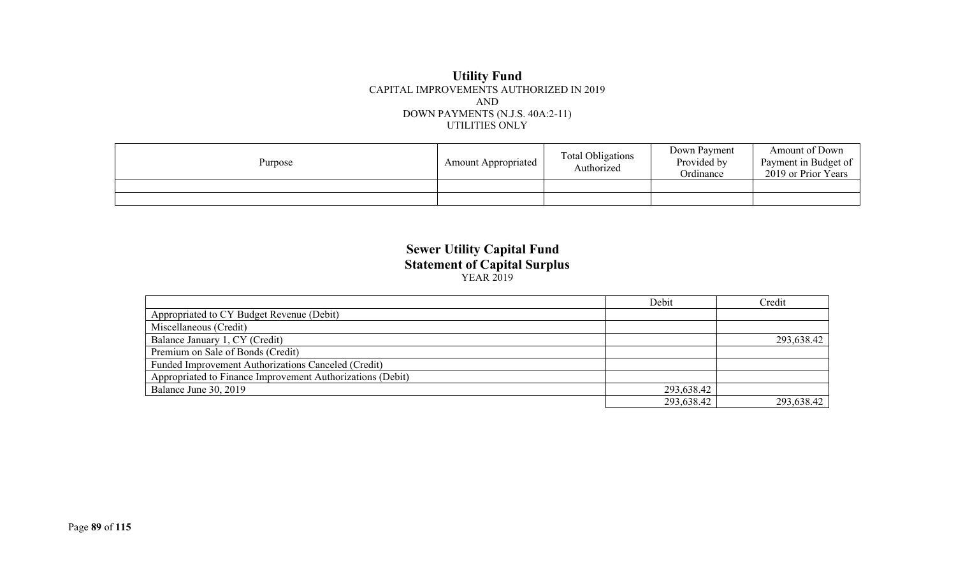#### **Utility Fund** CAPITAL IMPROVEMENTS AUTHORIZED IN 2019 AND DOWN PAYMENTS (N.J.S. 40A:2-11) UTILITIES ONLY

| Purpose | Amount Appropriated | <b>Total Obligations</b><br>Authorized | Down Payment<br>Provided by<br>Ordinance | Amount of Down<br>Payment in Budget of<br>2019 or Prior Years |
|---------|---------------------|----------------------------------------|------------------------------------------|---------------------------------------------------------------|
|         |                     |                                        |                                          |                                                               |
|         |                     |                                        |                                          |                                                               |

### **Sewer Utility Capital Fund Statement of Capital Surplus** YEAR 2019

|                                                            | Debit      | Credit     |
|------------------------------------------------------------|------------|------------|
| Appropriated to CY Budget Revenue (Debit)                  |            |            |
| Miscellaneous (Credit)                                     |            |            |
| Balance January 1, CY (Credit)                             |            | 293,638.42 |
| Premium on Sale of Bonds (Credit)                          |            |            |
| Funded Improvement Authorizations Canceled (Credit)        |            |            |
| Appropriated to Finance Improvement Authorizations (Debit) |            |            |
| Balance June 30, 2019                                      | 293,638.42 |            |
|                                                            | 293,638.42 | 293,638.42 |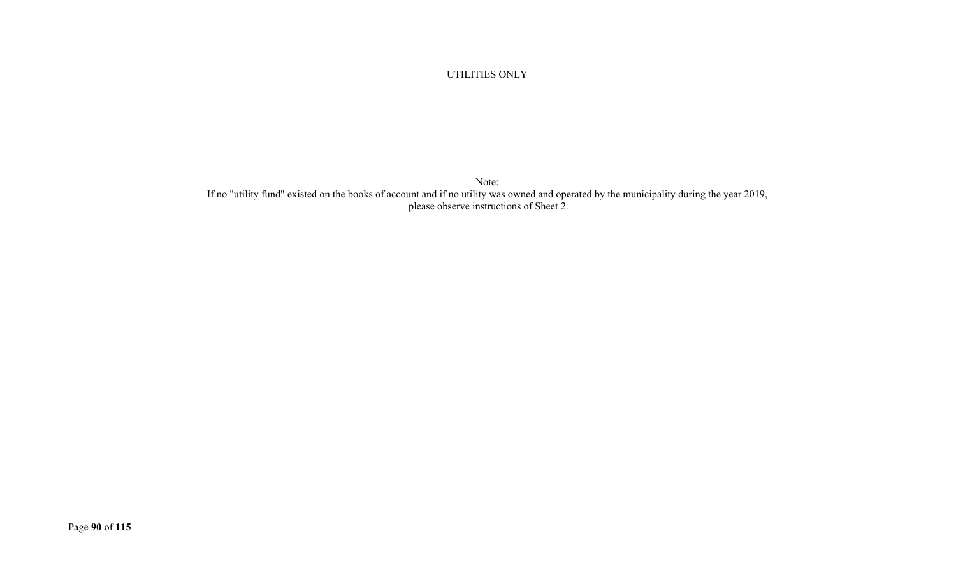UTILITIES ONLY

Note: If no "utility fund" existed on the books of account and if no utility was owned and operated by the municipality during the year 2019, please observe instructions of Sheet 2.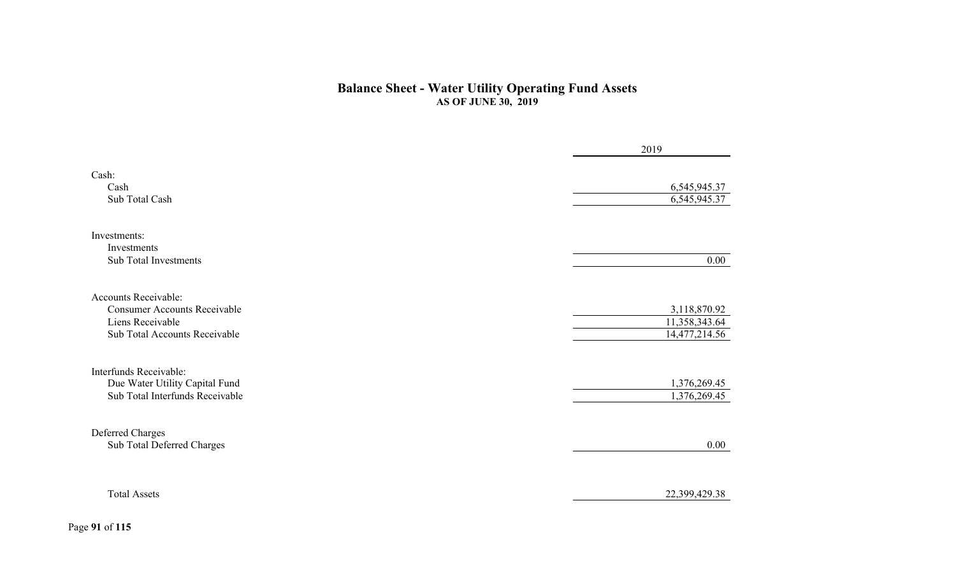#### **Balance Sheet - Water Utility Operating Fund Assets AS OF JUNE 30, 2019**

|                                                                                                                  | 2019                                           |
|------------------------------------------------------------------------------------------------------------------|------------------------------------------------|
| Cash:<br>Cash<br>Sub Total Cash                                                                                  | 6,545,945.37<br>6,545,945.37                   |
| Investments:<br>Investments<br><b>Sub Total Investments</b>                                                      | 0.00                                           |
| Accounts Receivable:<br><b>Consumer Accounts Receivable</b><br>Liens Receivable<br>Sub Total Accounts Receivable | 3,118,870.92<br>11,358,343.64<br>14,477,214.56 |
| Interfunds Receivable:<br>Due Water Utility Capital Fund<br>Sub Total Interfunds Receivable                      | 1,376,269.45<br>1,376,269.45                   |
| Deferred Charges<br>Sub Total Deferred Charges                                                                   | 0.00                                           |
| <b>Total Assets</b>                                                                                              | 22,399,429.38                                  |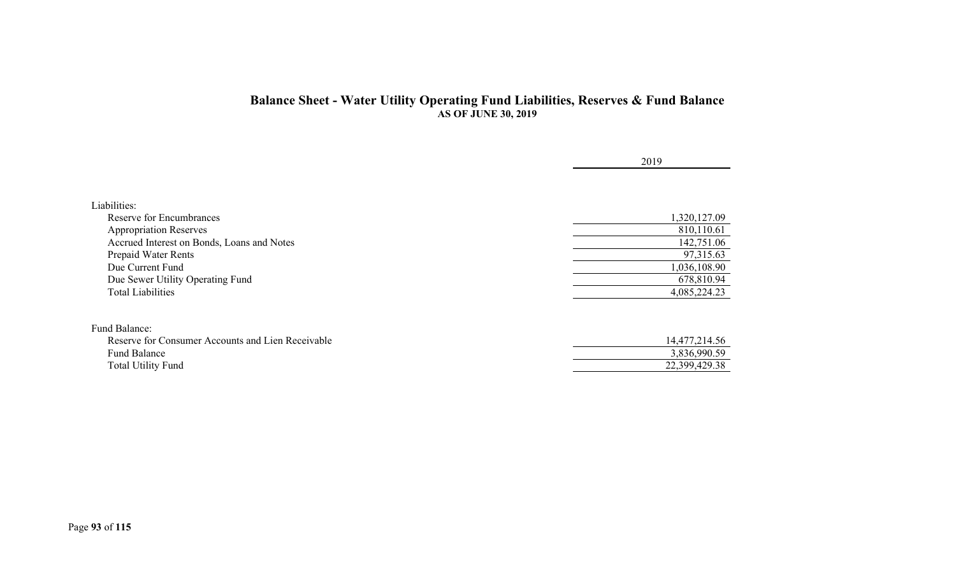#### **Balance Sheet - Water Utility Operating Fund Liabilities, Reserves & Fund Balance AS OF JUNE 30, 2019**

|                                                   | 2019          |  |
|---------------------------------------------------|---------------|--|
|                                                   |               |  |
| Liabilities:                                      |               |  |
| <b>Reserve for Encumbrances</b>                   | 1,320,127.09  |  |
| <b>Appropriation Reserves</b>                     | 810,110.61    |  |
| Accrued Interest on Bonds, Loans and Notes        | 142,751.06    |  |
| Prepaid Water Rents                               | 97,315.63     |  |
| Due Current Fund                                  | 1,036,108.90  |  |
| Due Sewer Utility Operating Fund                  | 678,810.94    |  |
| <b>Total Liabilities</b>                          | 4,085,224.23  |  |
| Fund Balance:                                     |               |  |
| Reserve for Consumer Accounts and Lien Receivable | 14,477,214.56 |  |
| Fund Balance                                      | 3,836,990.59  |  |
| <b>Total Utility Fund</b>                         | 22,399,429.38 |  |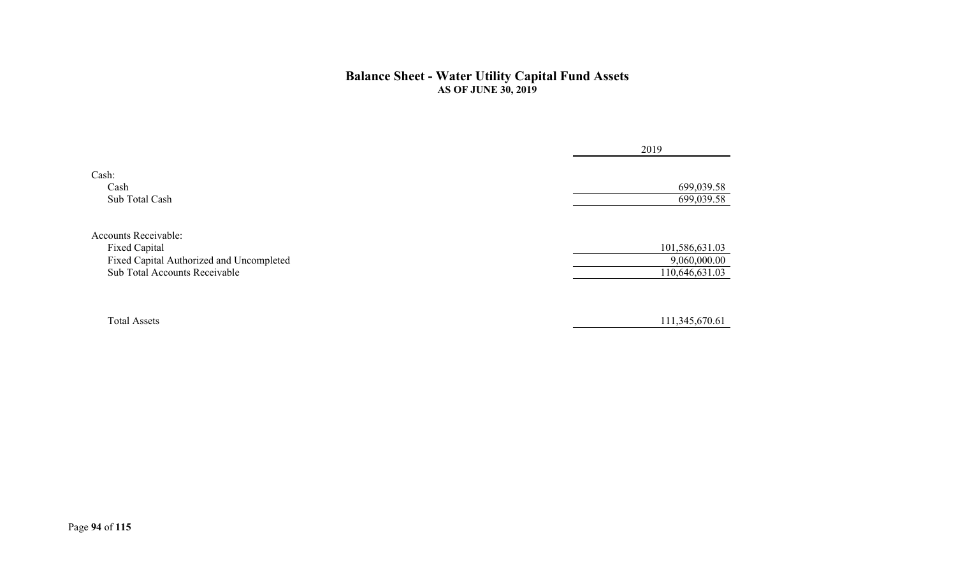#### **Balance Sheet - Water Utility Capital Fund Assets AS OF JUNE 30, 2019**

|                                          | 2019           |
|------------------------------------------|----------------|
| Cash:                                    |                |
| Cash                                     | 699,039.58     |
| Sub Total Cash                           | 699,039.58     |
| Accounts Receivable:<br>Fixed Capital    | 101,586,631.03 |
| Fixed Capital Authorized and Uncompleted | 9,060,000.00   |
| Sub Total Accounts Receivable            | 110,646,631.03 |
|                                          |                |
| <b>Total Assets</b>                      | 111,345,670.61 |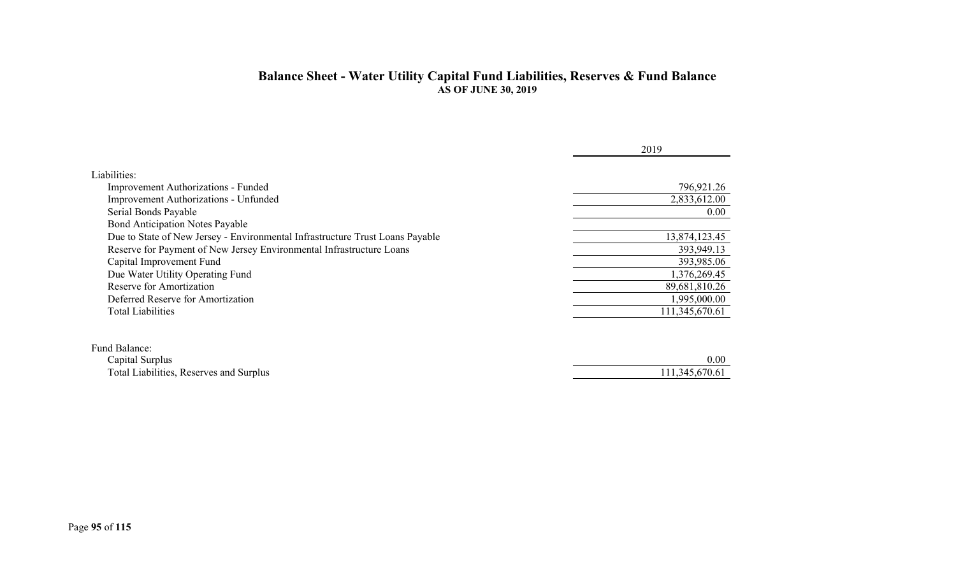#### **Balance Sheet - Water Utility Capital Fund Liabilities, Reserves & Fund Balance AS OF JUNE 30, 2019**

|                                                                               | 2019           |
|-------------------------------------------------------------------------------|----------------|
| Liabilities:                                                                  |                |
| <b>Improvement Authorizations - Funded</b>                                    | 796,921.26     |
| Improvement Authorizations - Unfunded                                         | 2,833,612.00   |
| Serial Bonds Payable                                                          | 0.00           |
| <b>Bond Anticipation Notes Payable</b>                                        |                |
| Due to State of New Jersey - Environmental Infrastructure Trust Loans Payable | 13,874,123.45  |
| Reserve for Payment of New Jersey Environmental Infrastructure Loans          | 393,949.13     |
| Capital Improvement Fund                                                      | 393,985.06     |
| Due Water Utility Operating Fund                                              | 1,376,269.45   |
| Reserve for Amortization                                                      | 89,681,810.26  |
| Deferred Reserve for Amortization                                             | 1,995,000.00   |
| <b>Total Liabilities</b>                                                      | 111,345,670.61 |
| <b>Fund Balance:</b>                                                          |                |
| Capital Surplus                                                               | 0.00           |
| Total Liabilities, Reserves and Surplus                                       | 111,345,670.61 |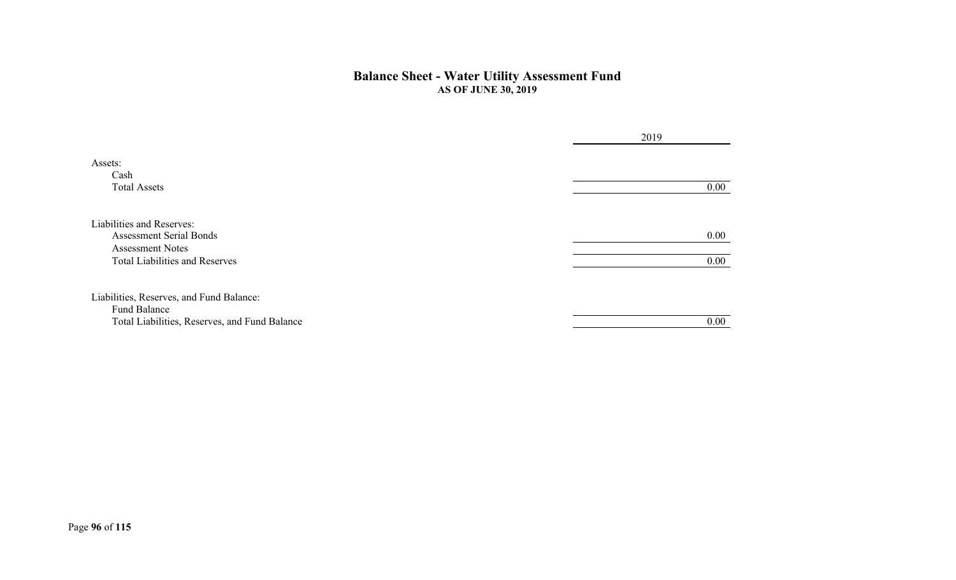#### **Balance Sheet - Water Utility Assessment Fund AS OF JUNE 30, 2019**

|                                                             | 2019 |
|-------------------------------------------------------------|------|
| Assets:                                                     |      |
| Cash                                                        |      |
| <b>Total Assets</b>                                         | 0.00 |
| Liabilities and Reserves:<br><b>Assessment Serial Bonds</b> | 0.00 |
| <b>Assessment Notes</b>                                     |      |
| <b>Total Liabilities and Reserves</b>                       | 0.00 |
| Liabilities, Reserves, and Fund Balance:<br>Fund Balance    |      |
| Total Liabilities, Reserves, and Fund Balance               | 0.00 |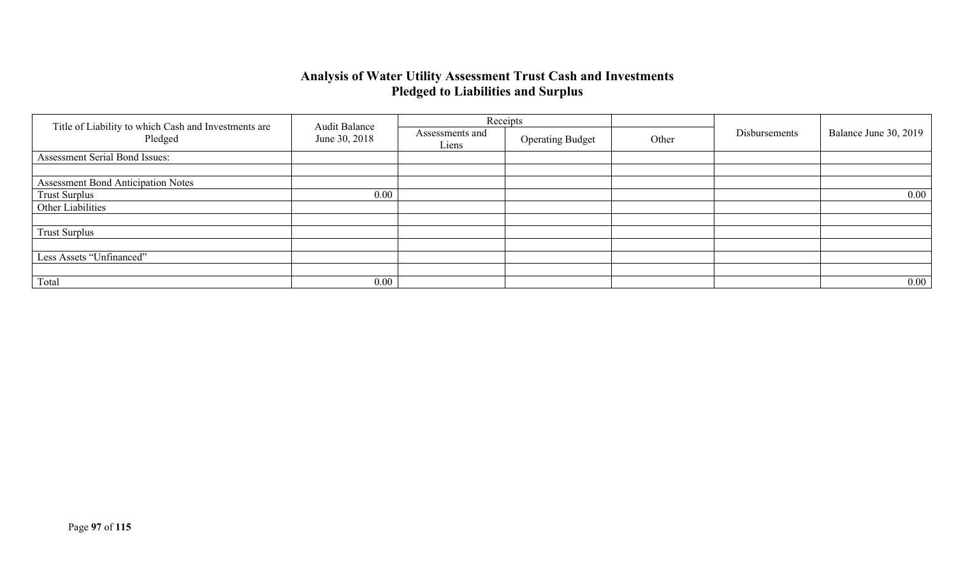## **Analysis of Water Utility Assessment Trust Cash and Investments Pledged to Liabilities and Surplus**

|                                                                 | <b>Audit Balance</b> |                          | Receipts                |       |               |                       |
|-----------------------------------------------------------------|----------------------|--------------------------|-------------------------|-------|---------------|-----------------------|
| Title of Liability to which Cash and Investments are<br>Pledged | June 30, 2018        | Assessments and<br>Liens | <b>Operating Budget</b> | Other | Disbursements | Balance June 30, 2019 |
| Assessment Serial Bond Issues:                                  |                      |                          |                         |       |               |                       |
|                                                                 |                      |                          |                         |       |               |                       |
| <b>Assessment Bond Anticipation Notes</b>                       |                      |                          |                         |       |               |                       |
| <b>Trust Surplus</b>                                            | 0.00                 |                          |                         |       |               | $0.00\,$              |
| Other Liabilities                                               |                      |                          |                         |       |               |                       |
|                                                                 |                      |                          |                         |       |               |                       |
| <b>Trust Surplus</b>                                            |                      |                          |                         |       |               |                       |
|                                                                 |                      |                          |                         |       |               |                       |
| Less Assets "Unfinanced"                                        |                      |                          |                         |       |               |                       |
|                                                                 |                      |                          |                         |       |               |                       |
| Total                                                           | 0.00                 |                          |                         |       |               | $0.00\,$              |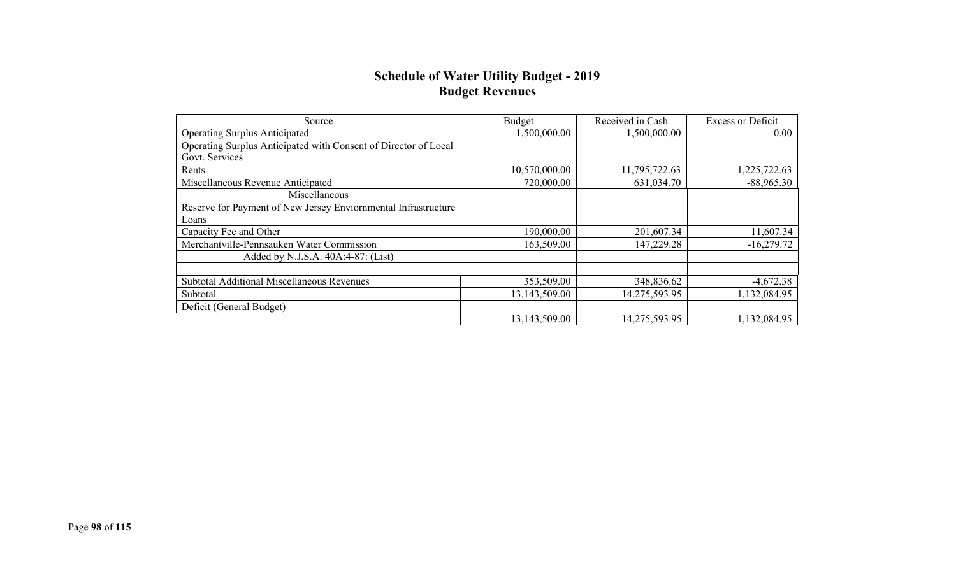### **Schedule of Water Utility Budget - 2019 Budget Revenues**

| Source                                                          | Budget        | Received in Cash | <b>Excess or Deficit</b> |
|-----------------------------------------------------------------|---------------|------------------|--------------------------|
| <b>Operating Surplus Anticipated</b>                            | 1,500,000.00  | 1,500,000.00     | 0.00                     |
| Operating Surplus Anticipated with Consent of Director of Local |               |                  |                          |
| Govt. Services                                                  |               |                  |                          |
| Rents                                                           | 10,570,000.00 | 11,795,722.63    | 1,225,722.63             |
| Miscellaneous Revenue Anticipated                               | 720,000.00    | 631,034.70       | $-88,965.30$             |
| Miscellaneous                                                   |               |                  |                          |
| Reserve for Payment of New Jersey Enviornmental Infrastructure  |               |                  |                          |
| Loans                                                           |               |                  |                          |
| Capacity Fee and Other                                          | 190,000.00    | 201,607.34       | 11,607.34                |
| Merchantville-Pennsauken Water Commission                       | 163,509.00    | 147,229.28       | $-16,279.72$             |
| Added by N.J.S.A. 40A:4-87: (List)                              |               |                  |                          |
|                                                                 |               |                  |                          |
| <b>Subtotal Additional Miscellaneous Revenues</b>               | 353,509.00    | 348,836.62       | $-4,672.38$              |
| Subtotal                                                        | 13,143,509.00 | 14,275,593.95    | 1,132,084.95             |
| Deficit (General Budget)                                        |               |                  |                          |
|                                                                 | 13,143,509.00 | 14,275,593.95    | 1,132,084.95             |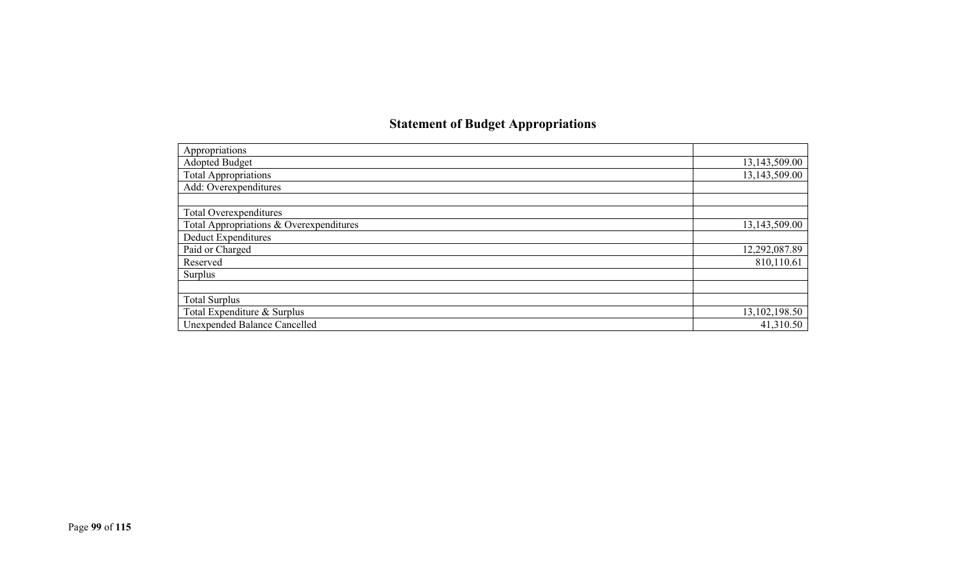# **Statement of Budget Appropriations**

| Appropriations                          |                  |
|-----------------------------------------|------------------|
| Adopted Budget                          | 13,143,509.00    |
| <b>Total Appropriations</b>             | 13,143,509.00    |
| Add: Overexpenditures                   |                  |
|                                         |                  |
| Total Overexpenditures                  |                  |
| Total Appropriations & Overexpenditures | 13,143,509.00    |
| <b>Deduct Expenditures</b>              |                  |
| Paid or Charged                         | 12,292,087.89    |
| Reserved                                | 810,110.61       |
| Surplus                                 |                  |
|                                         |                  |
| <b>Total Surplus</b>                    |                  |
| Total Expenditure & Surplus             | 13, 102, 198. 50 |
| <b>Unexpended Balance Cancelled</b>     | 41,310.50        |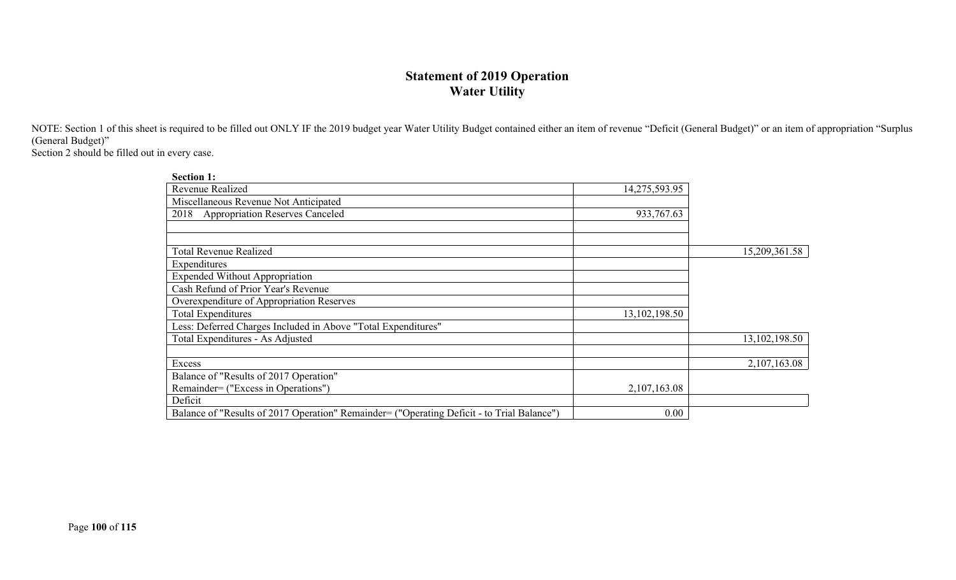## **Statement of 2019 Operation Water Utility**

NOTE: Section 1 of this sheet is required to be filled out ONLY IF the 2019 budget year Water Utility Budget contained either an item of revenue "Deficit (General Budget)" or an item of appropriation "Surplus (General Budget)"

Section 2 should be filled out in every case.

| <b>Section 1:</b>                                                                          |                  |                 |
|--------------------------------------------------------------------------------------------|------------------|-----------------|
| Revenue Realized                                                                           | 14,275,593.95    |                 |
| Miscellaneous Revenue Not Anticipated                                                      |                  |                 |
| <b>Appropriation Reserves Canceled</b><br>2018                                             | 933,767.63       |                 |
|                                                                                            |                  |                 |
|                                                                                            |                  |                 |
| <b>Total Revenue Realized</b>                                                              |                  | 15,209,361.58   |
| Expenditures                                                                               |                  |                 |
| <b>Expended Without Appropriation</b>                                                      |                  |                 |
| Cash Refund of Prior Year's Revenue                                                        |                  |                 |
| Overexpenditure of Appropriation Reserves                                                  |                  |                 |
| <b>Total Expenditures</b>                                                                  | 13, 102, 198. 50 |                 |
| Less: Deferred Charges Included in Above "Total Expenditures"                              |                  |                 |
| Total Expenditures - As Adjusted                                                           |                  | 13, 102, 198.50 |
|                                                                                            |                  |                 |
| Excess                                                                                     |                  | 2,107,163.08    |
| Balance of "Results of 2017 Operation"                                                     |                  |                 |
| Remainder= ("Excess in Operations")                                                        | 2,107,163.08     |                 |
| Deficit                                                                                    |                  |                 |
| Balance of "Results of 2017 Operation" Remainder= ("Operating Deficit - to Trial Balance") | 0.00             |                 |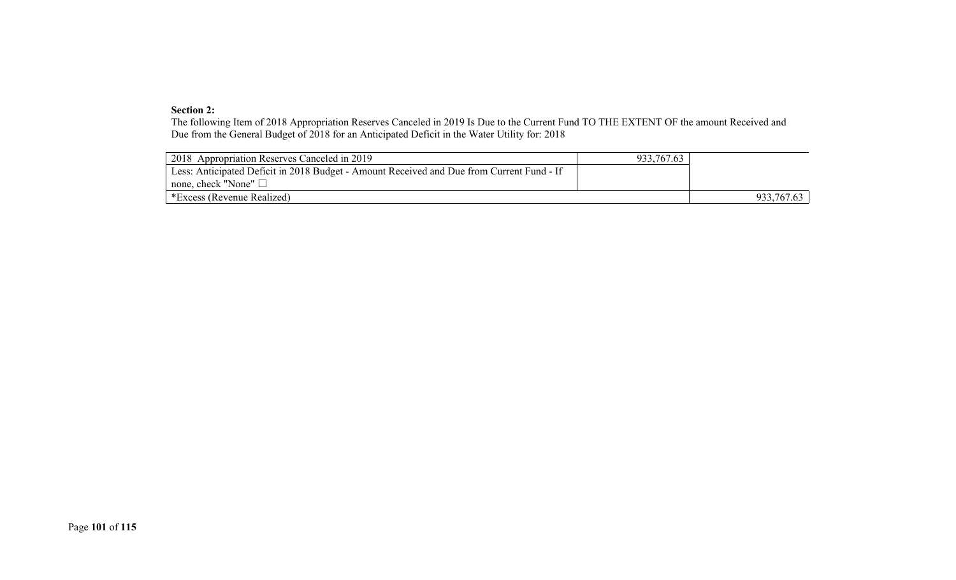#### **Section 2:**

The following Item of 2018 Appropriation Reserves Canceled in 2019 Is Due to the Current Fund TO THE EXTENT OF the amount Received and Due from the General Budget of 2018 for an Anticipated Deficit in the Water Utility for: 2018

| 2018 Appropriation Reserves Canceled in 2019                                              | 933, 767. 63 |            |
|-------------------------------------------------------------------------------------------|--------------|------------|
| Less: Anticipated Deficit in 2018 Budget - Amount Received and Due from Current Fund - If |              |            |
| $\vdash$ none, check "None" $\Box$                                                        |              |            |
| *Excess (Revenue Realized)                                                                |              | 933,767.63 |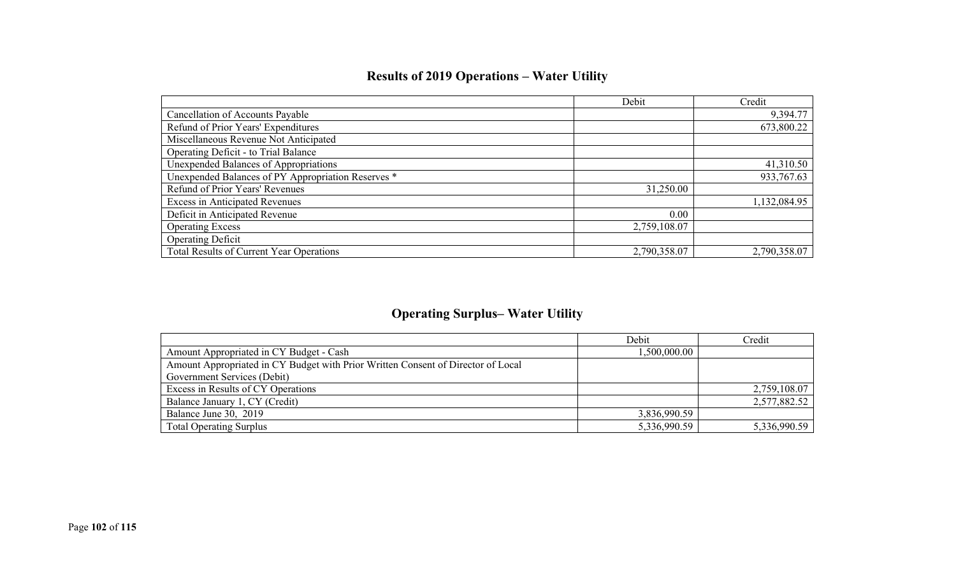| <b>Results of 2019 Operations - Water Utility</b> |  |  |  |
|---------------------------------------------------|--|--|--|
|---------------------------------------------------|--|--|--|

|                                                    | Debit        | Credit       |
|----------------------------------------------------|--------------|--------------|
| Cancellation of Accounts Payable                   |              | 9,394.77     |
| Refund of Prior Years' Expenditures                |              | 673,800.22   |
| Miscellaneous Revenue Not Anticipated              |              |              |
| Operating Deficit - to Trial Balance               |              |              |
| Unexpended Balances of Appropriations              |              | 41,310.50    |
| Unexpended Balances of PY Appropriation Reserves * |              | 933, 767. 63 |
| Refund of Prior Years' Revenues                    | 31,250.00    |              |
| <b>Excess in Anticipated Revenues</b>              |              | 1,132,084.95 |
| Deficit in Anticipated Revenue                     | 0.00         |              |
| <b>Operating Excess</b>                            | 2,759,108.07 |              |
| <b>Operating Deficit</b>                           |              |              |
| <b>Total Results of Current Year Operations</b>    | 2,790,358.07 | 2,790,358.07 |

# **Operating Surplus– Water Utility**

|                                                                                  | Debit        | Credit       |
|----------------------------------------------------------------------------------|--------------|--------------|
| Amount Appropriated in CY Budget - Cash                                          | 1,500,000.00 |              |
| Amount Appropriated in CY Budget with Prior Written Consent of Director of Local |              |              |
| Government Services (Debit)                                                      |              |              |
| Excess in Results of CY Operations                                               |              | 2,759,108.07 |
| Balance January 1, CY (Credit)                                                   |              | 2,577,882.52 |
| Balance June 30, 2019                                                            | 3,836,990.59 |              |
| <b>Total Operating Surplus</b>                                                   | 5,336,990.59 | 5,336,990.59 |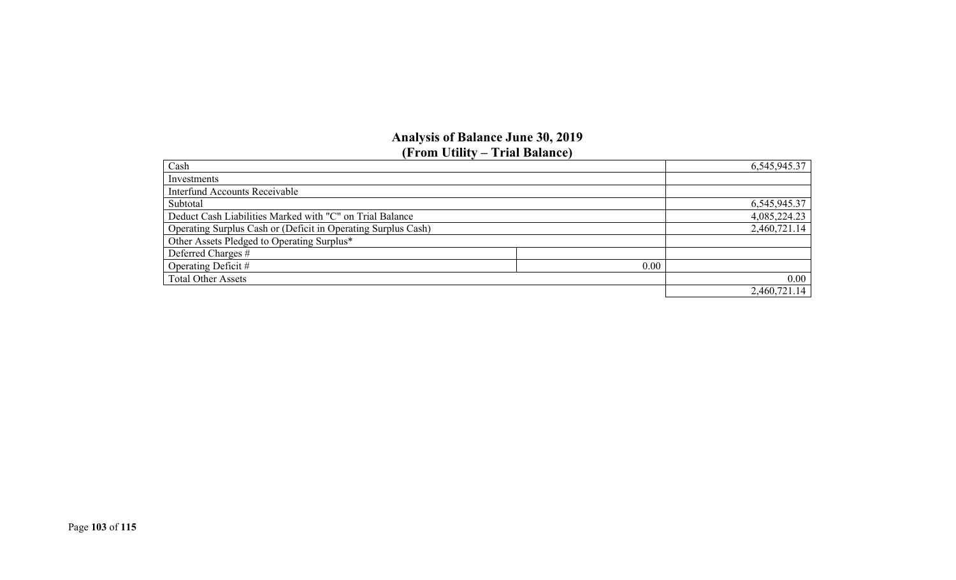### **Analysis of Balance June 30, 2019 (From Utility – Trial Balance)**

| Cash                                                          | 6,545,945.37 |
|---------------------------------------------------------------|--------------|
| Investments                                                   |              |
| Interfund Accounts Receivable                                 |              |
| Subtotal                                                      | 6,545,945.37 |
| Deduct Cash Liabilities Marked with "C" on Trial Balance      | 4,085,224.23 |
| Operating Surplus Cash or (Deficit in Operating Surplus Cash) | 2,460,721.14 |
| Other Assets Pledged to Operating Surplus*                    |              |
| Deferred Charges #                                            |              |
| Operating Deficit #<br>0.00                                   |              |
| <b>Total Other Assets</b>                                     | 0.00         |
|                                                               | 2,460,721.14 |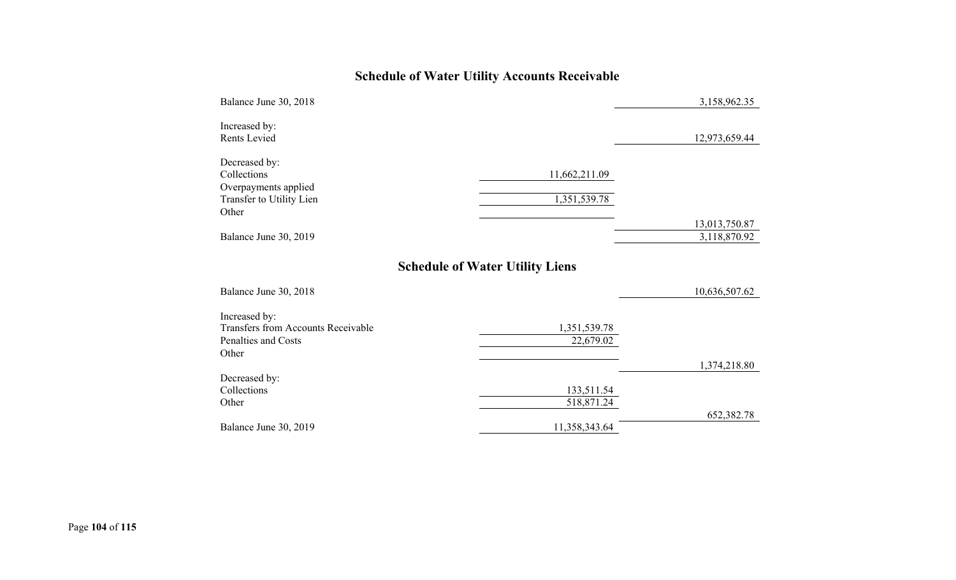# **Schedule of Water Utility Accounts Receivable**

| Balance June 30, 2018              |                                        | 3,158,962.35  |
|------------------------------------|----------------------------------------|---------------|
| Increased by:<br>Rents Levied      |                                        | 12,973,659.44 |
| Decreased by:                      |                                        |               |
| Collections                        | 11,662,211.09                          |               |
| Overpayments applied               |                                        |               |
| Transfer to Utility Lien           | 1,351,539.78                           |               |
| Other                              |                                        |               |
|                                    |                                        | 13,013,750.87 |
| Balance June 30, 2019              |                                        | 3,118,870.92  |
|                                    | <b>Schedule of Water Utility Liens</b> |               |
| Balance June 30, 2018              |                                        | 10,636,507.62 |
| Increased by:                      |                                        |               |
| Transfers from Accounts Receivable | 1,351,539.78                           |               |
| Penalties and Costs                | 22,679.02                              |               |
| Other                              |                                        |               |
|                                    |                                        | 1,374,218.80  |
| Decreased by:                      |                                        |               |
| Collections                        | 133,511.54                             |               |
| Other                              | 518,871.24                             |               |
|                                    |                                        | 652,382.78    |
| Balance June 30, 2019              | 11,358,343.64                          |               |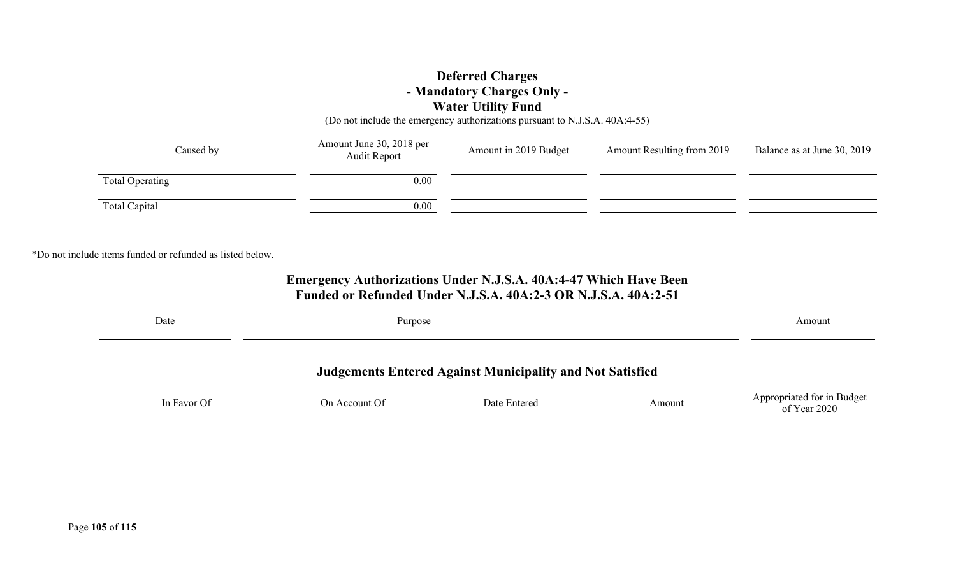### **Deferred Charges - Mandatory Charges Only - Water Utility Fund**

(Do not include the emergency authorizations pursuant to N.J.S.A. 40A:4-55)

| Caused by              | Amount June 30, 2018 per<br>Audit Report | Amount in 2019 Budget | Amount Resulting from 2019 | Balance as at June 30, 2019 |
|------------------------|------------------------------------------|-----------------------|----------------------------|-----------------------------|
| <b>Total Operating</b> | 0.00                                     |                       |                            |                             |
| Total Capital          | 0.00                                     |                       |                            |                             |

\*Do not include items funded or refunded as listed below.

## **Emergency Authorizations Under N.J.S.A. 40A:4-47 Which Have Been Funded or Refunded Under N.J.S.A. 40A:2-3 OR N.J.S.A. 40A:2-51**

| Date        | Purpose       |                                                                  |        | Amount                                     |
|-------------|---------------|------------------------------------------------------------------|--------|--------------------------------------------|
|             |               |                                                                  |        |                                            |
|             |               | <b>Judgements Entered Against Municipality and Not Satisfied</b> |        |                                            |
| In Favor Of | On Account Of | Date Entered                                                     | Amount | Appropriated for in Budget<br>of Year 2020 |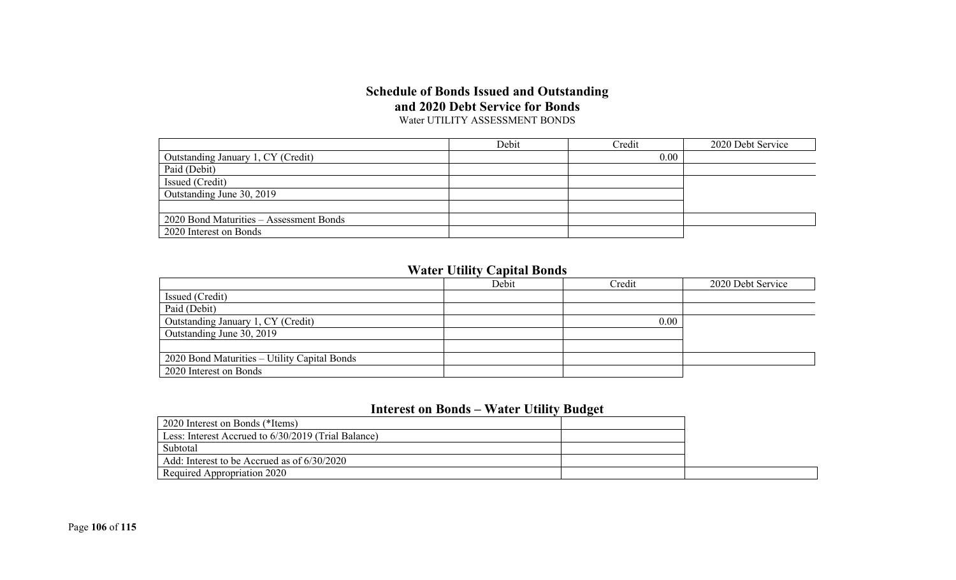### **Schedule of Bonds Issued and Outstanding and 2020 Debt Service for Bonds** Water UTILITY ASSESSMENT BONDS

|                                         | Debit | Credit | 2020 Debt Service |
|-----------------------------------------|-------|--------|-------------------|
| Outstanding January 1, CY (Credit)      |       | 0.00   |                   |
| Paid (Debit)                            |       |        |                   |
| Issued (Credit)                         |       |        |                   |
| Outstanding June 30, 2019               |       |        |                   |
|                                         |       |        |                   |
| 2020 Bond Maturities - Assessment Bonds |       |        |                   |
| 2020 Interest on Bonds                  |       |        |                   |

## **Water Utility Capital Bonds**

|                                              | Debit | Credit | 2020 Debt Service |
|----------------------------------------------|-------|--------|-------------------|
| Issued (Credit)                              |       |        |                   |
| Paid (Debit)                                 |       |        |                   |
| Outstanding January 1, CY (Credit)           |       | 0.00   |                   |
| Outstanding June 30, 2019                    |       |        |                   |
|                                              |       |        |                   |
| 2020 Bond Maturities - Utility Capital Bonds |       |        |                   |
| 2020 Interest on Bonds                       |       |        |                   |

## **Interest on Bonds – Water Utility Budget**

| 2020 Interest on Bonds (*Items)                     |  |
|-----------------------------------------------------|--|
| Less: Interest Accrued to 6/30/2019 (Trial Balance) |  |
| Subtotal                                            |  |
| Add: Interest to be Accrued as of 6/30/2020         |  |
| Required Appropriation 2020                         |  |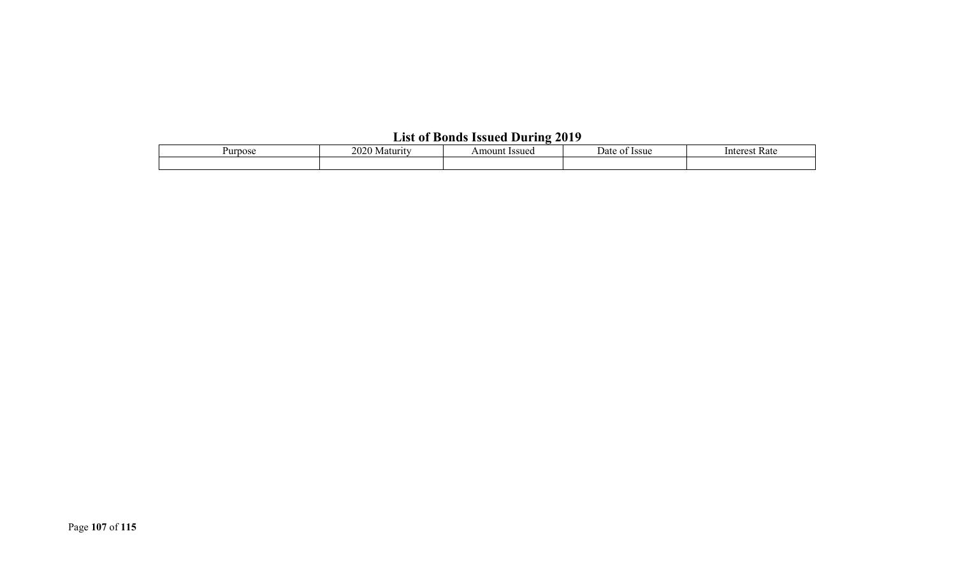# **List of Bonds Issued During 2019**

| Purpose | າດາດ<br>Maturity<br>ZUZU | Amount Issued | <b>Issue</b><br>Date<br>ΩT | Rate<br>Interest |  |  |
|---------|--------------------------|---------------|----------------------------|------------------|--|--|
|         |                          |               |                            |                  |  |  |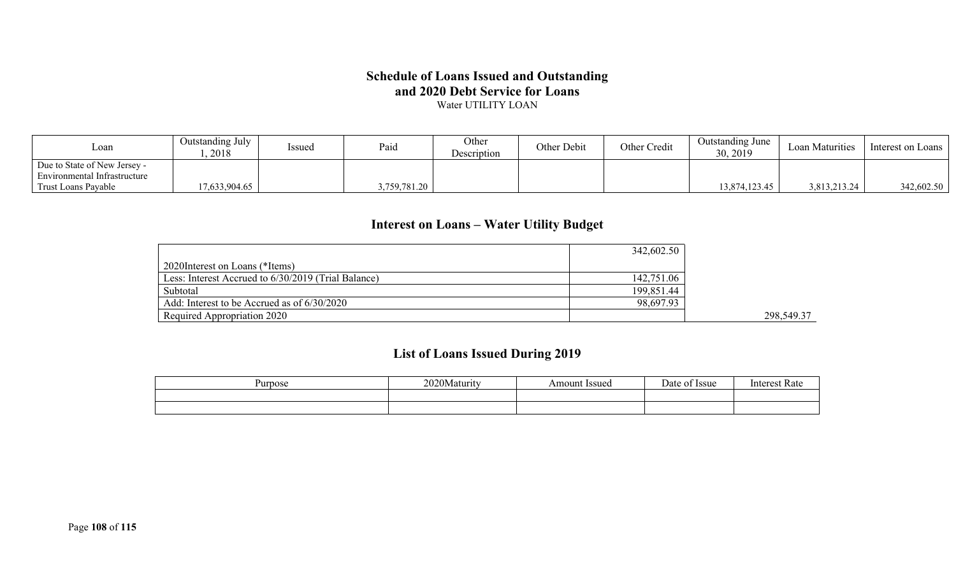### **Schedule of Loans Issued and Outstanding and 2020 Debt Service for Loans** Water UTILITY LOAN

| Loan                                                         | Outstanding July<br>2018 | Issued | Paid         | Other<br>Description | Other Debit | Other Credit | Outstanding June<br>30, 2019 | Loan Maturities | Interest on Loans |
|--------------------------------------------------------------|--------------------------|--------|--------------|----------------------|-------------|--------------|------------------------------|-----------------|-------------------|
| Due to State of New Jersey -<br>Environmental Infrastructure |                          |        |              |                      |             |              |                              |                 |                   |
| Trust Loans Payable                                          | 17,633,904.65            |        | 3,759,781.20 |                      |             |              | 13,874,123.45                | 3,813,213.24    | 342,602.50        |

## **Interest on Loans – Water Utility Budget**

|                                                     | 342,602.50 |            |
|-----------------------------------------------------|------------|------------|
| 2020 Interest on Loans (*Items)                     |            |            |
| Less: Interest Accrued to 6/30/2019 (Trial Balance) | 142,751.06 |            |
| Subtotal                                            | 199,851.44 |            |
| Add: Interest to be Accrued as of 6/30/2020         | 98,697.93  |            |
| Required Appropriation 2020                         |            | 298,549.37 |

## **List of Loans Issued During 2019**

| Purpose | 20201<br>Haturity<br>$\triangle$ U $\triangle$ V | Amount<br>Issuec | <i>ssue</i><br>Jafe | 'nt<br>катє |
|---------|--------------------------------------------------|------------------|---------------------|-------------|
|         |                                                  |                  |                     |             |
|         |                                                  |                  |                     |             |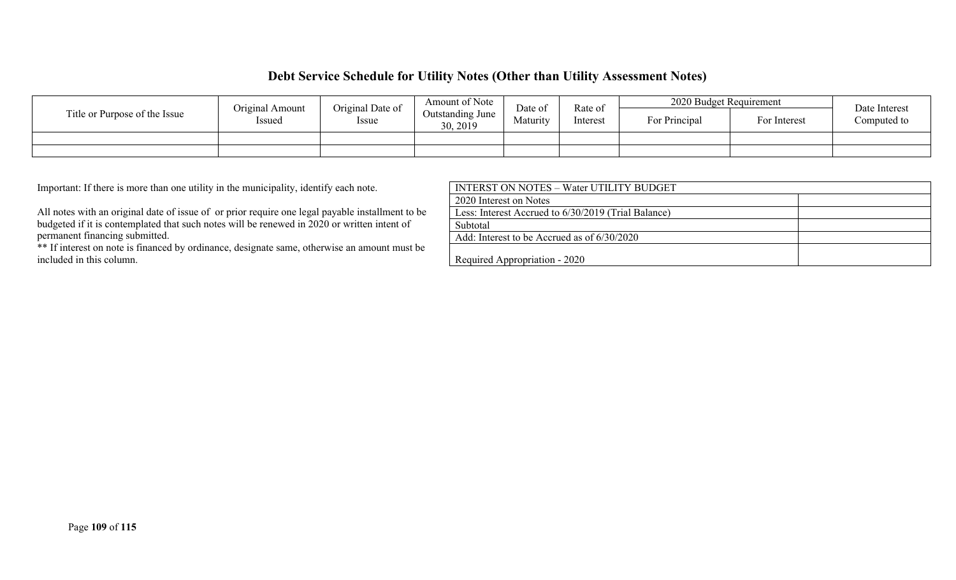## **Debt Service Schedule for Utility Notes (Other than Utility Assessment Notes)**

|                               | Original Amount | Original Date of           | Amount of Note               | Date of<br>Rate of |          | 2020 Budget Requirement |              | Date Interest |
|-------------------------------|-----------------|----------------------------|------------------------------|--------------------|----------|-------------------------|--------------|---------------|
| Title or Purpose of the Issue | Issued          | <i><u><b>Issue</b></u></i> | Outstanding June<br>30, 2019 | Maturity           | Interest | For Principal           | For Interest | Computed to   |
|                               |                 |                            |                              |                    |          |                         |              |               |
|                               |                 |                            |                              |                    |          |                         |              |               |

Important: If there is more than one utility in the municipality, identify each note.

All notes with an original date of issue of or prior require one legal payable installment to be budgeted if it is contemplated that such notes will be renewed in 2020 or written intent of permanent financing submitted.

\*\* If interest on note is financed by ordinance, designate same, otherwise an amount must be included in this column.

| INTERST ON NOTES – Water UTILITY BUDGET             |  |
|-----------------------------------------------------|--|
| 2020 Interest on Notes                              |  |
| Less: Interest Accrued to 6/30/2019 (Trial Balance) |  |
| Subtotal                                            |  |
| Add: Interest to be Accrued as of 6/30/2020         |  |
| Required Appropriation - 2020                       |  |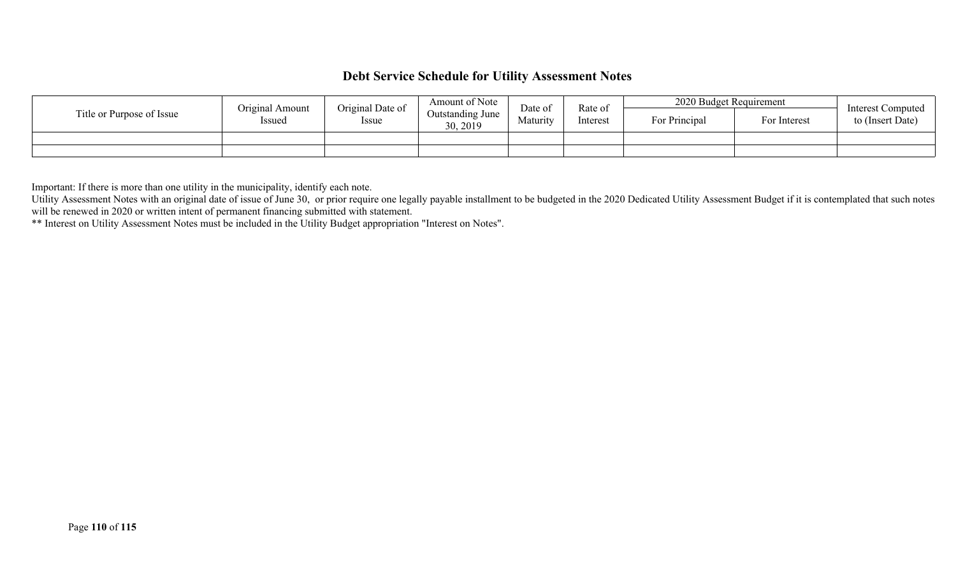## **Debt Service Schedule for Utility Assessment Notes**

|                           | Original Amount | Original Date of | Amount of Note               |          | Rate of<br>Interest | Date of | 2020 Budget Requirement |              | Interest Computed |
|---------------------------|-----------------|------------------|------------------------------|----------|---------------------|---------|-------------------------|--------------|-------------------|
| Title or Purpose of Issue | Issued          | Issue            | Outstanding June<br>30, 2019 | Maturity |                     |         | For Principal           | For Interest | to (Insert Date)  |
|                           |                 |                  |                              |          |                     |         |                         |              |                   |
|                           |                 |                  |                              |          |                     |         |                         |              |                   |

Important: If there is more than one utility in the municipality, identify each note.

Utility Assessment Notes with an original date of issue of June 30, or prior require one legally payable installment to be budgeted in the 2020 Dedicated Utility Assessment Budget if it is contemplated that such notes will be renewed in 2020 or written intent of permanent financing submitted with statement.

\*\* Interest on Utility Assessment Notes must be included in the Utility Budget appropriation "Interest on Notes".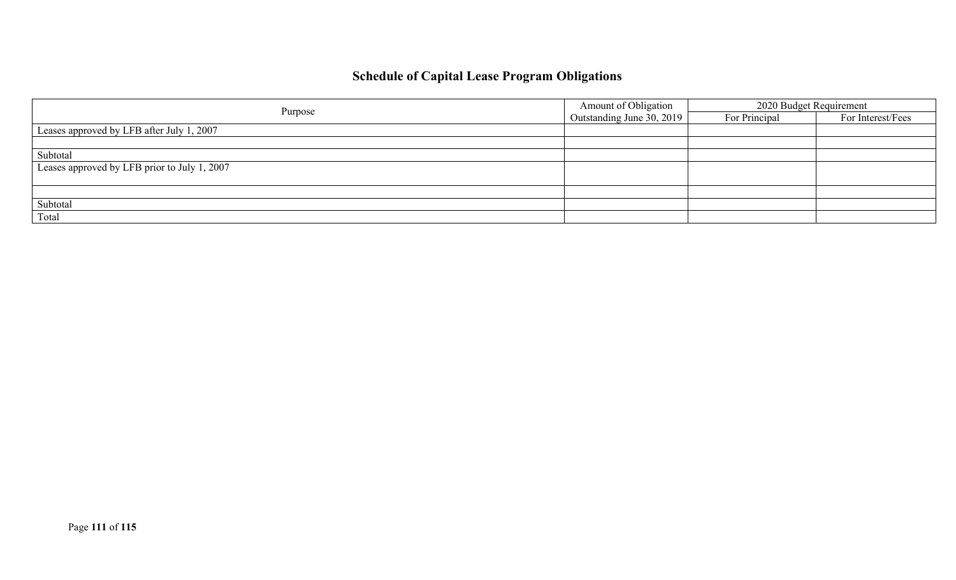## **Schedule of Capital Lease Program Obligations**

|                                              | Amount of Obligation      | 2020 Budget Requirement |                   |  |
|----------------------------------------------|---------------------------|-------------------------|-------------------|--|
| Purpose                                      | Outstanding June 30, 2019 | For Principal           | For Interest/Fees |  |
| Leases approved by LFB after July 1, 2007    |                           |                         |                   |  |
|                                              |                           |                         |                   |  |
| Subtotal                                     |                           |                         |                   |  |
| Leases approved by LFB prior to July 1, 2007 |                           |                         |                   |  |
|                                              |                           |                         |                   |  |
|                                              |                           |                         |                   |  |
| Subtotal                                     |                           |                         |                   |  |
| Total                                        |                           |                         |                   |  |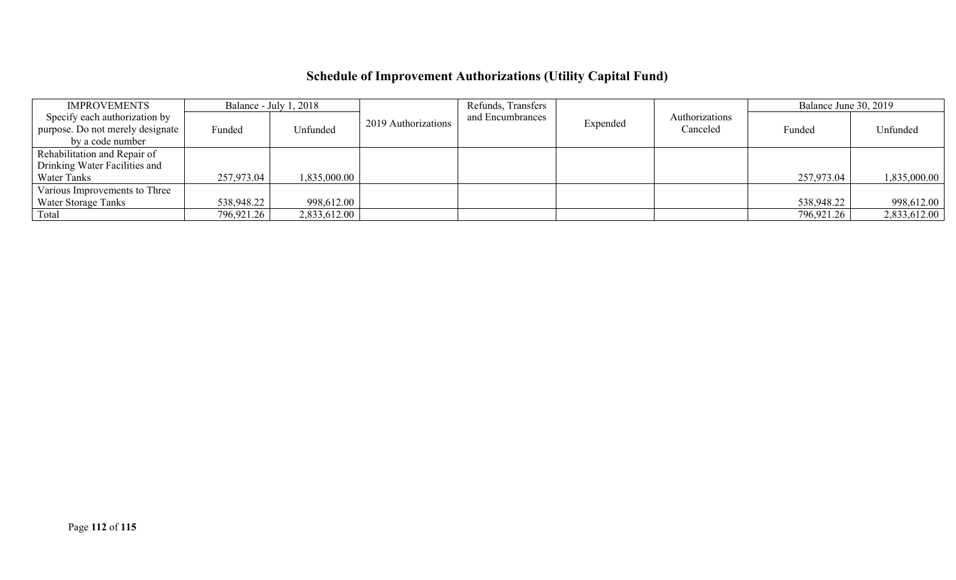# **Schedule of Improvement Authorizations (Utility Capital Fund)**

| <b>IMPROVEMENTS</b>              |            | Balance - July 1, 2018 |                     | Refunds, Transfers |          |                | Balance June 30, 2019 |              |
|----------------------------------|------------|------------------------|---------------------|--------------------|----------|----------------|-----------------------|--------------|
| Specify each authorization by    |            |                        | 2019 Authorizations | and Encumbrances   | Expended | Authorizations |                       |              |
| purpose. Do not merely designate | Funded     | Unfunded               |                     |                    |          | Canceled       | Funded                | Unfunded     |
| by a code number                 |            |                        |                     |                    |          |                |                       |              |
| Rehabilitation and Repair of     |            |                        |                     |                    |          |                |                       |              |
| Drinking Water Facilities and    |            |                        |                     |                    |          |                |                       |              |
| <b>Water Tanks</b>               | 257,973.04 | 1,835,000.00           |                     |                    |          |                | 257,973.04            | 1,835,000.00 |
| Various Improvements to Three    |            |                        |                     |                    |          |                |                       |              |
| Water Storage Tanks              | 538,948.22 | 998,612.00             |                     |                    |          |                | 538,948.22            | 998,612.00   |
| Total                            | 796,921.26 | 2,833,612.00           |                     |                    |          |                | 796,921.26            | 2,833,612.00 |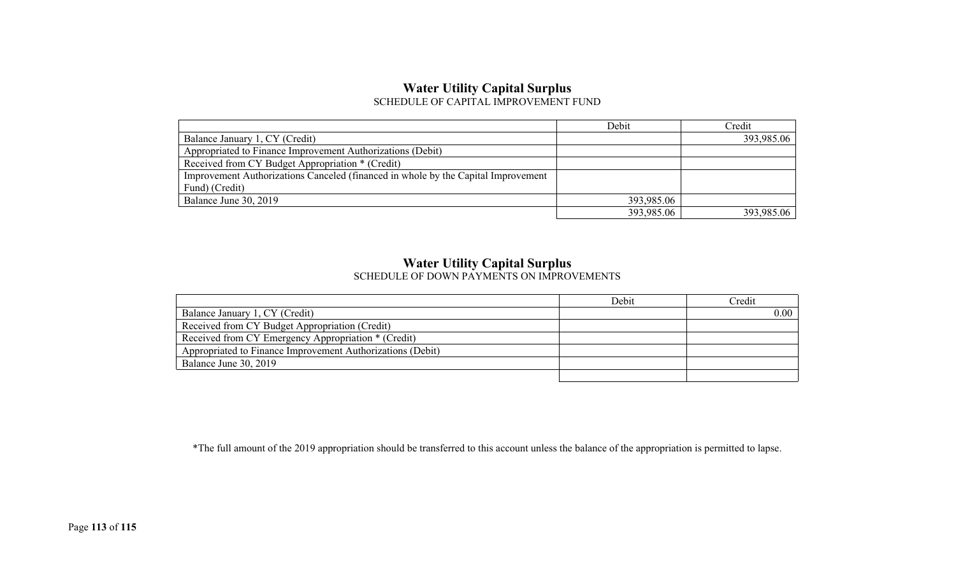# **Water Utility Capital Surplus**

SCHEDULE OF CAPITAL IMPROVEMENT FUND

|                                                                                   | Debit      | Credit     |
|-----------------------------------------------------------------------------------|------------|------------|
| Balance January 1, CY (Credit)                                                    |            | 393,985.06 |
| Appropriated to Finance Improvement Authorizations (Debit)                        |            |            |
| Received from CY Budget Appropriation * (Credit)                                  |            |            |
| Improvement Authorizations Canceled (financed in whole by the Capital Improvement |            |            |
| Fund) (Credit)                                                                    |            |            |
| Balance June 30, 2019                                                             | 393,985.06 |            |
|                                                                                   | 393,985.06 | 393,985.06 |

#### **Water Utility Capital Surplus** SCHEDULE OF DOWN PAYMENTS ON IMPROVEMENTS

|                                                            | <b>Debit</b> | Credit |
|------------------------------------------------------------|--------------|--------|
| Balance January 1, CY (Credit)                             |              | 0.00   |
| Received from CY Budget Appropriation (Credit)             |              |        |
| Received from CY Emergency Appropriation * (Credit)        |              |        |
| Appropriated to Finance Improvement Authorizations (Debit) |              |        |
| Balance June 30, 2019                                      |              |        |
|                                                            |              |        |

\*The full amount of the 2019 appropriation should be transferred to this account unless the balance of the appropriation is permitted to lapse.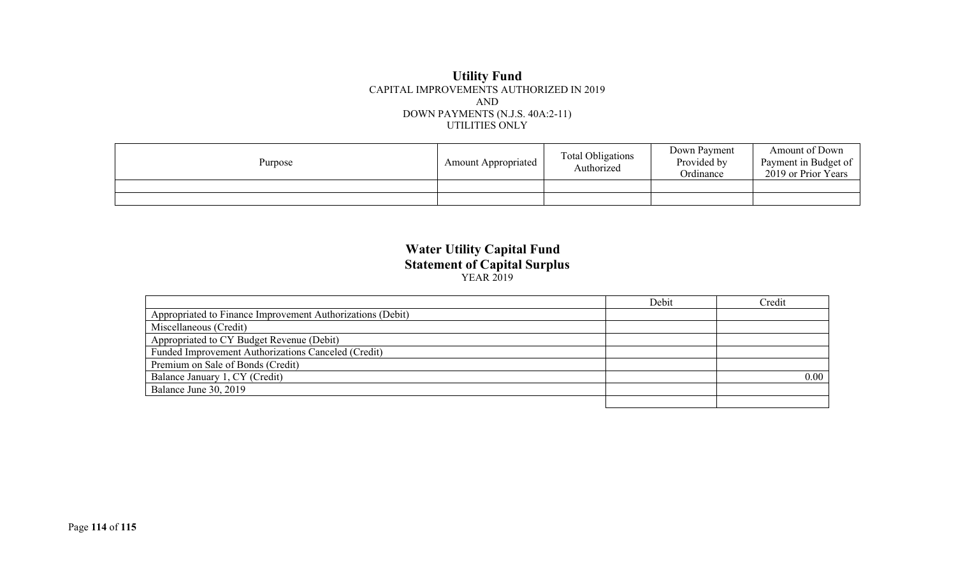#### **Utility Fund** CAPITAL IMPROVEMENTS AUTHORIZED IN 2019 AND DOWN PAYMENTS (N.J.S. 40A:2-11) UTILITIES ONLY

| Purpose | <b>Amount Appropriated</b> | <b>Total Obligations</b><br>Authorized | Down Payment<br>Provided by<br>Ordinance | Amount of Down<br>Payment in Budget of<br>2019 or Prior Years |
|---------|----------------------------|----------------------------------------|------------------------------------------|---------------------------------------------------------------|
|         |                            |                                        |                                          |                                                               |
|         |                            |                                        |                                          |                                                               |

#### **Water Utility Capital Fund Statement of Capital Surplus** YEAR 2019

|                                                            | Debit | Credit |
|------------------------------------------------------------|-------|--------|
| Appropriated to Finance Improvement Authorizations (Debit) |       |        |
| Miscellaneous (Credit)                                     |       |        |
| Appropriated to CY Budget Revenue (Debit)                  |       |        |
| Funded Improvement Authorizations Canceled (Credit)        |       |        |
| Premium on Sale of Bonds (Credit)                          |       |        |
| Balance January 1, CY (Credit)                             |       | 0.00   |
| Balance June 30, 2019                                      |       |        |
|                                                            |       |        |